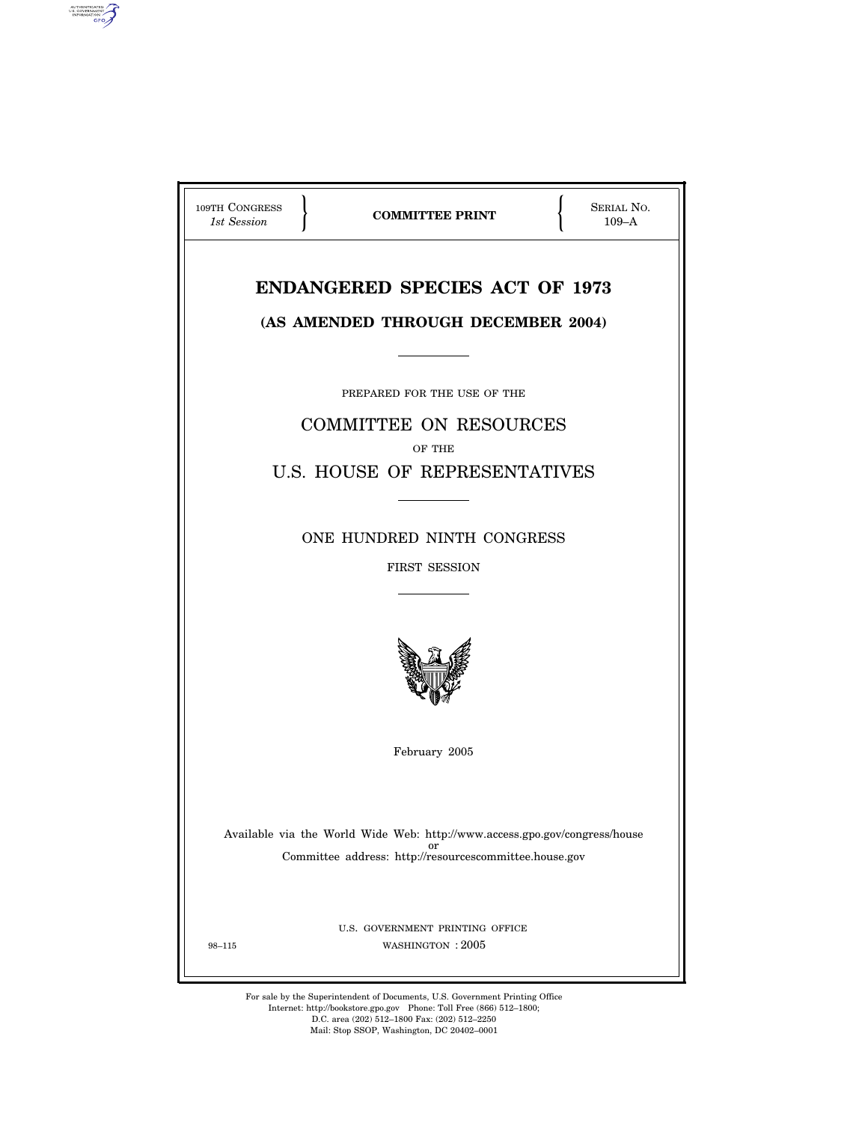| 109TH CONGRESS<br>1st Session                                                                                                        | <b>COMMITTEE PRINT</b>                               |  | SERIAL NO.<br>$109-A$ |  |  |  |
|--------------------------------------------------------------------------------------------------------------------------------------|------------------------------------------------------|--|-----------------------|--|--|--|
| <b>ENDANGERED SPECIES ACT OF 1973</b>                                                                                                |                                                      |  |                       |  |  |  |
| (AS AMENDED THROUGH DECEMBER 2004)                                                                                                   |                                                      |  |                       |  |  |  |
|                                                                                                                                      |                                                      |  |                       |  |  |  |
| PREPARED FOR THE USE OF THE                                                                                                          |                                                      |  |                       |  |  |  |
| <b>COMMITTEE ON RESOURCES</b>                                                                                                        |                                                      |  |                       |  |  |  |
| OF THE                                                                                                                               |                                                      |  |                       |  |  |  |
| U.S. HOUSE OF REPRESENTATIVES                                                                                                        |                                                      |  |                       |  |  |  |
|                                                                                                                                      |                                                      |  |                       |  |  |  |
| ONE HUNDRED NINTH CONGRESS                                                                                                           |                                                      |  |                       |  |  |  |
| <b>FIRST SESSION</b>                                                                                                                 |                                                      |  |                       |  |  |  |
|                                                                                                                                      |                                                      |  |                       |  |  |  |
|                                                                                                                                      |                                                      |  |                       |  |  |  |
| February 2005                                                                                                                        |                                                      |  |                       |  |  |  |
| Available via the World Wide Web: http://www.access.gpo.gov/congress/house<br>Committee address: http://resourcescommittee.house.gov |                                                      |  |                       |  |  |  |
| $98 - 115$                                                                                                                           | U.S. GOVERNMENT PRINTING OFFICE<br>WASHINGTON : 2005 |  |                       |  |  |  |
|                                                                                                                                      |                                                      |  |                       |  |  |  |

AUTHENTICATED

For sale by the Superintendent of Documents, U.S. Government Printing Office<br>Internet: http://bookstore.gpo.gov Phone: Toll Free (866) 512–1800;<br>D.C. area (202) 512–1800 Fax: (202) 512–1800 Fax: (202) 512–1800 Fax: (202) 5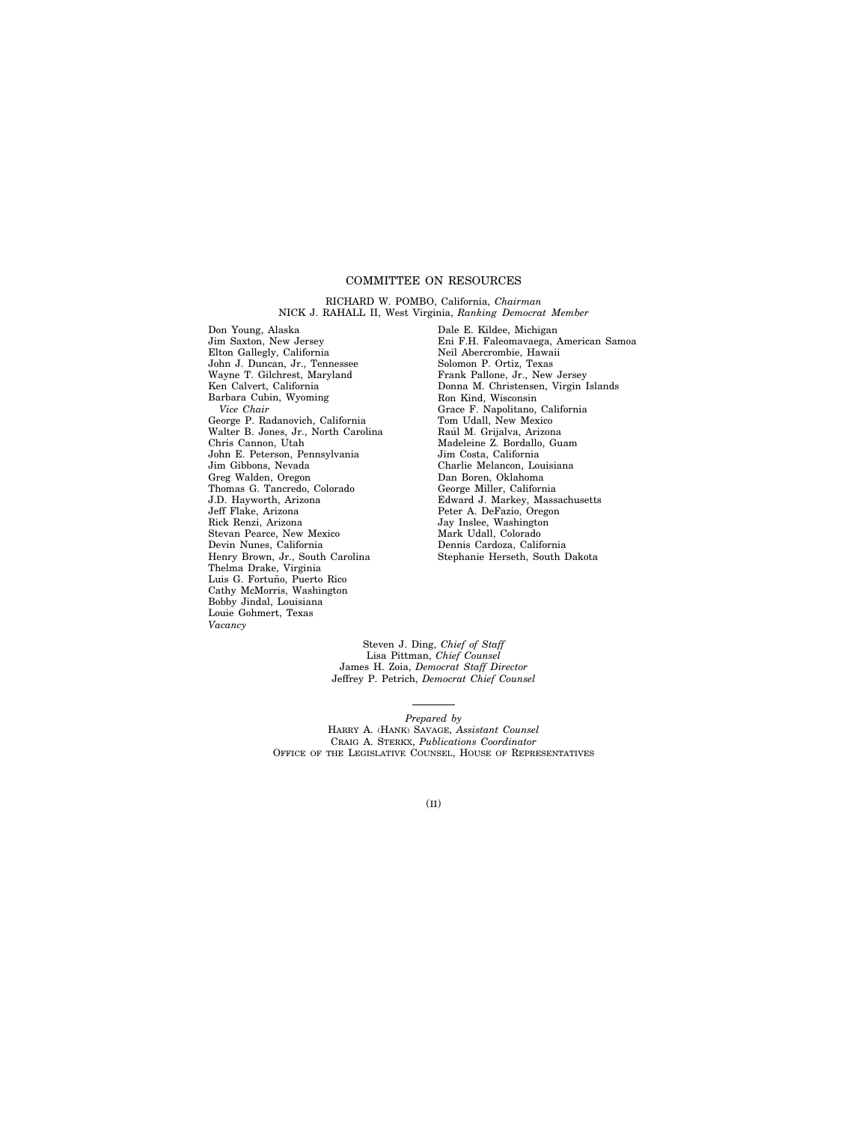# COMMITTEE ON RESOURCES

RICHARD W. POMBO, California, Chairman NICK J. RAHALL II, West Virginia, Ranking Democrat Member

Don Young, Alaska Jim Saxton, New Jersey Elton Gallegly, California John J. Duncan, Jr., Tennessee Wayne T. Gilchrest, Maryland Ken Calvert, California Barbara Cubin, Wyoming Vice Chair George P. Radanovich, California Walter B. Jones, Jr., North Carolina Chris Cannon, Utah John E. Peterson, Pennsylvania Jim Gibbons, Nevada Greg Walden, Oregon Thomas G. Tancredo, Colorado J.D. Hayworth, Arizona Jeff Flake, Arizona Rick Renzi, Arizona Stevan Pearce, New Mexico Devin Nunes, California Henry Brown, Jr., South Carolina Thelma Drake, Virginia Luis G. Fortuño, Puerto Rico Cathy McMorris, Washington Bobby Jindal, Louisiana Louie Gohmert, Texas Vacancy

Dale E. Kildee, Michigan Eni F.H. Faleomavaega, American Samoa Neil Abercrombie, Hawaii Solomon P. Ortiz, Texas Frank Pallone, Jr., New Jersey Donna M. Christensen, Virgin Islands Ron Kind, Wisconsin Grace F. Napolitano, California Tom Udall, New Mexico Raúl M. Grijalva, Arizona Madeleine Z. Bordallo, Guam Jim Costa, California Charlie Melancon, Louisiana Dan Boren, Oklahoma George Miller, California Edward J. Markey, Massachusetts Peter A. DeFazio, Oregon Jay Inslee, Washington Mark Udall, Colorado Dennis Cardoza, California Stephanie Herseth, South Dakota

Steven J. Ding, Chief of Staff Lisa Pittman, Chief Counsel James H. Zoia, Democrat Staff Director Jeffrey P. Petrich, Democrat Chief Counsel

Prepared by

HARRY A. (HANK) SAVAGE, Assistant Counsel CRAIG A. STERKX, Publications Coordinator OFFICE OF THE LEGISLATIVE COUNSEL, HOUSE OF REPRESENTATIVES

(II)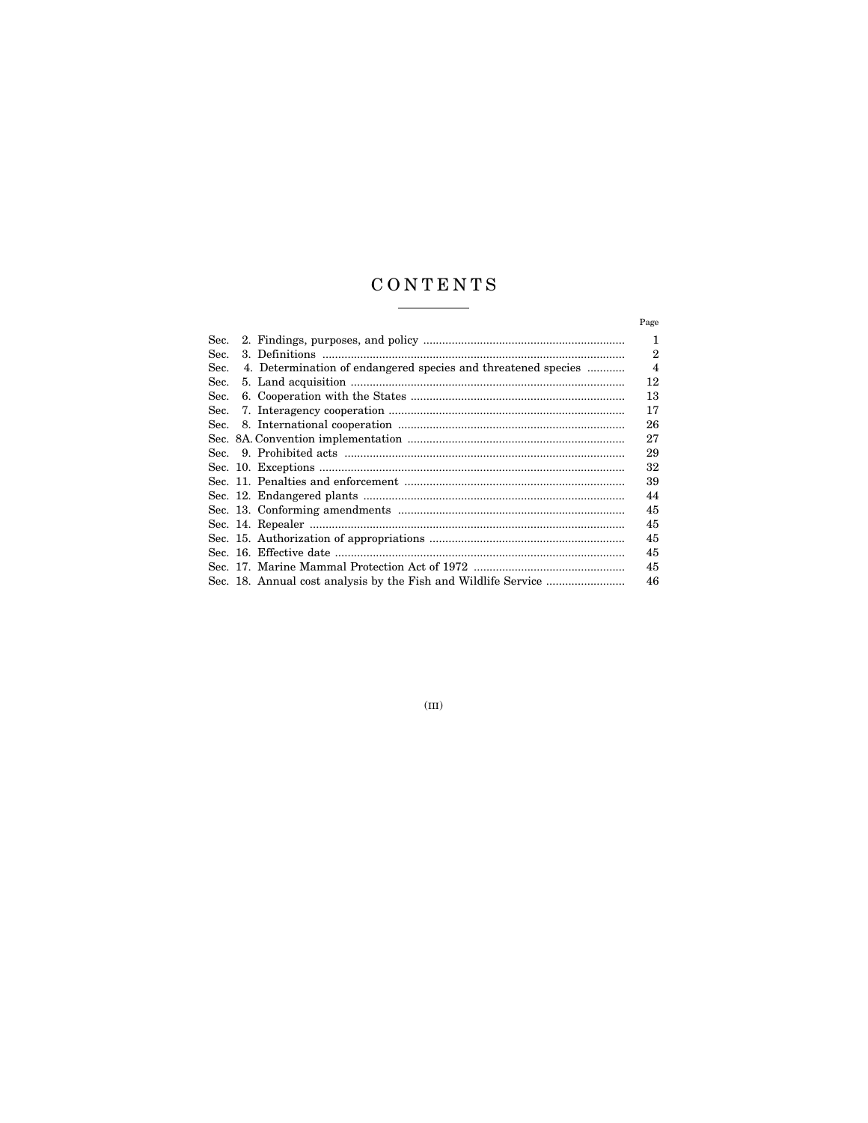# CONTENTS

|      |                                                               | Page           |
|------|---------------------------------------------------------------|----------------|
| Sec. |                                                               | 1              |
| Sec. |                                                               | 2              |
| Sec. | 4. Determination of endangered species and threatened species | $\overline{4}$ |
| Sec. |                                                               | 12             |
| Sec. |                                                               | 13             |
| Sec. |                                                               | 17             |
| Sec. |                                                               | 26             |
|      |                                                               | 27             |
|      |                                                               | 29             |
|      |                                                               | 32             |
|      |                                                               | 39             |
|      |                                                               | 44             |
|      |                                                               | 45             |
|      |                                                               | 45             |
|      |                                                               | 45             |
|      |                                                               | 45             |
|      |                                                               | 45             |
|      |                                                               | 46             |

 $\textbf{(III)}% \begin{pmatrix} \textbf{I} & \textbf{I} & \textbf{I} & \textbf{I} & \textbf{I} & \textbf{I} & \textbf{I} \\ \textbf{I} & \textbf{I} & \textbf{I} & \textbf{I} & \textbf{I} & \textbf{I} & \textbf{I} \\ \textbf{I} & \textbf{I} & \textbf{I} & \textbf{I} & \textbf{I} & \textbf{I} & \textbf{I} \end{pmatrix}$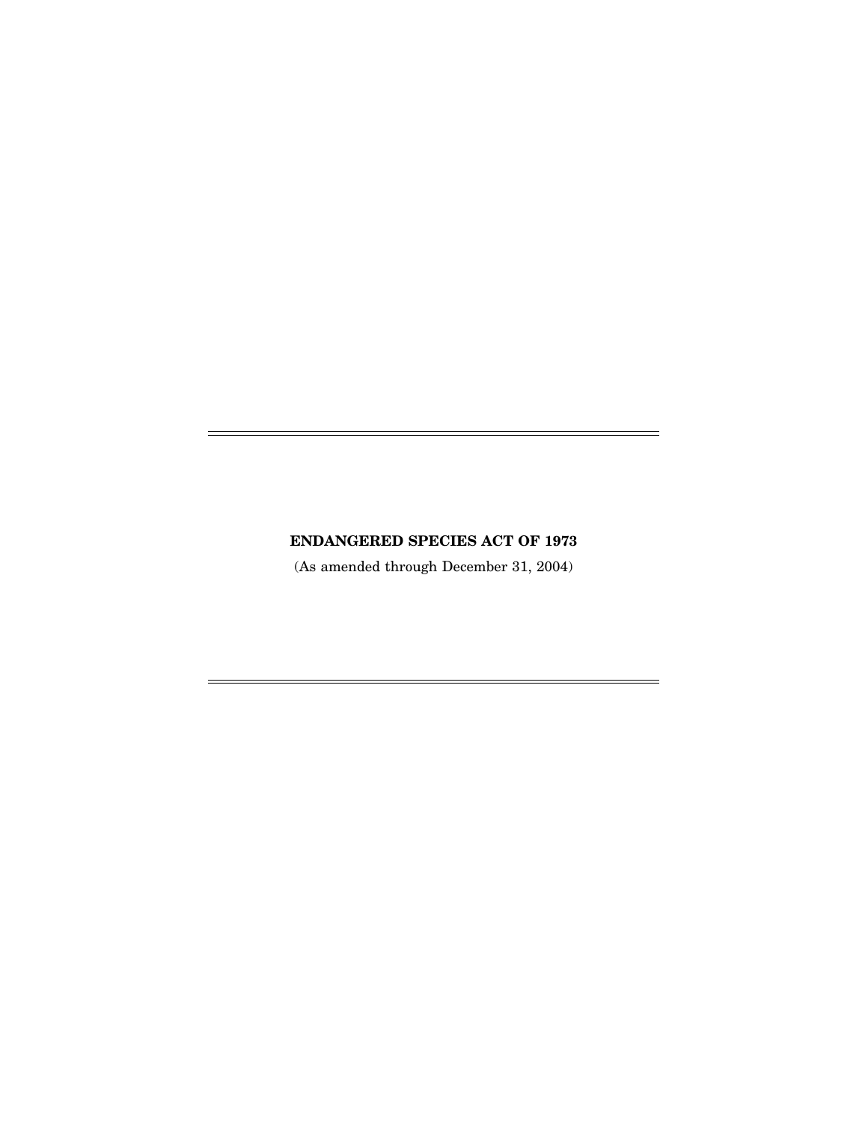# ENDANGERED SPECIES ACT OF 1973

÷

(As amended through December 31, 2004)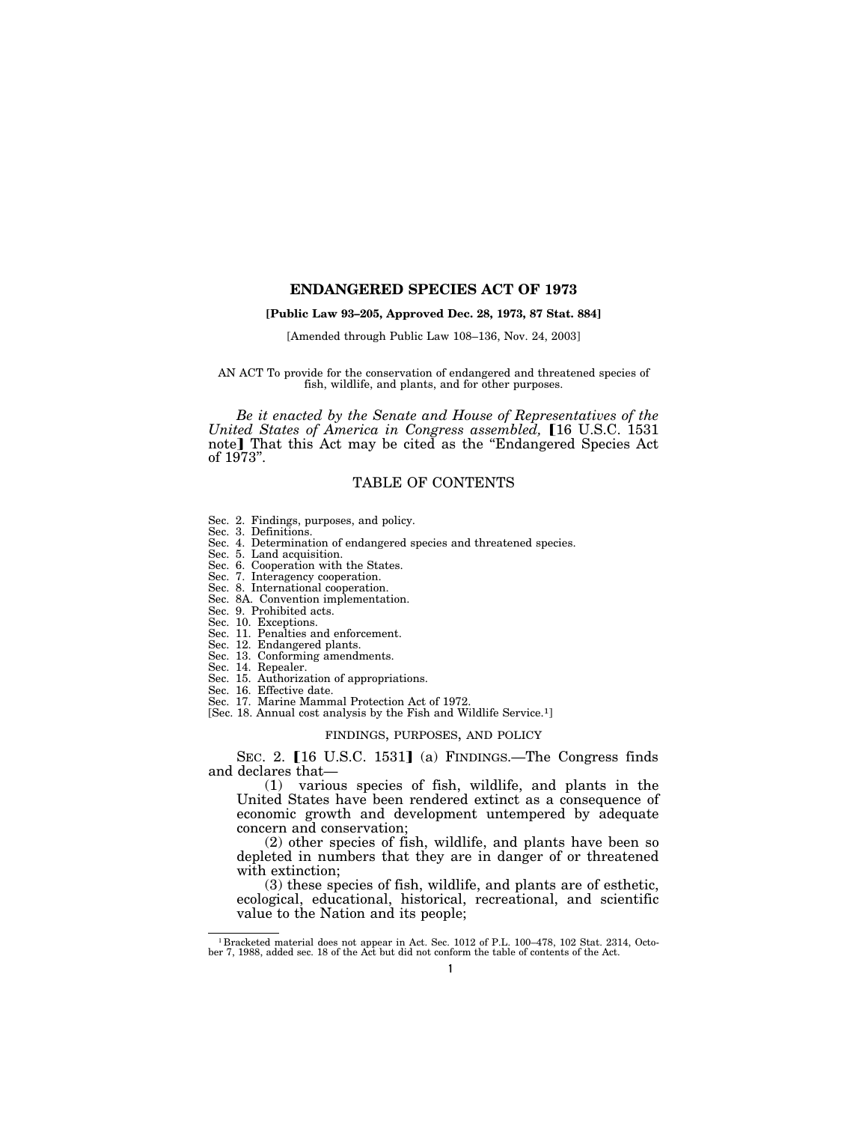# ENDANGERED SPECIES ACT OF 1973

### [Public Law 93–205, Approved Dec. 28, 1973, 87 Stat. 884]

[Amended through Public Law 108–136, Nov. 24, 2003]

## AN ACT To provide for the conservation of endangered and threatened species of fish, wildlife, and plants, and for other purposes.

Be it enacted by the Senate and House of Representatives of the United States of America in Congress assembled, [16 U.S.C. 1531 note] That this Act may be cited as the "Endangered Species Act of 1973''.

# TABLE OF CONTENTS

- Sec. 2. Findings, purposes, and policy.
- Sec. 3. Definitions.
- Sec. 4. Determination of endangered species and threatened species.
- 
- Sec. 5. Land acquisition. Sec. 6. Cooperation with the States.
- Sec. 7. Interagency cooperation.
- Sec. 8. International cooperation.
- Sec. 8A. Convention implementation.
- Sec. 9. Prohibited acts.
- Sec. 10. Exceptions.
- Sec. 11. Penalties and enforcement.
- Sec. 12. Endangered plants.
- Sec. 13. Conforming amendments.
- Sec. 14. Repealer.
- Sec. 15. Authorization of appropriations.
- Sec. 16. Effective date.
- Sec. 17. Marine Mammal Protection Act of 1972. [Sec. 18. Annual cost analysis by the Fish and Wildlife Service.<sup>1</sup>]
	- FINDINGS, PURPOSES, AND POLICY

SEC. 2.  $[16 \text{ U.S.C. } 1531]$  (a) FINDINGS.—The Congress finds and declares that—

(1) various species of fish, wildlife, and plants in the United States have been rendered extinct as a consequence of economic growth and development untempered by adequate concern and conservation;

(2) other species of fish, wildlife, and plants have been so depleted in numbers that they are in danger of or threatened with extinction;

(3) these species of fish, wildlife, and plants are of esthetic, ecological, educational, historical, recreational, and scientific value to the Nation and its people;

<sup>1</sup> Bracketed material does not appear in Act. Sec. 1012 of P.L. 100–478, 102 Stat. 2314, October 7, 1988, added sec. 18 of the Act but did not conform the table of contents of the Act.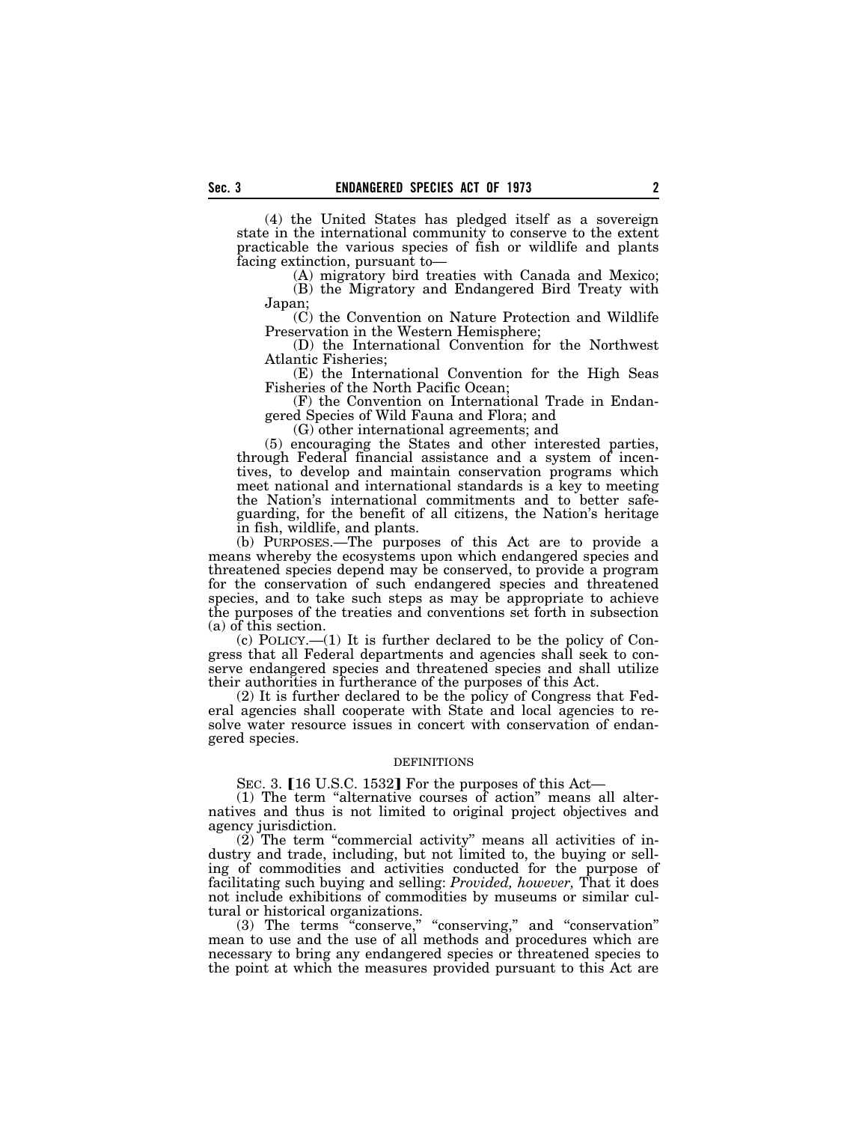(4) the United States has pledged itself as a sovereign state in the international community to conserve to the extent practicable the various species of fish or wildlife and plants facing extinction, pursuant to—

(A) migratory bird treaties with Canada and Mexico;

(B) the Migratory and Endangered Bird Treaty with Japan;

(C) the Convention on Nature Protection and Wildlife Preservation in the Western Hemisphere;

(D) the International Convention for the Northwest Atlantic Fisheries;

(E) the International Convention for the High Seas Fisheries of the North Pacific Ocean;

(F) the Convention on International Trade in Endangered Species of Wild Fauna and Flora; and

(G) other international agreements; and

(5) encouraging the States and other interested parties, through Federal financial assistance and a system of incentives, to develop and maintain conservation programs which meet national and international standards is a key to meeting the Nation's international commitments and to better safeguarding, for the benefit of all citizens, the Nation's heritage in fish, wildlife, and plants.

(b) PURPOSES.—The purposes of this Act are to provide a means whereby the ecosystems upon which endangered species and threatened species depend may be conserved, to provide a program for the conservation of such endangered species and threatened species, and to take such steps as may be appropriate to achieve the purposes of the treaties and conventions set forth in subsection (a) of this section.

(c) POLICY.—(1) It is further declared to be the policy of Congress that all Federal departments and agencies shall seek to conserve endangered species and threatened species and shall utilize their authorities in furtherance of the purposes of this Act.

(2) It is further declared to be the policy of Congress that Federal agencies shall cooperate with State and local agencies to resolve water resource issues in concert with conservation of endangered species.

#### **DEFINITIONS**

SEC. 3.  $[16 \text{ U.S.C. } 1532]$  For the purposes of this Act—

(1) The term "alternative courses of action" means all alternatives and thus is not limited to original project objectives and agency jurisdiction.

 $(2)$  The term "commercial activity" means all activities of industry and trade, including, but not limited to, the buying or selling of commodities and activities conducted for the purpose of facilitating such buying and selling: *Provided, however,* That it does not include exhibitions of commodities by museums or similar cultural or historical organizations.

(3) The terms "conserve," "conserving," and "conservation" mean to use and the use of all methods and procedures which are necessary to bring any endangered species or threatened species to the point at which the measures provided pursuant to this Act are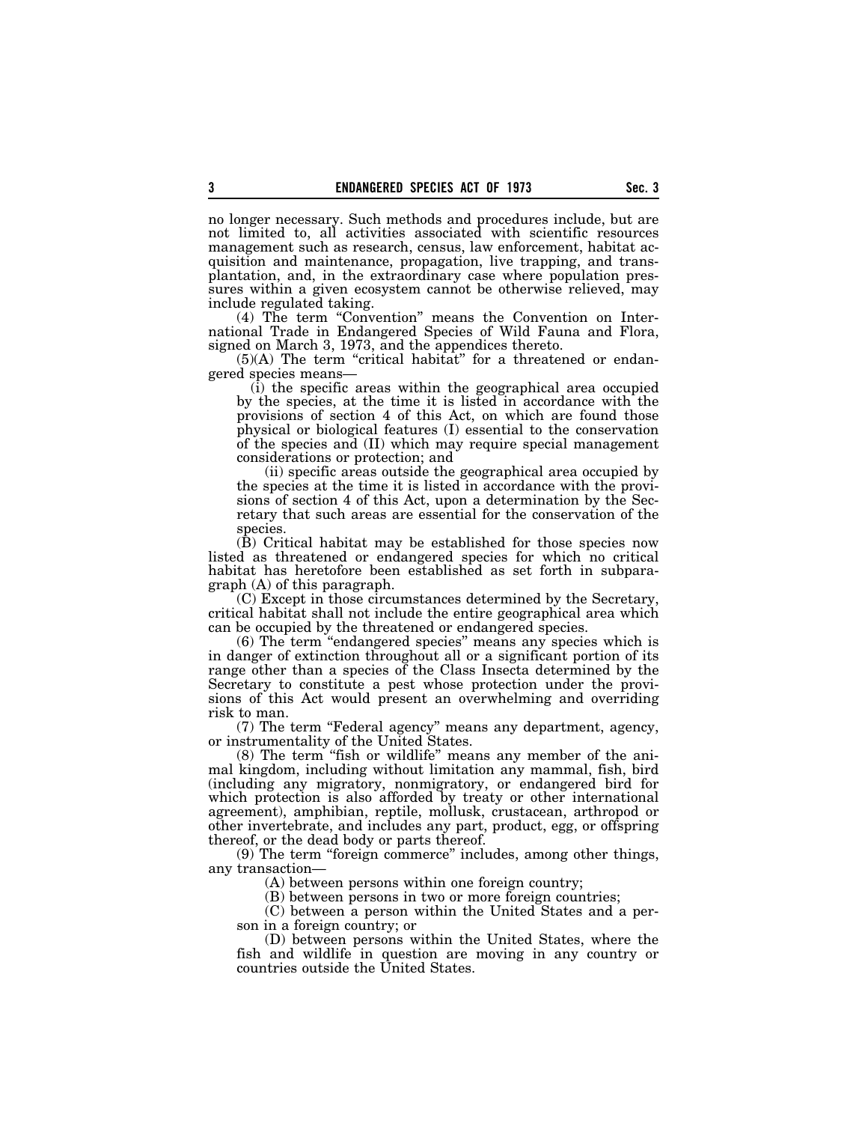no longer necessary. Such methods and procedures include, but are not limited to, all activities associated with scientific resources management such as research, census, law enforcement, habitat acquisition and maintenance, propagation, live trapping, and transplantation, and, in the extraordinary case where population pressures within a given ecosystem cannot be otherwise relieved, may include regulated taking.

(4) The term ''Convention'' means the Convention on International Trade in Endangered Species of Wild Fauna and Flora, signed on March 3, 1973, and the appendices thereto.

 $(5)(A)$  The term "critical habitat" for a threatened or endangered species means—

(i) the specific areas within the geographical area occupied by the species, at the time it is listed in accordance with the provisions of section 4 of this Act, on which are found those physical or biological features (I) essential to the conservation of the species and (II) which may require special management considerations or protection; and

(ii) specific areas outside the geographical area occupied by the species at the time it is listed in accordance with the provisions of section 4 of this Act, upon a determination by the Secretary that such areas are essential for the conservation of the species.

(B) Critical habitat may be established for those species now listed as threatened or endangered species for which no critical habitat has heretofore been established as set forth in subparagraph (A) of this paragraph.

(C) Except in those circumstances determined by the Secretary, critical habitat shall not include the entire geographical area which can be occupied by the threatened or endangered species.

(6) The term ''endangered species'' means any species which is in danger of extinction throughout all or a significant portion of its range other than a species of the Class Insecta determined by the Secretary to constitute a pest whose protection under the provisions of this Act would present an overwhelming and overriding risk to man.

(7) The term ''Federal agency'' means any department, agency, or instrumentality of the United States.

(8) The term ''fish or wildlife'' means any member of the animal kingdom, including without limitation any mammal, fish, bird (including any migratory, nonmigratory, or endangered bird for which protection is also afforded by treaty or other international agreement), amphibian, reptile, mollusk, crustacean, arthropod or other invertebrate, and includes any part, product, egg, or offspring thereof, or the dead body or parts thereof.

(9) The term ''foreign commerce'' includes, among other things, any transaction—

(A) between persons within one foreign country;

(B) between persons in two or more foreign countries;

(C) between a person within the United States and a person in a foreign country; or

(D) between persons within the United States, where the fish and wildlife in question are moving in any country or countries outside the United States.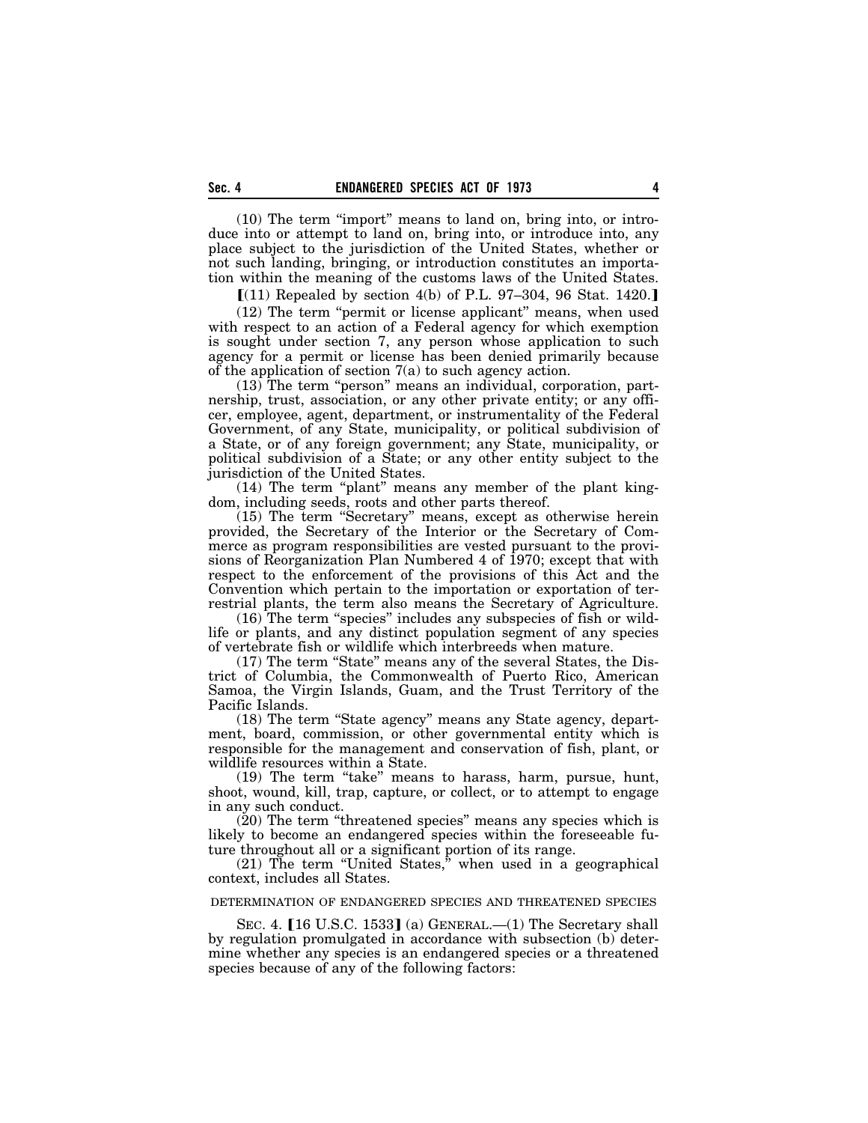(10) The term ''import'' means to land on, bring into, or introduce into or attempt to land on, bring into, or introduce into, any place subject to the jurisdiction of the United States, whether or not such landing, bringing, or introduction constitutes an importation within the meaning of the customs laws of the United States.

 $(11)$  Repealed by section 4(b) of P.L. 97–304, 96 Stat. 1420.

(12) The term ''permit or license applicant'' means, when used with respect to an action of a Federal agency for which exemption is sought under section 7, any person whose application to such agency for a permit or license has been denied primarily because  $\sigma$  if the application of section  $7(a)$  to such agency action.

 $(13)$  The term "person" means an individual, corporation, partnership, trust, association, or any other private entity; or any officer, employee, agent, department, or instrumentality of the Federal Government, of any State, municipality, or political subdivision of a State, or of any foreign government; any State, municipality, or political subdivision of a State; or any other entity subject to the jurisdiction of the United States.

(14) The term "plant" means any member of the plant kingdom, including seeds, roots and other parts thereof.

(15) The term ''Secretary'' means, except as otherwise herein provided, the Secretary of the Interior or the Secretary of Commerce as program responsibilities are vested pursuant to the provisions of Reorganization Plan Numbered 4 of 1970; except that with respect to the enforcement of the provisions of this Act and the Convention which pertain to the importation or exportation of terrestrial plants, the term also means the Secretary of Agriculture.

(16) The term ''species'' includes any subspecies of fish or wildlife or plants, and any distinct population segment of any species of vertebrate fish or wildlife which interbreeds when mature.

(17) The term ''State'' means any of the several States, the District of Columbia, the Commonwealth of Puerto Rico, American Samoa, the Virgin Islands, Guam, and the Trust Territory of the Pacific Islands.

(18) The term ''State agency'' means any State agency, department, board, commission, or other governmental entity which is responsible for the management and conservation of fish, plant, or wildlife resources within a State.

(19) The term ''take'' means to harass, harm, pursue, hunt, shoot, wound, kill, trap, capture, or collect, or to attempt to engage in any such conduct.

(20) The term ''threatened species'' means any species which is likely to become an endangered species within the foreseeable future throughout all or a significant portion of its range.

 $(21)$  The term "United States," when used in a geographical context, includes all States.

## DETERMINATION OF ENDANGERED SPECIES AND THREATENED SPECIES

SEC. 4.  $[16 \text{ U.S.C. } 1533]$  (a) GENERAL.—(1) The Secretary shall by regulation promulgated in accordance with subsection (b) determine whether any species is an endangered species or a threatened species because of any of the following factors: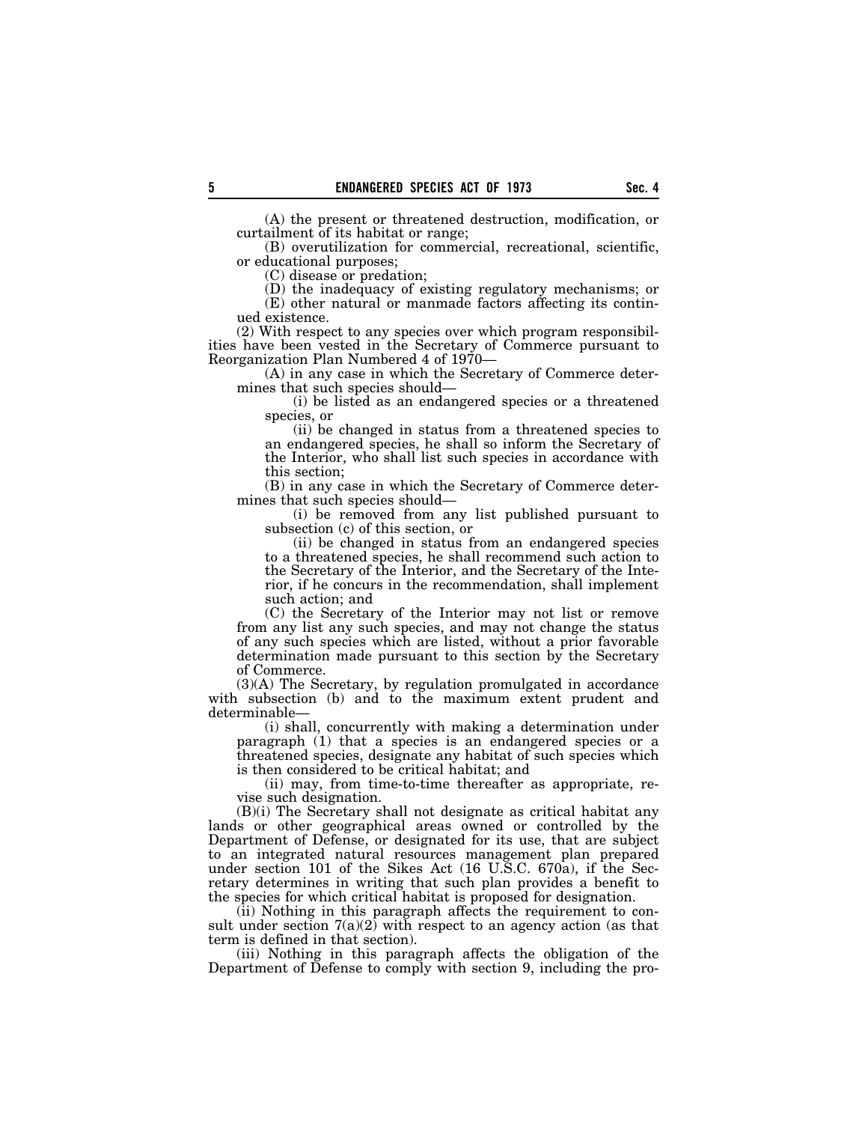(A) the present or threatened destruction, modification, or curtailment of its habitat or range;

(B) overutilization for commercial, recreational, scientific, or educational purposes;

(C) disease or predation;

(D) the inadequacy of existing regulatory mechanisms; or (E) other natural or manmade factors affecting its continued existence.

(2) With respect to any species over which program responsibilities have been vested in the Secretary of Commerce pursuant to Reorganization Plan Numbered 4 of 1970—

(A) in any case in which the Secretary of Commerce determines that such species should—

(i) be listed as an endangered species or a threatened species, or

(ii) be changed in status from a threatened species to an endangered species, he shall so inform the Secretary of the Interior, who shall list such species in accordance with this section;

(B) in any case in which the Secretary of Commerce determines that such species should—

(i) be removed from any list published pursuant to subsection (c) of this section, or

(ii) be changed in status from an endangered species to a threatened species, he shall recommend such action to the Secretary of the Interior, and the Secretary of the Interior, if he concurs in the recommendation, shall implement such action; and

(C) the Secretary of the Interior may not list or remove from any list any such species, and may not change the status of any such species which are listed, without a prior favorable determination made pursuant to this section by the Secretary of Commerce.

(3)(A) The Secretary, by regulation promulgated in accordance with subsection (b) and to the maximum extent prudent and determinable—

(i) shall, concurrently with making a determination under paragraph (1) that a species is an endangered species or a threatened species, designate any habitat of such species which is then considered to be critical habitat; and

(ii) may, from time-to-time thereafter as appropriate, revise such designation.

(B)(i) The Secretary shall not designate as critical habitat any lands or other geographical areas owned or controlled by the Department of Defense, or designated for its use, that are subject to an integrated natural resources management plan prepared under section 101 of the Sikes Act (16 U.S.C. 670a), if the Secretary determines in writing that such plan provides a benefit to the species for which critical habitat is proposed for designation.

(ii) Nothing in this paragraph affects the requirement to consult under section  $7(a)(2)$  with respect to an agency action (as that term is defined in that section).

(iii) Nothing in this paragraph affects the obligation of the Department of Defense to comply with section 9, including the pro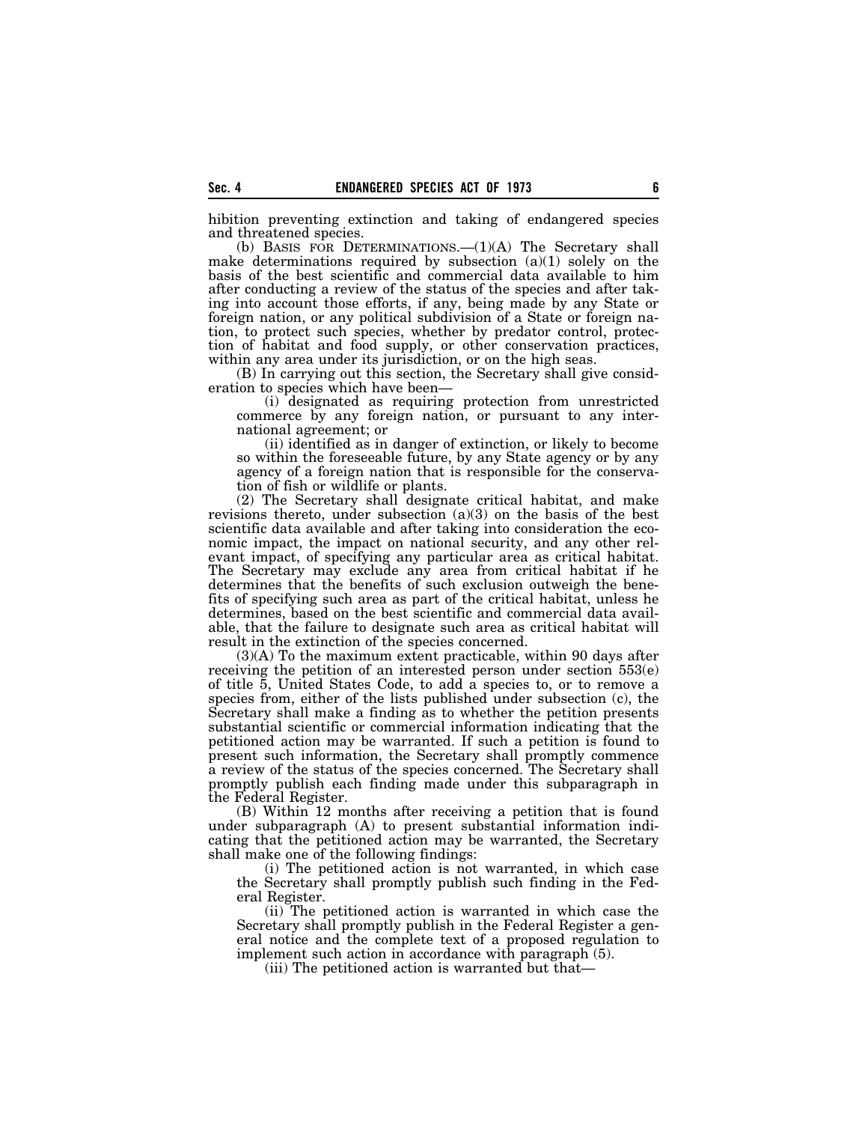hibition preventing extinction and taking of endangered species and threatened species.

(b) BASIS FOR DETERMINATIONS.—(1)(A) The Secretary shall make determinations required by subsection  $(a)(1)$  solely on the basis of the best scientific and commercial data available to him after conducting a review of the status of the species and after taking into account those efforts, if any, being made by any State or foreign nation, or any political subdivision of a State or foreign nation, to protect such species, whether by predator control, protection of habitat and food supply, or other conservation practices, within any area under its jurisdiction, or on the high seas.

(B) In carrying out this section, the Secretary shall give consideration to species which have been—

(i) designated as requiring protection from unrestricted commerce by any foreign nation, or pursuant to any international agreement; or

(ii) identified as in danger of extinction, or likely to become so within the foreseeable future, by any State agency or by any agency of a foreign nation that is responsible for the conservation of fish or wildlife or plants.

(2) The Secretary shall designate critical habitat, and make revisions thereto, under subsection (a)(3) on the basis of the best scientific data available and after taking into consideration the economic impact, the impact on national security, and any other relevant impact, of specifying any particular area as critical habitat. The Secretary may exclude any area from critical habitat if he determines that the benefits of such exclusion outweigh the benefits of specifying such area as part of the critical habitat, unless he determines, based on the best scientific and commercial data available, that the failure to designate such area as critical habitat will result in the extinction of the species concerned.

(3)(A) To the maximum extent practicable, within 90 days after receiving the petition of an interested person under section 553(e) of title 5, United States Code, to add a species to, or to remove a species from, either of the lists published under subsection (c), the Secretary shall make a finding as to whether the petition presents substantial scientific or commercial information indicating that the petitioned action may be warranted. If such a petition is found to present such information, the Secretary shall promptly commence a review of the status of the species concerned. The Secretary shall promptly publish each finding made under this subparagraph in the Federal Register.

(B) Within 12 months after receiving a petition that is found under subparagraph (A) to present substantial information indicating that the petitioned action may be warranted, the Secretary shall make one of the following findings:

(i) The petitioned action is not warranted, in which case the Secretary shall promptly publish such finding in the Federal Register.

(ii) The petitioned action is warranted in which case the Secretary shall promptly publish in the Federal Register a general notice and the complete text of a proposed regulation to implement such action in accordance with paragraph (5).

(iii) The petitioned action is warranted but that—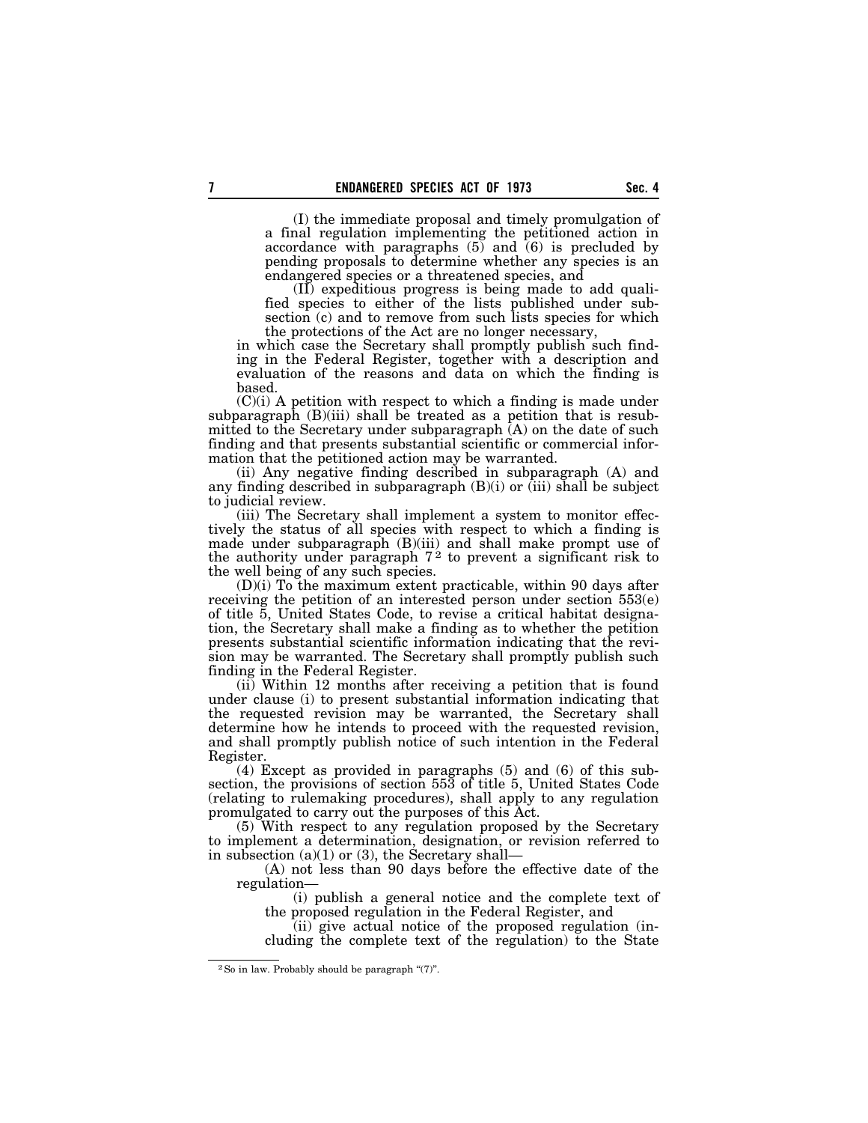(I) the immediate proposal and timely promulgation of a final regulation implementing the petitioned action in accordance with paragraphs  $(5)$  and  $(6)$  is precluded by pending proposals to determine whether any species is an endangered species or a threatened species, and

(II) expeditious progress is being made to add qualified species to either of the lists published under subsection (c) and to remove from such lists species for which the protections of the Act are no longer necessary,

in which case the Secretary shall promptly publish such finding in the Federal Register, together with a description and evaluation of the reasons and data on which the finding is based.

 $(C)(i)$  A petition with respect to which a finding is made under subparagraph  $(B)(iii)$  shall be treated as a petition that is resubmitted to the Secretary under subparagraph  $(A)$  on the date of such finding and that presents substantial scientific or commercial information that the petitioned action may be warranted.

(ii) Any negative finding described in subparagraph (A) and any finding described in subparagraph  $(B)(i)$  or  $(iii)$  shall be subject to judicial review.

(iii) The Secretary shall implement a system to monitor effectively the status of all species with respect to which a finding is made under subparagraph (B)(iii) and shall make prompt use of the authority under paragraph  $7<sup>2</sup>$  to prevent a significant risk to the well being of any such species.

(D)(i) To the maximum extent practicable, within 90 days after receiving the petition of an interested person under section 553(e) of title 5, United States Code, to revise a critical habitat designation, the Secretary shall make a finding as to whether the petition presents substantial scientific information indicating that the revision may be warranted. The Secretary shall promptly publish such finding in the Federal Register.

(ii) Within 12 months after receiving a petition that is found under clause (i) to present substantial information indicating that the requested revision may be warranted, the Secretary shall determine how he intends to proceed with the requested revision, and shall promptly publish notice of such intention in the Federal Register.

(4) Except as provided in paragraphs (5) and (6) of this subsection, the provisions of section 553 of title 5, United States Code (relating to rulemaking procedures), shall apply to any regulation promulgated to carry out the purposes of this Act.

(5) With respect to any regulation proposed by the Secretary to implement a determination, designation, or revision referred to in subsection (a)(1) or (3), the Secretary shall—

(A) not less than 90 days before the effective date of the regulation—

(i) publish a general notice and the complete text of the proposed regulation in the Federal Register, and

(ii) give actual notice of the proposed regulation (including the complete text of the regulation) to the State

 $2$  So in law. Probably should be paragraph " $(7)$ ".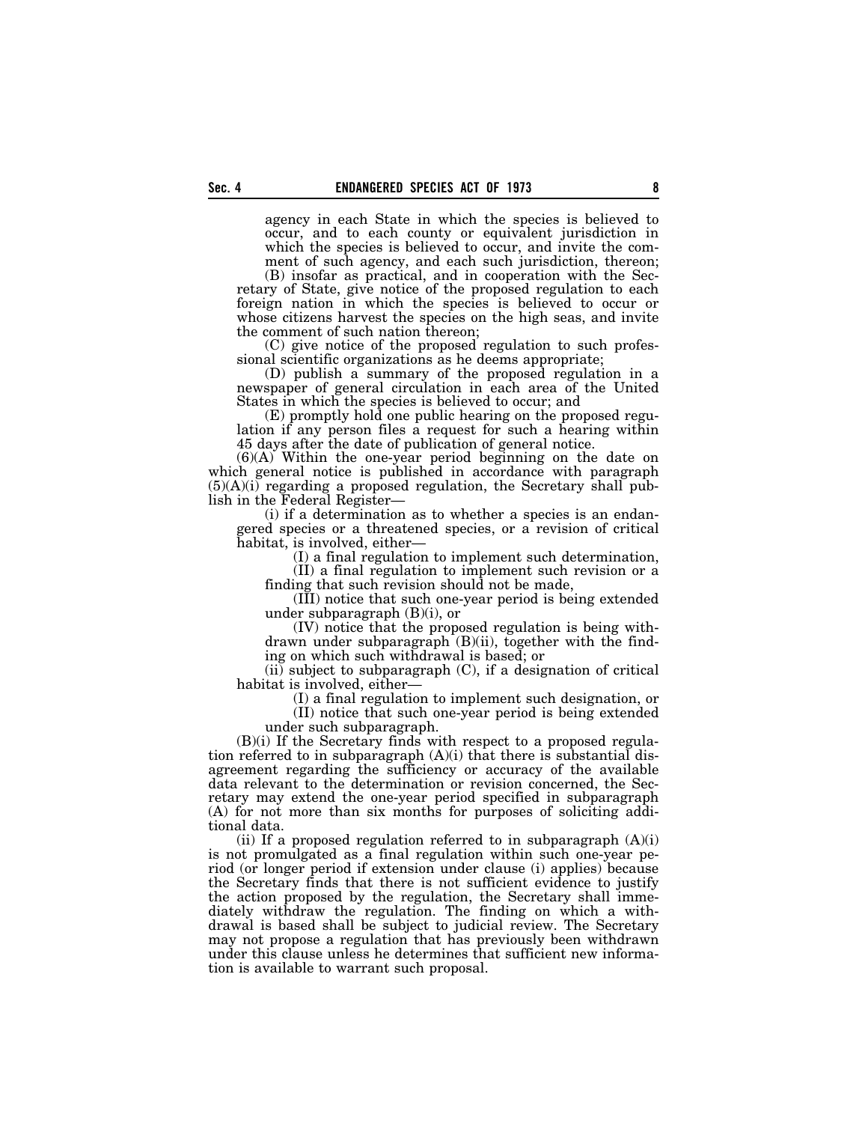agency in each State in which the species is believed to occur, and to each county or equivalent jurisdiction in which the species is believed to occur, and invite the comment of such agency, and each such jurisdiction, thereon;

(B) insofar as practical, and in cooperation with the Secretary of State, give notice of the proposed regulation to each foreign nation in which the species is believed to occur or whose citizens harvest the species on the high seas, and invite the comment of such nation thereon;

(C) give notice of the proposed regulation to such professional scientific organizations as he deems appropriate;

(D) publish a summary of the proposed regulation in a newspaper of general circulation in each area of the United States in which the species is believed to occur; and

(E) promptly hold one public hearing on the proposed regulation if any person files a request for such a hearing within 45 days after the date of publication of general notice.

(6)(A) Within the one-year period beginning on the date on which general notice is published in accordance with paragraph  $(5)(A)(i)$  regarding a proposed regulation, the Secretary shall publish in the Federal Register—

(i) if a determination as to whether a species is an endangered species or a threatened species, or a revision of critical habitat, is involved, either—

(I) a final regulation to implement such determination,

(II) a final regulation to implement such revision or a finding that such revision should not be made,

(III) notice that such one-year period is being extended under subparagraph (B)(i), or

(IV) notice that the proposed regulation is being withdrawn under subparagraph (B)(ii), together with the finding on which such withdrawal is based; or

(ii) subject to subparagraph (C), if a designation of critical habitat is involved, either-

(I) a final regulation to implement such designation, or

(II) notice that such one-year period is being extended under such subparagraph.

(B)(i) If the Secretary finds with respect to a proposed regulation referred to in subparagraph  $(A)(i)$  that there is substantial disagreement regarding the sufficiency or accuracy of the available data relevant to the determination or revision concerned, the Secretary may extend the one-year period specified in subparagraph (A) for not more than six months for purposes of soliciting additional data.

(ii) If a proposed regulation referred to in subparagraph  $(A)(i)$ is not promulgated as a final regulation within such one-year period (or longer period if extension under clause (i) applies) because the Secretary finds that there is not sufficient evidence to justify the action proposed by the regulation, the Secretary shall immediately withdraw the regulation. The finding on which a with- drawal is based shall be subject to judicial review. The Secretary may not propose a regulation that has previously been withdrawn under this clause unless he determines that sufficient new information is available to warrant such proposal.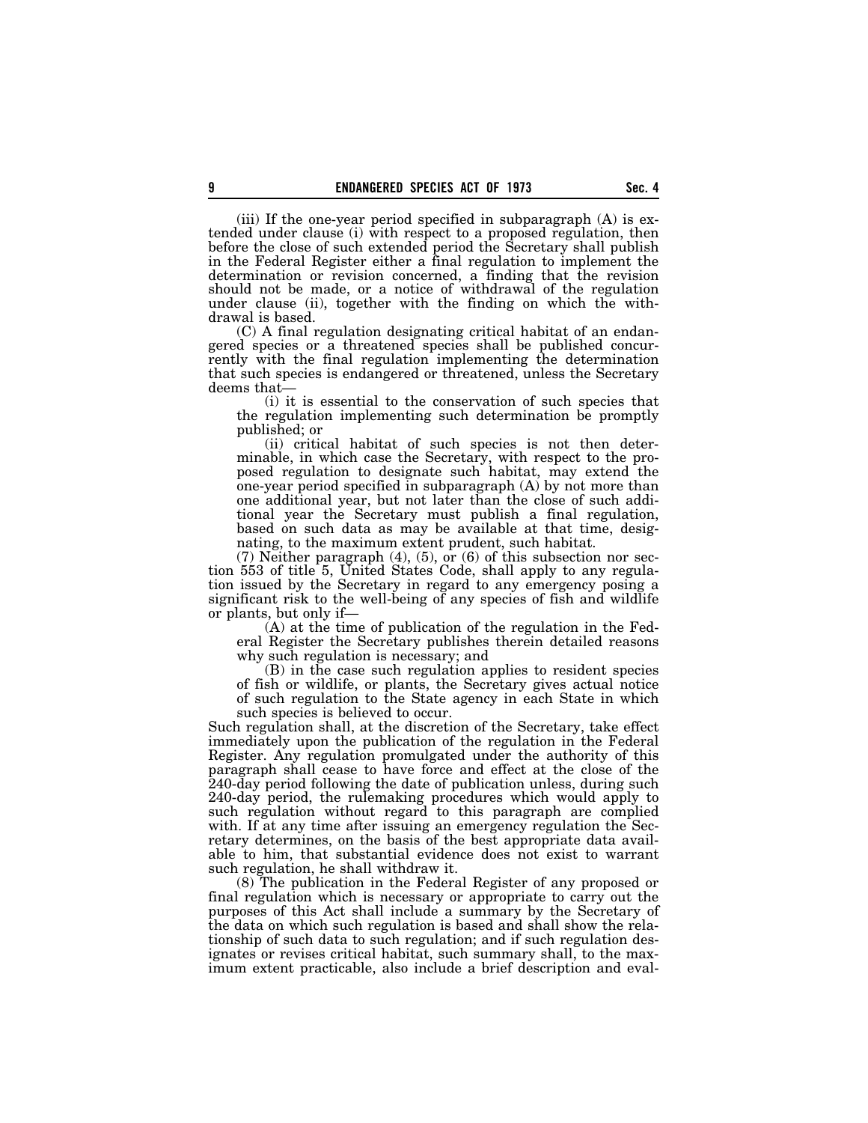(iii) If the one-year period specified in subparagraph (A) is extended under clause (i) with respect to a proposed regulation, then before the close of such extended period the Secretary shall publish in the Federal Register either a final regulation to implement the determination or revision concerned, a finding that the revision should not be made, or a notice of withdrawal of the regulation under clause (ii), together with the finding on which the with- drawal is based.

(C) A final regulation designating critical habitat of an endangered species or a threatened species shall be published concurrently with the final regulation implementing the determination that such species is endangered or threatened, unless the Secretary deems that—

(i) it is essential to the conservation of such species that the regulation implementing such determination be promptly published; or

(ii) critical habitat of such species is not then determinable, in which case the Secretary, with respect to the proposed regulation to designate such habitat, may extend the one-year period specified in subparagraph (A) by not more than one additional year, but not later than the close of such additional year the Secretary must publish a final regulation, based on such data as may be available at that time, designating, to the maximum extent prudent, such habitat.

 $(7)$  Neither paragraph  $(4)$ ,  $(5)$ , or  $(6)$  of this subsection nor section 553 of title 5, United States Code, shall apply to any regulation issued by the Secretary in regard to any emergency posing a significant risk to the well-being of any species of fish and wildlife or plants, but only if—

(A) at the time of publication of the regulation in the Federal Register the Secretary publishes therein detailed reasons why such regulation is necessary; and

(B) in the case such regulation applies to resident species of fish or wildlife, or plants, the Secretary gives actual notice of such regulation to the State agency in each State in which such species is believed to occur.

Such regulation shall, at the discretion of the Secretary, take effect immediately upon the publication of the regulation in the Federal Register. Any regulation promulgated under the authority of this paragraph shall cease to have force and effect at the close of the 240-day period following the date of publication unless, during such 240-day period, the rulemaking procedures which would apply to such regulation without regard to this paragraph are complied with. If at any time after issuing an emergency regulation the Secretary determines, on the basis of the best appropriate data available to him, that substantial evidence does not exist to warrant such regulation, he shall withdraw it.

(8) The publication in the Federal Register of any proposed or final regulation which is necessary or appropriate to carry out the purposes of this Act shall include a summary by the Secretary of the data on which such regulation is based and shall show the relationship of such data to such regulation; and if such regulation designates or revises critical habitat, such summary shall, to the maximum extent practicable, also include a brief description and eval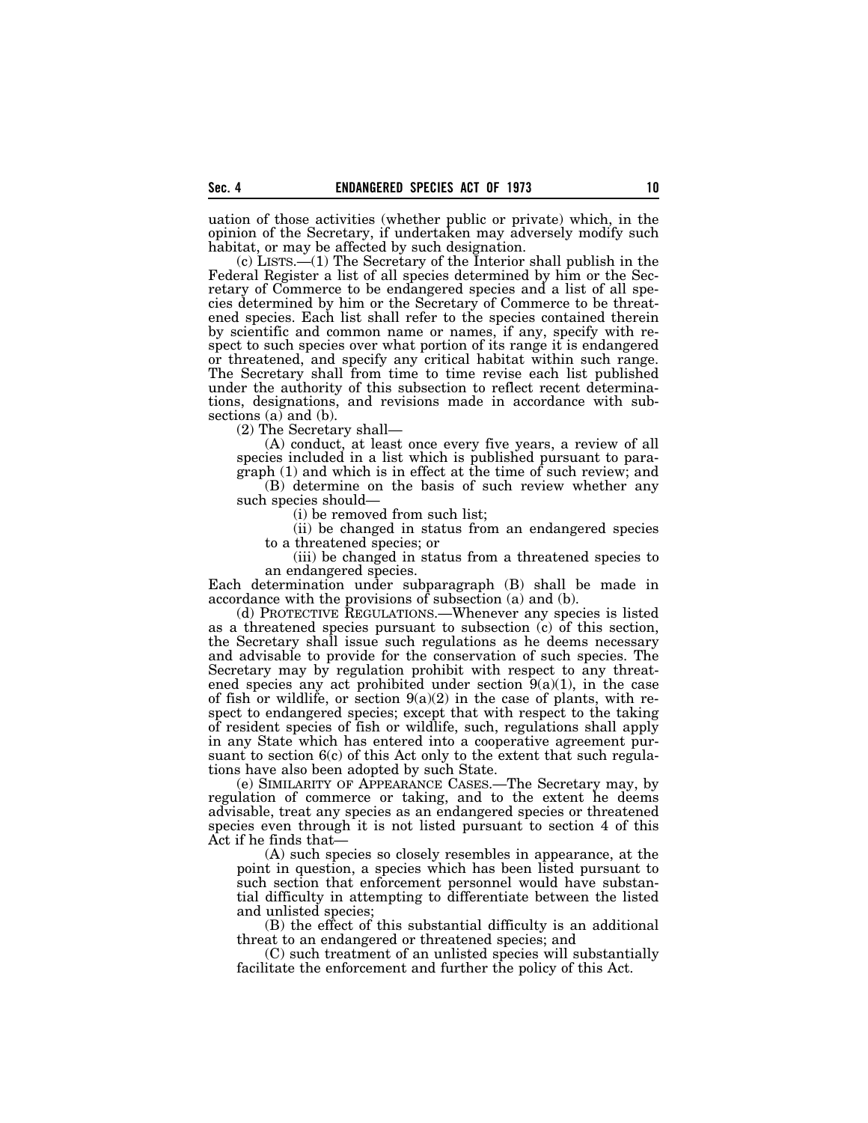uation of those activities (whether public or private) which, in the opinion of the Secretary, if undertaken may adversely modify such habitat, or may be affected by such designation.

(c) LISTS.—(1) The Secretary of the Interior shall publish in the Federal Register a list of all species determined by him or the Secretary of Commerce to be endangered species and a list of all species determined by him or the Secretary of Commerce to be threatened species. Each list shall refer to the species contained therein by scientific and common name or names, if any, specify with respect to such species over what portion of its range it is endangered or threatened, and specify any critical habitat within such range. The Secretary shall from time to time revise each list published under the authority of this subsection to reflect recent determinations, designations, and revisions made in accordance with subsections (a) and (b).

(2) The Secretary shall—

(A) conduct, at least once every five years, a review of all species included in a list which is published pursuant to paragraph (1) and which is in effect at the time of such review; and

(B) determine on the basis of such review whether any such species should—

(i) be removed from such list;

(ii) be changed in status from an endangered species to a threatened species; or

(iii) be changed in status from a threatened species to an endangered species.

Each determination under subparagraph (B) shall be made in accordance with the provisions of subsection (a) and (b).

(d) PROTECTIVE REGULATIONS.—Whenever any species is listed as a threatened species pursuant to subsection (c) of this section, the Secretary shall issue such regulations as he deems necessary and advisable to provide for the conservation of such species. The Secretary may by regulation prohibit with respect to any threatened species any act prohibited under section  $\overline{9}(a)(1)$ , in the case of fish or wildlife, or section  $9(a)(2)$  in the case of plants, with respect to endangered species; except that with respect to the taking of resident species of fish or wildlife, such, regulations shall apply in any State which has entered into a cooperative agreement pursuant to section 6(c) of this Act only to the extent that such regulations have also been adopted by such State.

(e) SIMILARITY OF APPEARANCE CASES.—The Secretary may, by regulation of commerce or taking, and to the extent he deems advisable, treat any species as an endangered species or threatened species even through it is not listed pursuant to section 4 of this Act if he finds that—

(A) such species so closely resembles in appearance, at the point in question, a species which has been listed pursuant to such section that enforcement personnel would have substantial difficulty in attempting to differentiate between the listed and unlisted species;

(B) the effect of this substantial difficulty is an additional threat to an endangered or threatened species; and

(C) such treatment of an unlisted species will substantially facilitate the enforcement and further the policy of this Act.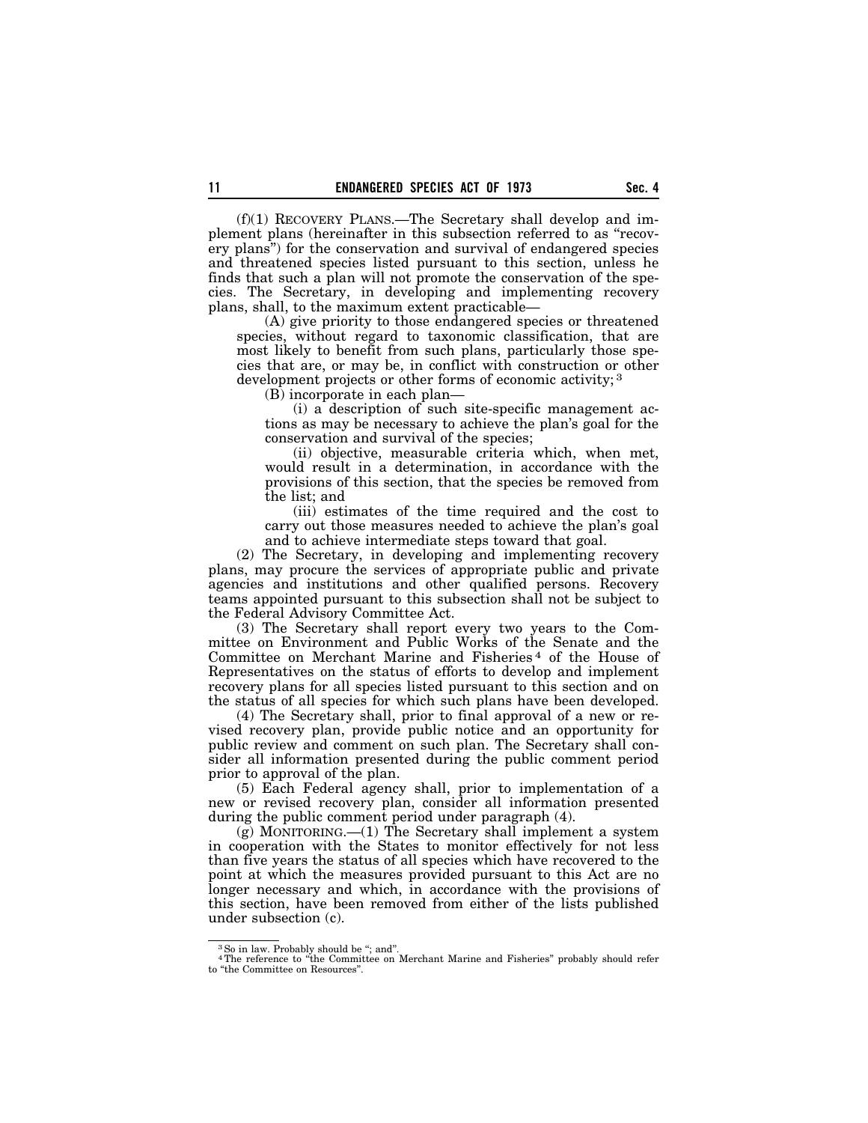(f)(1) RECOVERY PLANS.—The Secretary shall develop and implement plans (hereinafter in this subsection referred to as ''recovery plans'') for the conservation and survival of endangered species and threatened species listed pursuant to this section, unless he finds that such a plan will not promote the conservation of the species. The Secretary, in developing and implementing recovery plans, shall, to the maximum extent practicable—

(A) give priority to those endangered species or threatened species, without regard to taxonomic classification, that are most likely to benefit from such plans, particularly those species that are, or may be, in conflict with construction or other development projects or other forms of economic activity;<sup>3</sup>

(B) incorporate in each plan—

(i) a description of such site-specific management actions as may be necessary to achieve the plan's goal for the conservation and survival of the species;

(ii) objective, measurable criteria which, when met, would result in a determination, in accordance with the provisions of this section, that the species be removed from the list; and

(iii) estimates of the time required and the cost to carry out those measures needed to achieve the plan's goal and to achieve intermediate steps toward that goal.

(2) The Secretary, in developing and implementing recovery plans, may procure the services of appropriate public and private agencies and institutions and other qualified persons. Recovery teams appointed pursuant to this subsection shall not be subject to the Federal Advisory Committee Act.

(3) The Secretary shall report every two years to the Committee on Environment and Public Works of the Senate and the Committee on Merchant Marine and Fisheries 4 of the House of Representatives on the status of efforts to develop and implement recovery plans for all species listed pursuant to this section and on the status of all species for which such plans have been developed.

(4) The Secretary shall, prior to final approval of a new or revised recovery plan, provide public notice and an opportunity for public review and comment on such plan. The Secretary shall consider all information presented during the public comment period prior to approval of the plan.

(5) Each Federal agency shall, prior to implementation of a new or revised recovery plan, consider all information presented during the public comment period under paragraph (4).

(g) MONITORING.—(1) The Secretary shall implement a system in cooperation with the States to monitor effectively for not less than five years the status of all species which have recovered to the point at which the measures provided pursuant to this Act are no longer necessary and which, in accordance with the provisions of this section, have been removed from either of the lists published under subsection (c).

 $^3$  So in law. Probably should be "; and".  $^4$ The reference to "the Committee on Merchant Marine and Fisheries" probably should reference to "the Committee on Merchant Marine and Fisheries" probably should refer to ''the Committee on Resources''.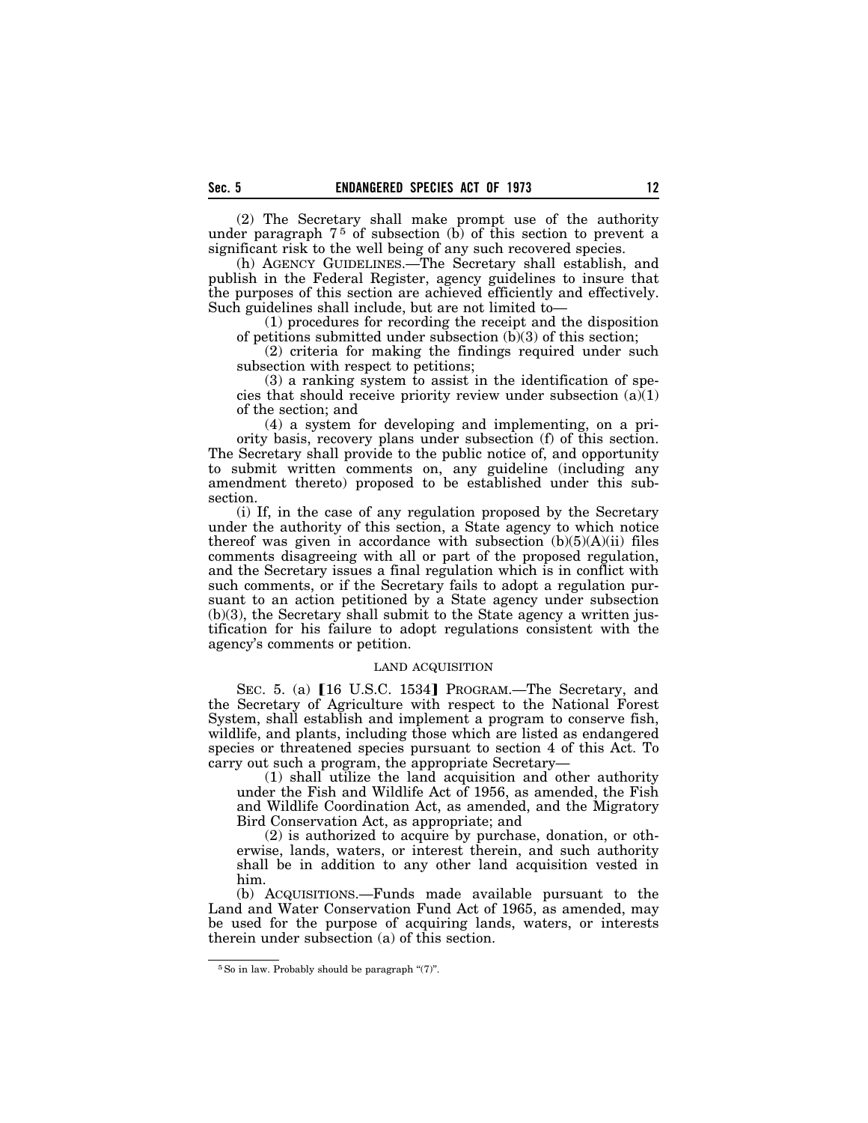(2) The Secretary shall make prompt use of the authority under paragraph  $7<sup>5</sup>$  of subsection (b) of this section to prevent a significant risk to the well being of any such recovered species.

(h) AGENCY GUIDELINES.—The Secretary shall establish, and publish in the Federal Register, agency guidelines to insure that the purposes of this section are achieved efficiently and effectively. Such guidelines shall include, but are not limited to—

(1) procedures for recording the receipt and the disposition of petitions submitted under subsection  $(b)(3)$  of this section;

(2) criteria for making the findings required under such subsection with respect to petitions;

(3) a ranking system to assist in the identification of species that should receive priority review under subsection  $(a)$  $(1)$ of the section; and

(4) a system for developing and implementing, on a priority basis, recovery plans under subsection (f) of this section. The Secretary shall provide to the public notice of, and opportunity to submit written comments on, any guideline (including any amendment thereto) proposed to be established under this subsection.

(i) If, in the case of any regulation proposed by the Secretary under the authority of this section, a State agency to which notice thereof was given in accordance with subsection  $(b)(5)(A)(ii)$  files comments disagreeing with all or part of the proposed regulation, and the Secretary issues a final regulation which is in conflict with such comments, or if the Secretary fails to adopt a regulation pursuant to an action petitioned by a State agency under subsection (b)(3), the Secretary shall submit to the State agency a written justification for his failure to adopt regulations consistent with the agency's comments or petition.

### LAND ACQUISITION

SEC. 5. (a) [16 U.S.C. 1534] PROGRAM.—The Secretary, and the Secretary of Agriculture with respect to the National Forest System, shall establish and implement a program to conserve fish, wildlife, and plants, including those which are listed as endangered species or threatened species pursuant to section 4 of this Act. To carry out such a program, the appropriate Secretary—

(1) shall utilize the land acquisition and other authority under the Fish and Wildlife Act of 1956, as amended, the Fish and Wildlife Coordination Act, as amended, and the Migratory Bird Conservation Act, as appropriate; and

(2) is authorized to acquire by purchase, donation, or otherwise, lands, waters, or interest therein, and such authority shall be in addition to any other land acquisition vested in him.

(b) ACQUISITIONS.—Funds made available pursuant to the Land and Water Conservation Fund Act of 1965, as amended, may be used for the purpose of acquiring lands, waters, or interests therein under subsection (a) of this section.

 $5S$ o in law. Probably should be paragraph "(7)".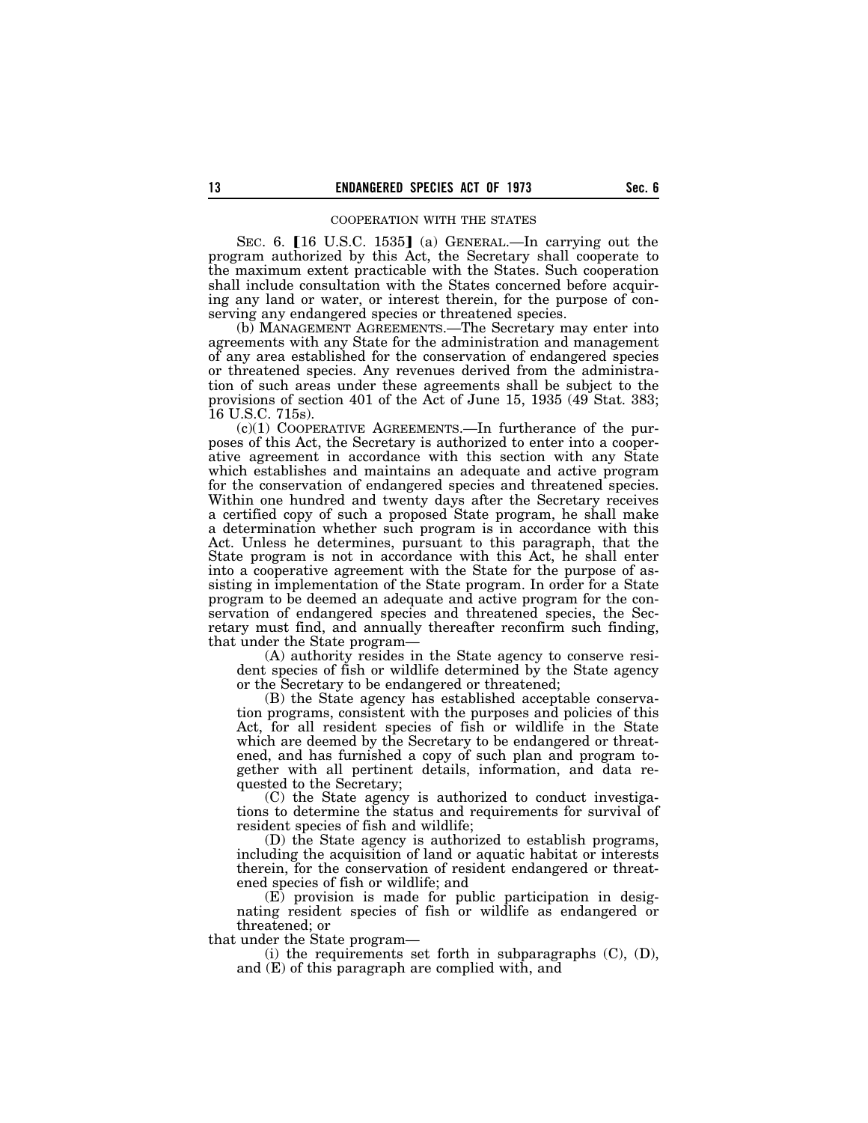#### COOPERATION WITH THE STATES

SEC. 6.  $[16 \text{ U.S.C. } 1535]$  (a) GENERAL.—In carrying out the program authorized by this Act, the Secretary shall cooperate to the maximum extent practicable with the States. Such cooperation shall include consultation with the States concerned before acquiring any land or water, or interest therein, for the purpose of conserving any endangered species or threatened species.

(b) MANAGEMENT AGREEMENTS.—The Secretary may enter into agreements with any State for the administration and management of any area established for the conservation of endangered species or threatened species. Any revenues derived from the administration of such areas under these agreements shall be subject to the provisions of section 401 of the Act of June 15, 1935 (49 Stat. 383; 16 U.S.C. 715s).

 $(c)(1)$  COOPERATIVE AGREEMENTS.—In furtherance of the purposes of this Act, the Secretary is authorized to enter into a cooperative agreement in accordance with this section with any State which establishes and maintains an adequate and active program for the conservation of endangered species and threatened species. Within one hundred and twenty days after the Secretary receives a certified copy of such a proposed State program, he shall make a determination whether such program is in accordance with this Act. Unless he determines, pursuant to this paragraph, that the State program is not in accordance with this Act, he shall enter into a cooperative agreement with the State for the purpose of assisting in implementation of the State program. In order for a State program to be deemed an adequate and active program for the conservation of endangered species and threatened species, the Secretary must find, and annually thereafter reconfirm such finding, that under the State program—

(A) authority resides in the State agency to conserve resident species of fish or wildlife determined by the State agency or the Secretary to be endangered or threatened;

(B) the State agency has established acceptable conservation programs, consistent with the purposes and policies of this Act, for all resident species of fish or wildlife in the State which are deemed by the Secretary to be endangered or threatened, and has furnished a copy of such plan and program together with all pertinent details, information, and data requested to the Secretary;

(C) the State agency is authorized to conduct investigations to determine the status and requirements for survival of resident species of fish and wildlife;

(D) the State agency is authorized to establish programs, including the acquisition of land or aquatic habitat or interests therein, for the conservation of resident endangered or threatened species of fish or wildlife; and

(E) provision is made for public participation in designating resident species of fish or wildlife as endangered or threatened; or

that under the State program—

(i) the requirements set forth in subparagraphs  $(C)$ ,  $(D)$ , and (E) of this paragraph are complied with, and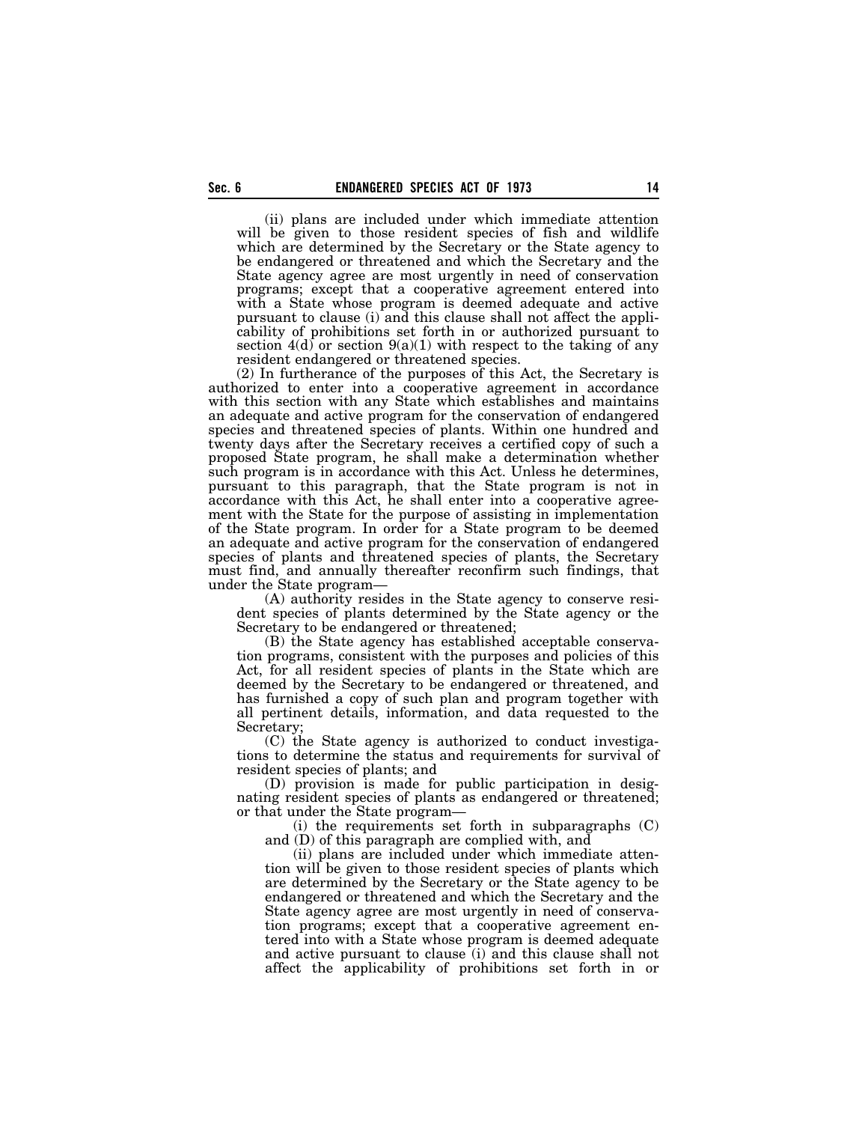(ii) plans are included under which immediate attention will be given to those resident species of fish and wildlife which are determined by the Secretary or the State agency to be endangered or threatened and which the Secretary and the State agency agree are most urgently in need of conservation programs; except that a cooperative agreement entered into with a State whose program is deemed adequate and active pursuant to clause (i) and this clause shall not affect the applicability of prohibitions set forth in or authorized pursuant to section  $4(d)$  or section  $9(a)(1)$  with respect to the taking of any resident endangered or threatened species.

(2) In furtherance of the purposes of this Act, the Secretary is authorized to enter into a cooperative agreement in accordance with this section with any State which establishes and maintains an adequate and active program for the conservation of endangered species and threatened species of plants. Within one hundred and twenty days after the Secretary receives a certified copy of such a proposed State program, he shall make a determination whether such program is in accordance with this Act. Unless he determines, pursuant to this paragraph, that the State program is not in accordance with this Act, he shall enter into a cooperative agreement with the State for the purpose of assisting in implementation of the State program. In order for a State program to be deemed an adequate and active program for the conservation of endangered species of plants and threatened species of plants, the Secretary must find, and annually thereafter reconfirm such findings, that under the State program—

(A) authority resides in the State agency to conserve resident species of plants determined by the State agency or the Secretary to be endangered or threatened;

(B) the State agency has established acceptable conservation programs, consistent with the purposes and policies of this Act, for all resident species of plants in the State which are deemed by the Secretary to be endangered or threatened, and has furnished a copy of such plan and program together with all pertinent details, information, and data requested to the Secretary;

(C) the State agency is authorized to conduct investigations to determine the status and requirements for survival of resident species of plants; and

(D) provision is made for public participation in designating resident species of plants as endangered or threatened; or that under the State program—

(i) the requirements set forth in subparagraphs (C) and (D) of this paragraph are complied with, and

(ii) plans are included under which immediate attention will be given to those resident species of plants which are determined by the Secretary or the State agency to be endangered or threatened and which the Secretary and the State agency agree are most urgently in need of conservation programs; except that a cooperative agreement entered into with a State whose program is deemed adequate and active pursuant to clause (i) and this clause shall not affect the applicability of prohibitions set forth in or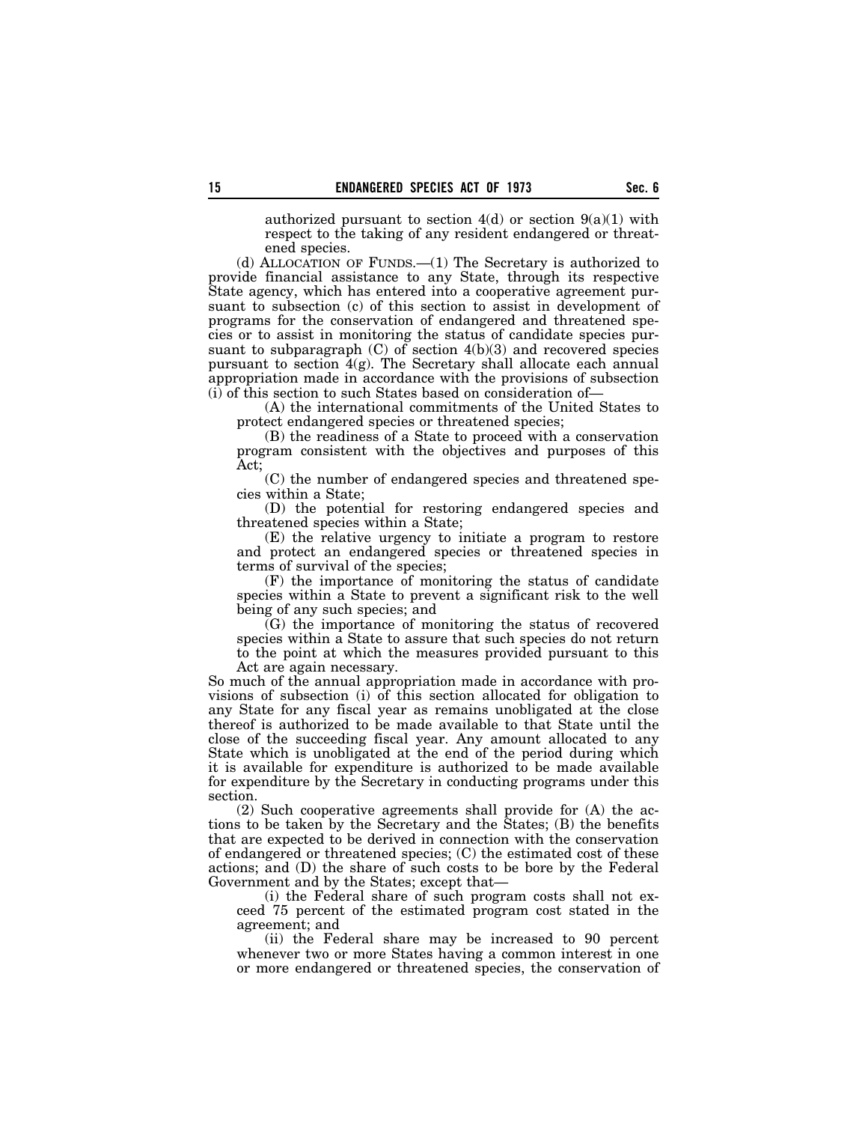authorized pursuant to section  $4(d)$  or section  $9(a)(1)$  with respect to the taking of any resident endangered or threatened species.

(d) ALLOCATION OF FUNDS.—(1) The Secretary is authorized to provide financial assistance to any State, through its respective State agency, which has entered into a cooperative agreement pursuant to subsection (c) of this section to assist in development of programs for the conservation of endangered and threatened species or to assist in monitoring the status of candidate species pursuant to subparagraph  $(C)$  of section  $4(b)(3)$  and recovered species pursuant to section 4(g). The Secretary shall allocate each annual appropriation made in accordance with the provisions of subsection (i) of this section to such States based on consideration of—

(A) the international commitments of the United States to protect endangered species or threatened species;

(B) the readiness of a State to proceed with a conservation program consistent with the objectives and purposes of this Act;

(C) the number of endangered species and threatened species within a State;

(D) the potential for restoring endangered species and threatened species within a State;

(E) the relative urgency to initiate a program to restore and protect an endangered species or threatened species in terms of survival of the species;

(F) the importance of monitoring the status of candidate species within a State to prevent a significant risk to the well being of any such species; and

(G) the importance of monitoring the status of recovered species within a State to assure that such species do not return to the point at which the measures provided pursuant to this Act are again necessary.

So much of the annual appropriation made in accordance with provisions of subsection (i) of this section allocated for obligation to any State for any fiscal year as remains unobligated at the close thereof is authorized to be made available to that State until the close of the succeeding fiscal year. Any amount allocated to any State which is unobligated at the end of the period during which it is available for expenditure is authorized to be made available for expenditure by the Secretary in conducting programs under this section.

(2) Such cooperative agreements shall provide for (A) the actions to be taken by the Secretary and the States; (B) the benefits that are expected to be derived in connection with the conservation of endangered or threatened species; (C) the estimated cost of these actions; and (D) the share of such costs to be bore by the Federal Government and by the States; except that—

(i) the Federal share of such program costs shall not exceed 75 percent of the estimated program cost stated in the agreement; and

(ii) the Federal share may be increased to 90 percent whenever two or more States having a common interest in one or more endangered or threatened species, the conservation of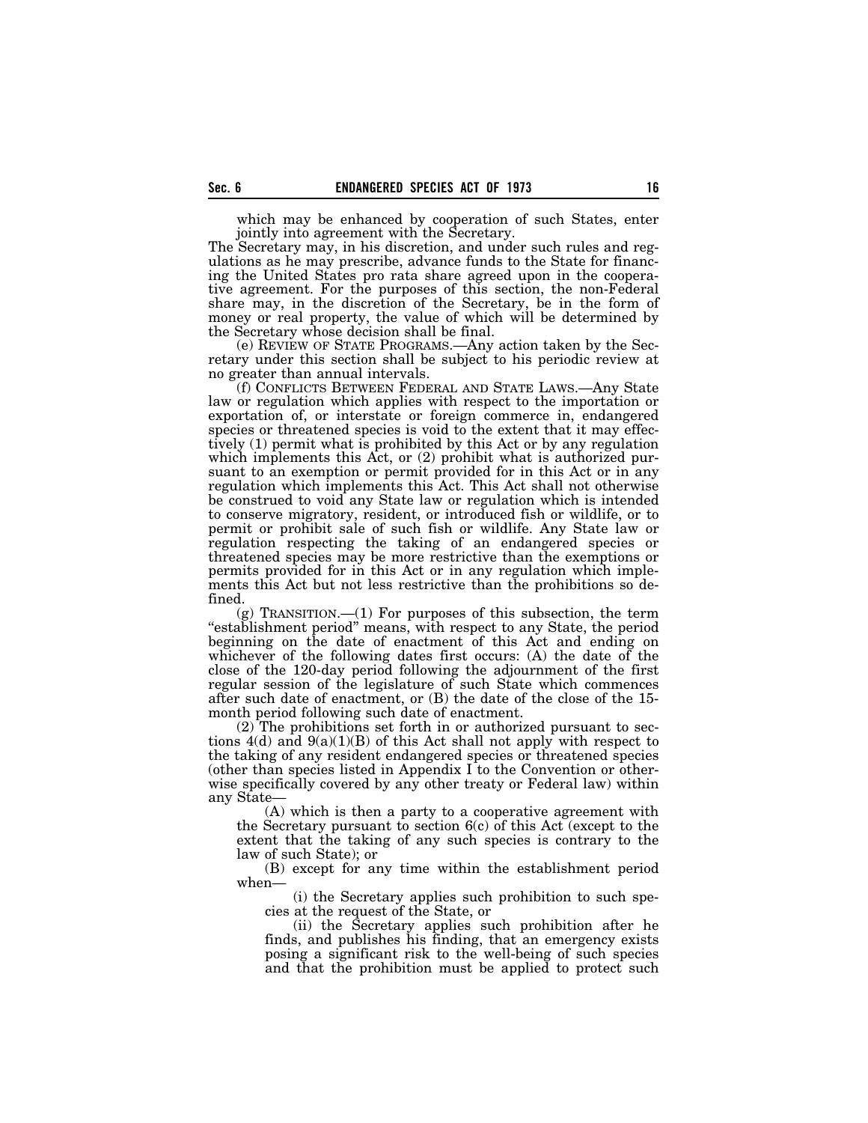which may be enhanced by cooperation of such States, enter jointly into agreement with the Secretary.

The Secretary may, in his discretion, and under such rules and regulations as he may prescribe, advance funds to the State for financing the United States pro rata share agreed upon in the cooperative agreement. For the purposes of this section, the non-Federal share may, in the discretion of the Secretary, be in the form of money or real property, the value of which will be determined by the Secretary whose decision shall be final.

(e) REVIEW OF STATE PROGRAMS.—Any action taken by the Secretary under this section shall be subject to his periodic review at no greater than annual intervals.

(f) CONFLICTS BETWEEN FEDERAL AND STATE LAWS.—Any State law or regulation which applies with respect to the importation or exportation of, or interstate or foreign commerce in, endangered species or threatened species is void to the extent that it may effectively (1) permit what is prohibited by this Act or by any regulation which implements this Act, or  $(2)$  prohibit what is authorized pursuant to an exemption or permit provided for in this Act or in any regulation which implements this Act. This Act shall not otherwise be construed to void any State law or regulation which is intended to conserve migratory, resident, or introduced fish or wildlife, or to permit or prohibit sale of such fish or wildlife. Any State law or regulation respecting the taking of an endangered species or threatened species may be more restrictive than the exemptions or permits provided for in this Act or in any regulation which implements this Act but not less restrictive than the prohibitions so defined.

 $(g)$  TRANSITION.—(1) For purposes of this subsection, the term "establishment period" means, with respect to any State, the period beginning on the date of enactment of this Act and ending on whichever of the following dates first occurs:  $(A)$  the date of the close of the 120-day period following the adjournment of the first regular session of the legislature of such State which commences after such date of enactment, or (B) the date of the close of the 15 month period following such date of enactment.

(2) The prohibitions set forth in or authorized pursuant to sections  $4(d)$  and  $9(a)(1)(B)$  of this Act shall not apply with respect to the taking of any resident endangered species or threatened species (other than species listed in Appendix I to the Convention or otherwise specifically covered by any other treaty or Federal law) within any State—

(A) which is then a party to a cooperative agreement with the Secretary pursuant to section 6(c) of this Act (except to the extent that the taking of any such species is contrary to the law of such State); or

(B) except for any time within the establishment period when—

(i) the Secretary applies such prohibition to such species at the request of the State, or

(ii) the Secretary applies such prohibition after he finds, and publishes his finding, that an emergency exists posing a significant risk to the well-being of such species and that the prohibition must be applied to protect such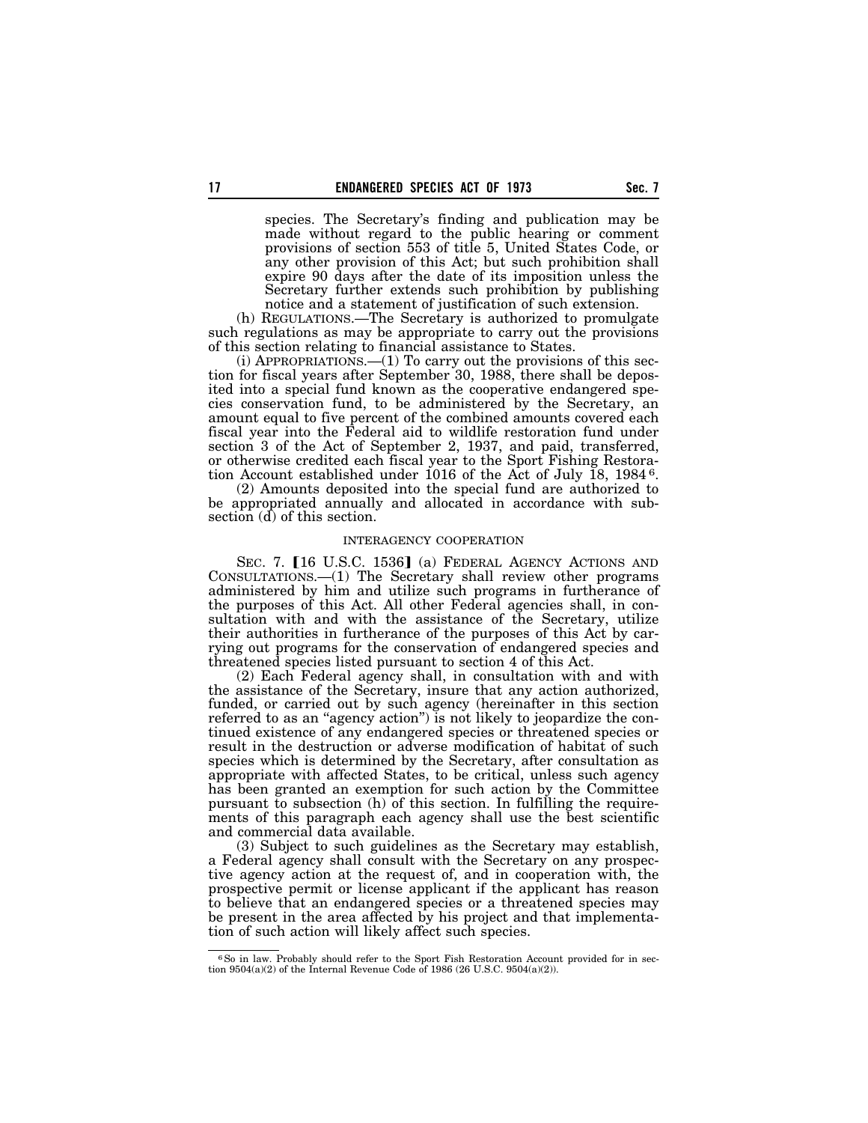species. The Secretary's finding and publication may be made without regard to the public hearing or comment provisions of section 553 of title 5, United States Code, or any other provision of this Act; but such prohibition shall expire 90 days after the date of its imposition unless the Secretary further extends such prohibition by publishing notice and a statement of justification of such extension.

(h) REGULATIONS.—The Secretary is authorized to promulgate such regulations as may be appropriate to carry out the provisions of this section relating to financial assistance to States.

 $(i)$  APPROPRIATIONS.— $(1)$  To carry out the provisions of this section for fiscal years after September 30, 1988, there shall be deposited into a special fund known as the cooperative endangered species conservation fund, to be administered by the Secretary, an amount equal to five percent of the combined amounts covered each fiscal year into the Federal aid to wildlife restoration fund under section 3 of the Act of September 2, 1937, and paid, transferred, or otherwise credited each fiscal year to the Sport Fishing Restoration Account established under 1016 of the Act of July 18, 1984 6.

(2) Amounts deposited into the special fund are authorized to be appropriated annually and allocated in accordance with subsection (d) of this section.

# INTERAGENCY COOPERATION

SEC. 7. [16 U.S.C. 1536] (a) FEDERAL AGENCY ACTIONS AND CONSULTATIONS.—(1) The Secretary shall review other programs administered by him and utilize such programs in furtherance of the purposes of this Act. All other Federal agencies shall, in consultation with and with the assistance of the Secretary, utilize their authorities in furtherance of the purposes of this Act by carrying out programs for the conservation of endangered species and threatened species listed pursuant to section 4 of this Act.

(2) Each Federal agency shall, in consultation with and with the assistance of the Secretary, insure that any action authorized, funded, or carried out by such agency (hereinafter in this section referred to as an ''agency action'') is not likely to jeopardize the continued existence of any endangered species or threatened species or result in the destruction or adverse modification of habitat of such species which is determined by the Secretary, after consultation as appropriate with affected States, to be critical, unless such agency has been granted an exemption for such action by the Committee pursuant to subsection (h) of this section. In fulfilling the requirements of this paragraph each agency shall use the best scientific and commercial data available.

(3) Subject to such guidelines as the Secretary may establish, a Federal agency shall consult with the Secretary on any prospective agency action at the request of, and in cooperation with, the prospective permit or license applicant if the applicant has reason to believe that an endangered species or a threatened species may be present in the area affected by his project and that implementation of such action will likely affect such species.

<sup>6</sup>So in law. Probably should refer to the Sport Fish Restoration Account provided for in section 9504(a)(2) of the Internal Revenue Code of 1986 (26 U.S.C. 9504(a)(2)).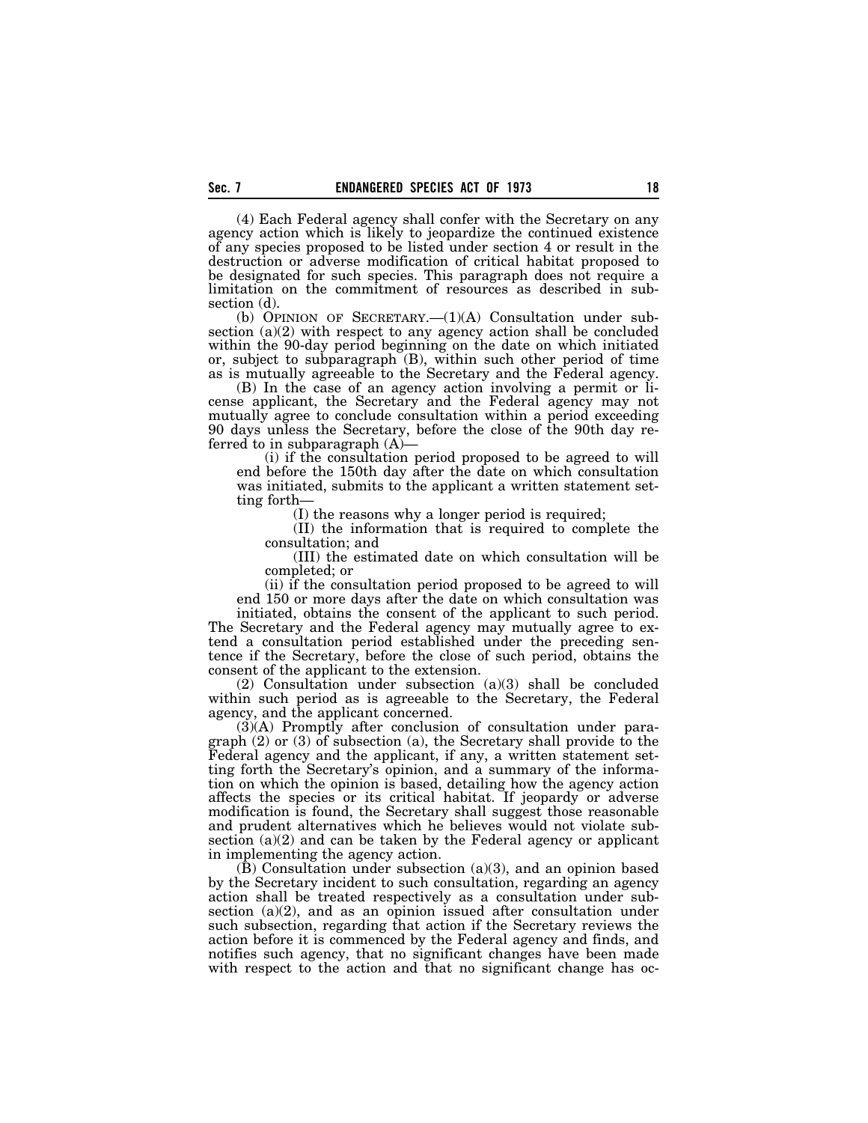(4) Each Federal agency shall confer with the Secretary on any agency action which is likely to jeopardize the continued existence of any species proposed to be listed under section 4 or result in the destruction or adverse modification of critical habitat proposed to be designated for such species. This paragraph does not require a limitation on the commitment of resources as described in subsection (d).

(b) OPINION OF SECRETARY.—(1)(A) Consultation under subsection (a)(2) with respect to any agency action shall be concluded within the 90-day period beginning on the date on which initiated or, subject to subparagraph (B), within such other period of time as is mutually agreeable to the Secretary and the Federal agency.

(B) In the case of an agency action involving a permit or license applicant, the Secretary and the Federal agency may not mutually agree to conclude consultation within a period exceeding 90 days unless the Secretary, before the close of the 90th day referred to in subparagraph (A)—

(i) if the consultation period proposed to be agreed to will end before the 150th day after the date on which consultation was initiated, submits to the applicant a written statement setting forth—

(I) the reasons why a longer period is required;

(II) the information that is required to complete the consultation; and

(III) the estimated date on which consultation will be completed; or

(ii) if the consultation period proposed to be agreed to will end 150 or more days after the date on which consultation was

initiated, obtains the consent of the applicant to such period. The Secretary and the Federal agency may mutually agree to extend a consultation period established under the preceding sentence if the Secretary, before the close of such period, obtains the consent of the applicant to the extension.

(2) Consultation under subsection (a)(3) shall be concluded within such period as is agreeable to the Secretary, the Federal agency, and the applicant concerned.

(3)(A) Promptly after conclusion of consultation under paragraph (2) or (3) of subsection (a), the Secretary shall provide to the Federal agency and the applicant, if any, a written statement setting forth the Secretary's opinion, and a summary of the information on which the opinion is based, detailing how the agency action affects the species or its critical habitat. If jeopardy or adverse modification is found, the Secretary shall suggest those reasonable and prudent alternatives which he believes would not violate subsection (a)(2) and can be taken by the Federal agency or applicant in implementing the agency action.

 $(\dot{B})$  Consultation under subsection (a)(3), and an opinion based by the Secretary incident to such consultation, regarding an agency action shall be treated respectively as a consultation under subsection (a)(2), and as an opinion issued after consultation under such subsection, regarding that action if the Secretary reviews the action before it is commenced by the Federal agency and finds, and notifies such agency, that no significant changes have been made with respect to the action and that no significant change has oc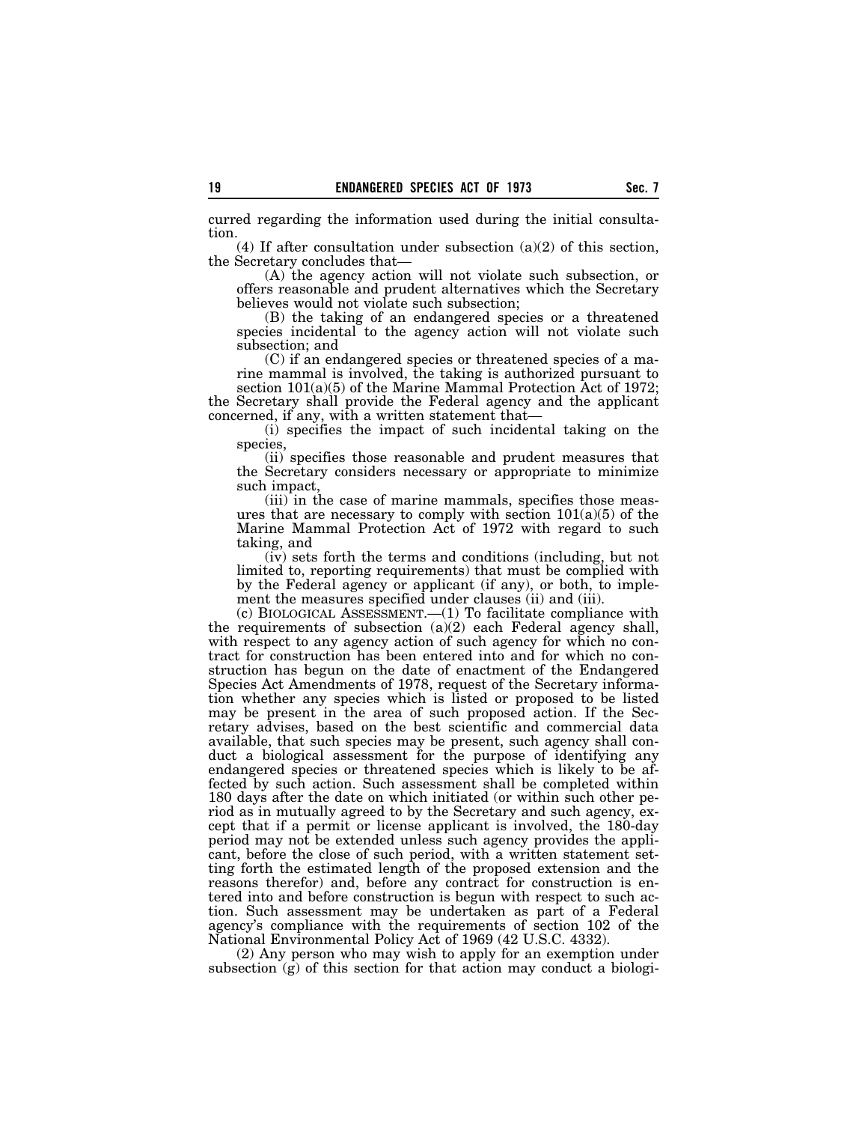curred regarding the information used during the initial consultation.

(4) If after consultation under subsection (a)(2) of this section, the Secretary concludes that—

(A) the agency action will not violate such subsection, or offers reasonable and prudent alternatives which the Secretary believes would not violate such subsection;

(B) the taking of an endangered species or a threatened species incidental to the agency action will not violate such subsection; and

(C) if an endangered species or threatened species of a marine mammal is involved, the taking is authorized pursuant to section 101(a)(5) of the Marine Mammal Protection Act of 1972; the Secretary shall provide the Federal agency and the applicant concerned, if any, with a written statement that—

(i) specifies the impact of such incidental taking on the species,

(ii) specifies those reasonable and prudent measures that the Secretary considers necessary or appropriate to minimize such impact,

(iii) in the case of marine mammals, specifies those measures that are necessary to comply with section 101(a)(5) of the Marine Mammal Protection Act of 1972 with regard to such taking, and

(iv) sets forth the terms and conditions (including, but not limited to, reporting requirements) that must be complied with by the Federal agency or applicant (if any), or both, to implement the measures specified under clauses (ii) and (iii).

(c) BIOLOGICAL ASSESSMENT.—(1) To facilitate compliance with the requirements of subsection  $(a)(2)$  each Federal agency shall, with respect to any agency action of such agency for which no contract for construction has been entered into and for which no construction has begun on the date of enactment of the Endangered Species Act Amendments of 1978, request of the Secretary information whether any species which is listed or proposed to be listed may be present in the area of such proposed action. If the Secretary advises, based on the best scientific and commercial data available, that such species may be present, such agency shall conduct a biological assessment for the purpose of identifying any endangered species or threatened species which is likely to be affected by such action. Such assessment shall be completed within 180 days after the date on which initiated (or within such other period as in mutually agreed to by the Secretary and such agency, except that if a permit or license applicant is involved, the 180-day period may not be extended unless such agency provides the applicant, before the close of such period, with a written statement setting forth the estimated length of the proposed extension and the reasons therefor) and, before any contract for construction is entered into and before construction is begun with respect to such action. Such assessment may be undertaken as part of a Federal agency's compliance with the requirements of section 102 of the National Environmental Policy Act of 1969 (42 U.S.C. 4332).

(2) Any person who may wish to apply for an exemption under subsection (g) of this section for that action may conduct a biologi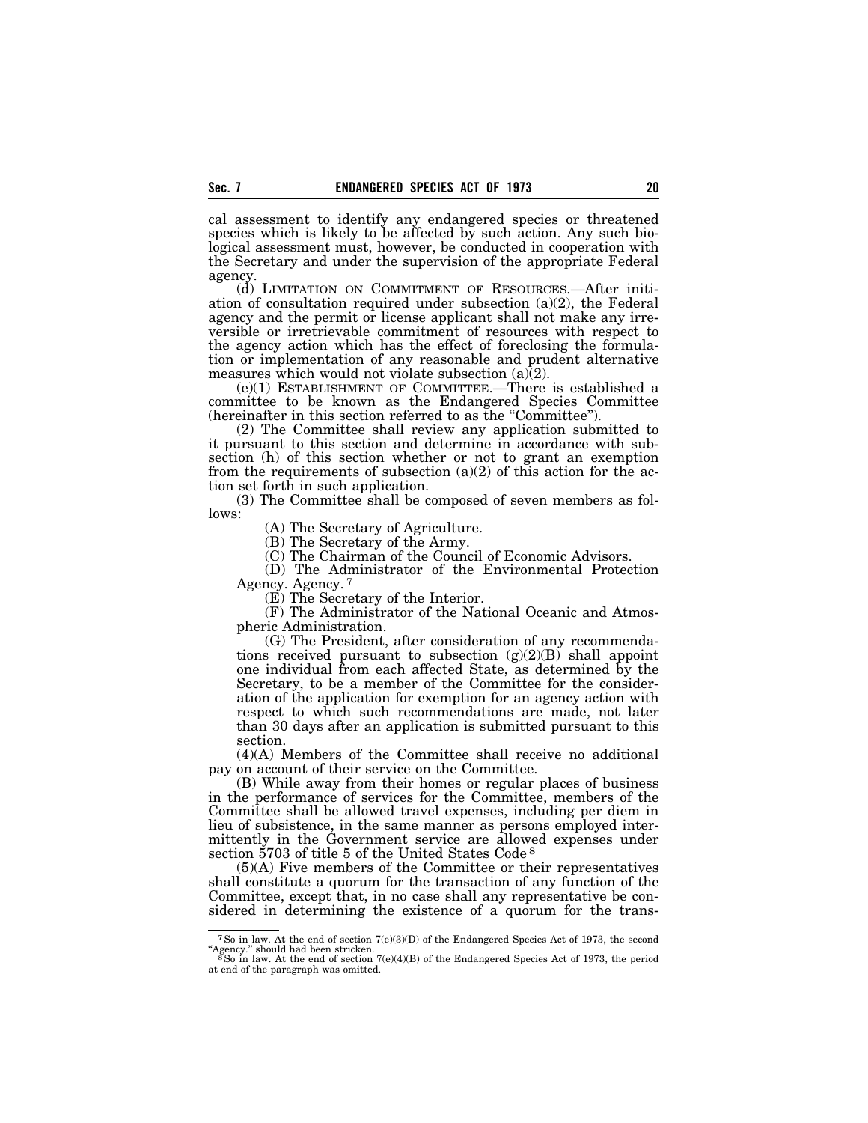cal assessment to identify any endangered species or threatened species which is likely to be affected by such action. Any such biological assessment must, however, be conducted in cooperation with the Secretary and under the supervision of the appropriate Federal agency.

(d) LIMITATION ON COMMITMENT OF RESOURCES.—After initiation of consultation required under subsection (a)(2), the Federal agency and the permit or license applicant shall not make any irreversible or irretrievable commitment of resources with respect to the agency action which has the effect of foreclosing the formulation or implementation of any reasonable and prudent alternative measures which would not violate subsection  $(a)$  $(2)$ .

(e)(1) ESTABLISHMENT OF COMMITTEE.—There is established a committee to be known as the Endangered Species Committee (hereinafter in this section referred to as the "Committee").

(2) The Committee shall review any application submitted to it pursuant to this section and determine in accordance with subsection (h) of this section whether or not to grant an exemption from the requirements of subsection  $(a)(2)$  of this action for the action set forth in such application.

(3) The Committee shall be composed of seven members as follows:

(A) The Secretary of Agriculture.

(B) The Secretary of the Army.

(C) The Chairman of the Council of Economic Advisors.

(D) The Administrator of the Environmental Protection Agency. Agency.<sup>7</sup>

(E) The Secretary of the Interior.

(F) The Administrator of the National Oceanic and Atmospheric Administration.

(G) The President, after consideration of any recommendations received pursuant to subsection  $(g)(2)(B)$  shall appoint one individual from each affected State, as determined by the Secretary, to be a member of the Committee for the consideration of the application for exemption for an agency action with respect to which such recommendations are made, not later than 30 days after an application is submitted pursuant to this section.

(4)(A) Members of the Committee shall receive no additional pay on account of their service on the Committee.

(B) While away from their homes or regular places of business in the performance of services for the Committee, members of the Committee shall be allowed travel expenses, including per diem in lieu of subsistence, in the same manner as persons employed intermittently in the Government service are allowed expenses under section 5703 of title 5 of the United States Code 8

(5)(A) Five members of the Committee or their representatives shall constitute a quorum for the transaction of any function of the Committee, except that, in no case shall any representative be considered in determining the existence of a quorum for the trans-

<sup>&</sup>lt;sup>7</sup>So in law. At the end of section  $7(e)(3)(D)$  of the Endangered Species Act of 1973, the second "Agency." should had been stricken.<br>8So in law. At the end of section  $7(e)(4)(B)$  of the Endangered Species Act of 1973, the period

at end of the paragraph was omitted.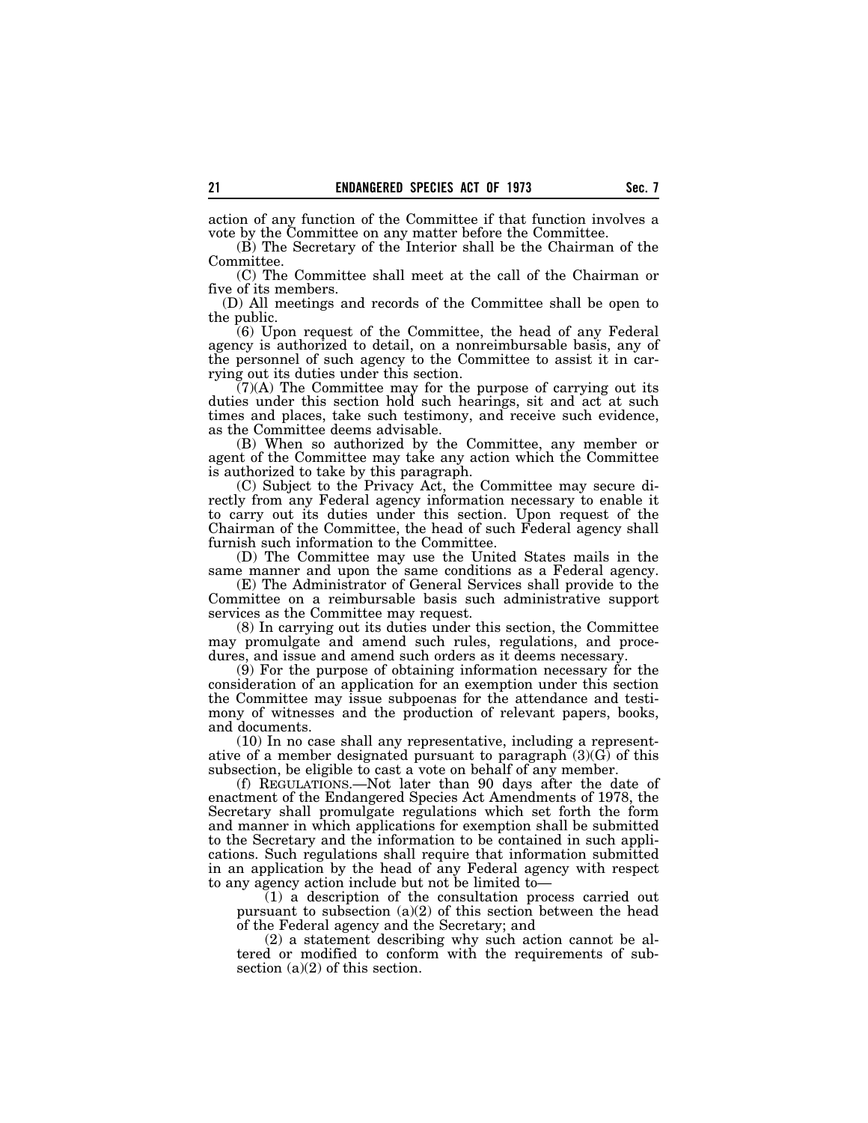action of any function of the Committee if that function involves a vote by the Committee on any matter before the Committee.

(B) The Secretary of the Interior shall be the Chairman of the Committee.

(C) The Committee shall meet at the call of the Chairman or five of its members.

(D) All meetings and records of the Committee shall be open to the public.

(6) Upon request of the Committee, the head of any Federal agency is authorized to detail, on a nonreimbursable basis, any of the personnel of such agency to the Committee to assist it in carrying out its duties under this section.

 $(7)(A)$  The Committee may for the purpose of carrying out its duties under this section hold such hearings, sit and act at such times and places, take such testimony, and receive such evidence, as the Committee deems advisable.

(B) When so authorized by the Committee, any member or agent of the Committee may take any action which the Committee is authorized to take by this paragraph.

(C) Subject to the Privacy Act, the Committee may secure directly from any Federal agency information necessary to enable it to carry out its duties under this section. Upon request of the Chairman of the Committee, the head of such Federal agency shall furnish such information to the Committee.

(D) The Committee may use the United States mails in the same manner and upon the same conditions as a Federal agency.

(E) The Administrator of General Services shall provide to the Committee on a reimbursable basis such administrative support services as the Committee may request.

(8) In carrying out its duties under this section, the Committee may promulgate and amend such rules, regulations, and procedures, and issue and amend such orders as it deems necessary.

(9) For the purpose of obtaining information necessary for the consideration of an application for an exemption under this section the Committee may issue subpoenas for the attendance and testimony of witnesses and the production of relevant papers, books, and documents.

(10) In no case shall any representative, including a representative of a member designated pursuant to paragraph  $(3)(G)$  of this subsection, be eligible to cast a vote on behalf of any member.

(f) REGULATIONS.—Not later than 90 days after the date of enactment of the Endangered Species Act Amendments of 1978, the Secretary shall promulgate regulations which set forth the form and manner in which applications for exemption shall be submitted to the Secretary and the information to be contained in such applications. Such regulations shall require that information submitted in an application by the head of any Federal agency with respect to any agency action include but not be limited to—

 $(1)$  a description of the consultation process carried out pursuant to subsection  $(a)(2)$  of this section between the head of the Federal agency and the Secretary; and

(2) a statement describing why such action cannot be altered or modified to conform with the requirements of subsection  $(a)(2)$  of this section.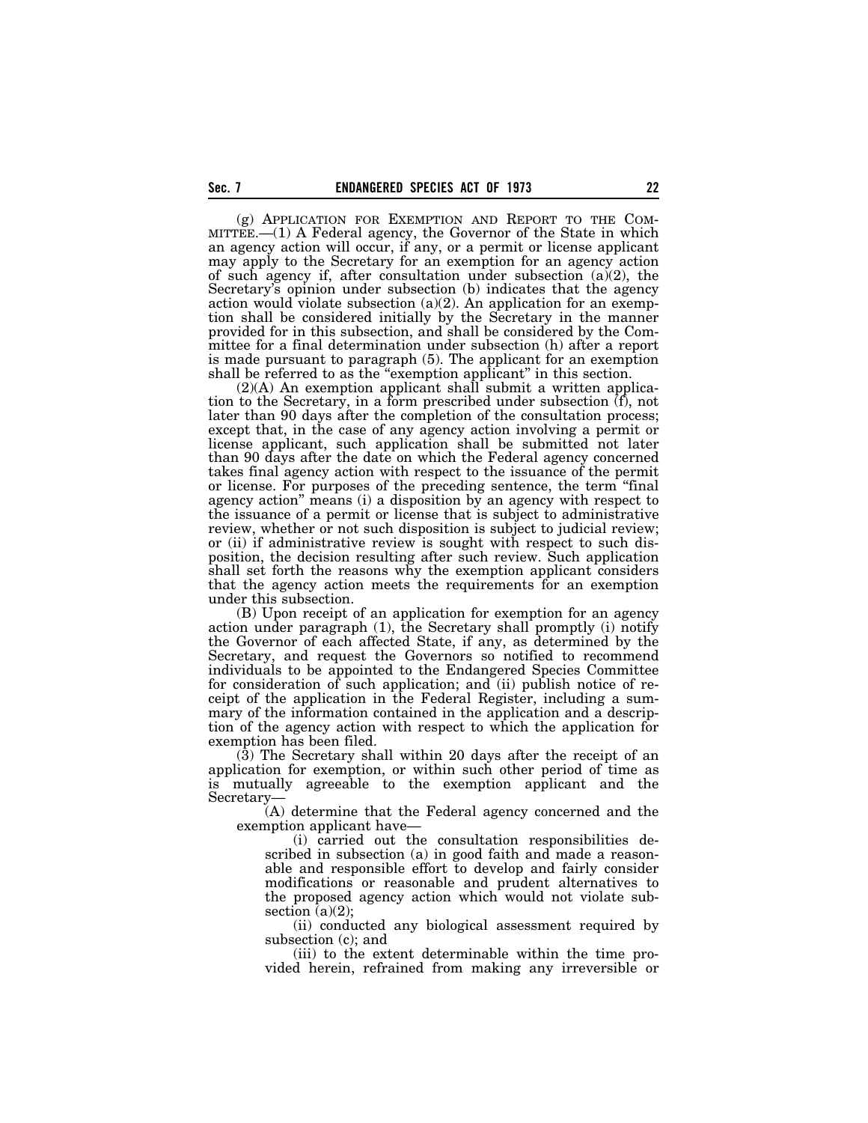(g) APPLICATION FOR EXEMPTION AND REPORT TO THE COM- MITTEE.—(1) A Federal agency, the Governor of the State in which an agency action will occur, if any, or a permit or license applicant may apply to the Secretary for an exemption for an agency action of such agency if, after consultation under subsection  $(a)(2)$ , the Secretary's opinion under subsection (b) indicates that the agency action would violate subsection  $(a)(2)$ . An application for an exemption shall be considered initially by the Secretary in the manner provided for in this subsection, and shall be considered by the Committee for a final determination under subsection (h) after a report is made pursuant to paragraph (5). The applicant for an exemption shall be referred to as the "exemption applicant" in this section.

 $(2)(A)$  An exemption applicant shall submit a written application to the Secretary, in a form prescribed under subsection  $(f)$ , not later than 90 days after the completion of the consultation process; except that, in the case of any agency action involving a permit or license applicant, such application shall be submitted not later than 90 days after the date on which the Federal agency concerned takes final agency action with respect to the issuance of the permit or license. For purposes of the preceding sentence, the term ''final agency action'' means (i) a disposition by an agency with respect to the issuance of a permit or license that is subject to administrative review, whether or not such disposition is subject to judicial review; or (ii) if administrative review is sought with respect to such disposition, the decision resulting after such review. Such application shall set forth the reasons why the exemption applicant considers that the agency action meets the requirements for an exemption

 $(B)$  Upon receipt of an application for exemption for an agency action under paragraph (1), the Secretary shall promptly (i) notify the Governor of each affected State, if any, as determined by the Secretary, and request the Governors so notified to recommend individuals to be appointed to the Endangered Species Committee for consideration of such application; and (ii) publish notice of receipt of the application in the Federal Register, including a summary of the information contained in the application and a description of the agency action with respect to which the application for exemption has been filed.

(3) The Secretary shall within 20 days after the receipt of an application for exemption, or within such other period of time as is mutually agreeable to the exemption applicant and the Secretary—

(A) determine that the Federal agency concerned and the exemption applicant have—

(i) carried out the consultation responsibilities described in subsection (a) in good faith and made a reasonable and responsible effort to develop and fairly consider modifications or reasonable and prudent alternatives to the proposed agency action which would not violate subsection  $(a)(2)$ ;

(ii) conducted any biological assessment required by subsection (c); and

(iii) to the extent determinable within the time provided herein, refrained from making any irreversible or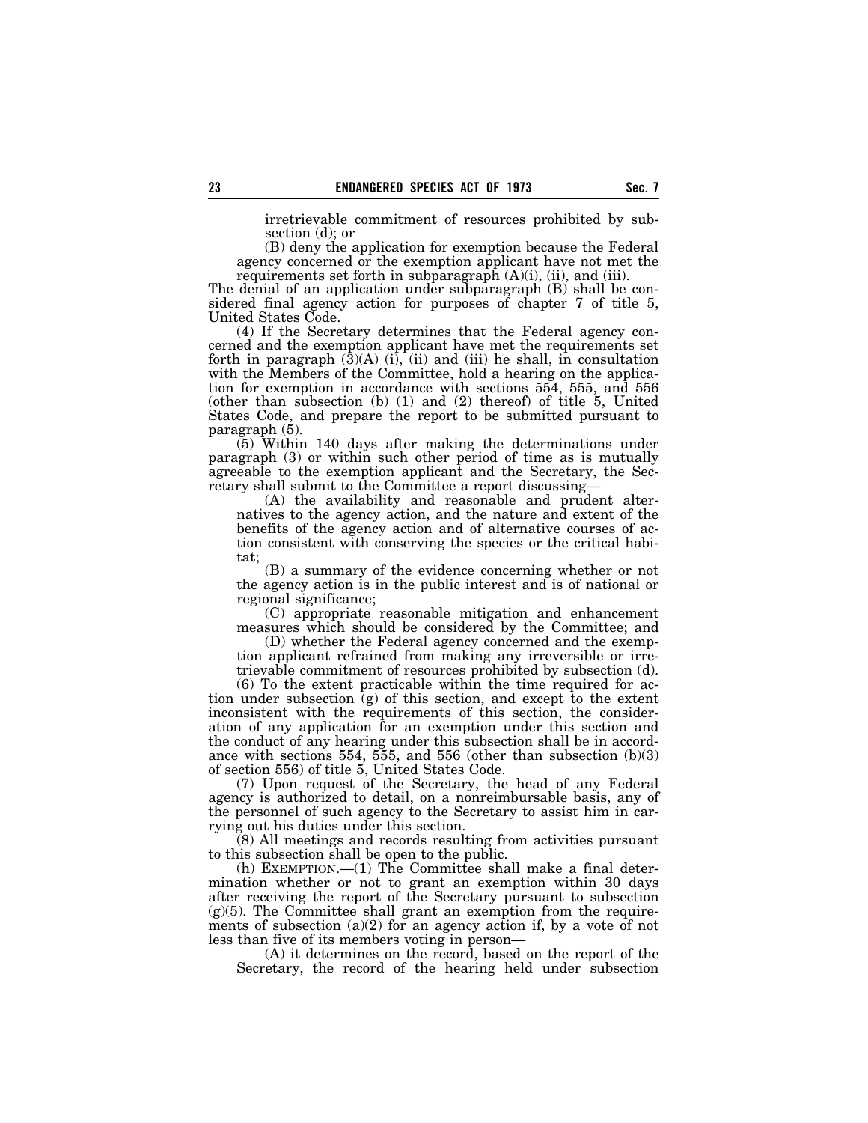irretrievable commitment of resources prohibited by subsection (d); or

(B) deny the application for exemption because the Federal agency concerned or the exemption applicant have not met the requirements set forth in subparagraph  $(A)(i)$ ,  $(ii)$ , and  $(iii)$ .

The denial of an application under subparagraph (B) shall be considered final agency action for purposes of chapter 7 of title 5, United States Code.

(4) If the Secretary determines that the Federal agency concerned and the exemption applicant have met the requirements set forth in paragraph  $(\bar{3})(A)$   $(i)$ ,  $(ii)$  and  $(iii)$  he shall, in consultation with the Members of the Committee, hold a hearing on the application for exemption in accordance with sections 554, 555, and 556 (other than subsection (b) (1) and (2) thereof) of title 5, United States Code, and prepare the report to be submitted pursuant to paragraph (5).

(5) Within 140 days after making the determinations under paragraph (3) or within such other period of time as is mutually agreeable to the exemption applicant and the Secretary, the Secretary shall submit to the Committee a report discussing—

(A) the availability and reasonable and prudent alternatives to the agency action, and the nature and extent of the benefits of the agency action and of alternative courses of action consistent with conserving the species or the critical habitat;

(B) a summary of the evidence concerning whether or not the agency action is in the public interest and is of national or regional significance;

(C) appropriate reasonable mitigation and enhancement measures which should be considered by the Committee; and

(D) whether the Federal agency concerned and the exemption applicant refrained from making any irreversible or irretrievable commitment of resources prohibited by subsection (d).

(6) To the extent practicable within the time required for action under subsection (g) of this section, and except to the extent inconsistent with the requirements of this section, the consideration of any application for an exemption under this section and the conduct of any hearing under this subsection shall be in accordance with sections 554, 555, and 556 (other than subsection (b)(3) of section 556) of title 5, United States Code.

(7) Upon request of the Secretary, the head of any Federal agency is authorized to detail, on a nonreimbursable basis, any of the personnel of such agency to the Secretary to assist him in carrying out his duties under this section.

(8) All meetings and records resulting from activities pursuant to this subsection shall be open to the public.

 $(h)$  EXEMPTION.— $(1)$  The Committee shall make a final determination whether or not to grant an exemption within 30 days after receiving the report of the Secretary pursuant to subsection (g)(5). The Committee shall grant an exemption from the requirements of subsection  $(a)(2)$  for an agency action if, by a vote of not less than five of its members voting in person—

(A) it determines on the record, based on the report of the Secretary, the record of the hearing held under subsection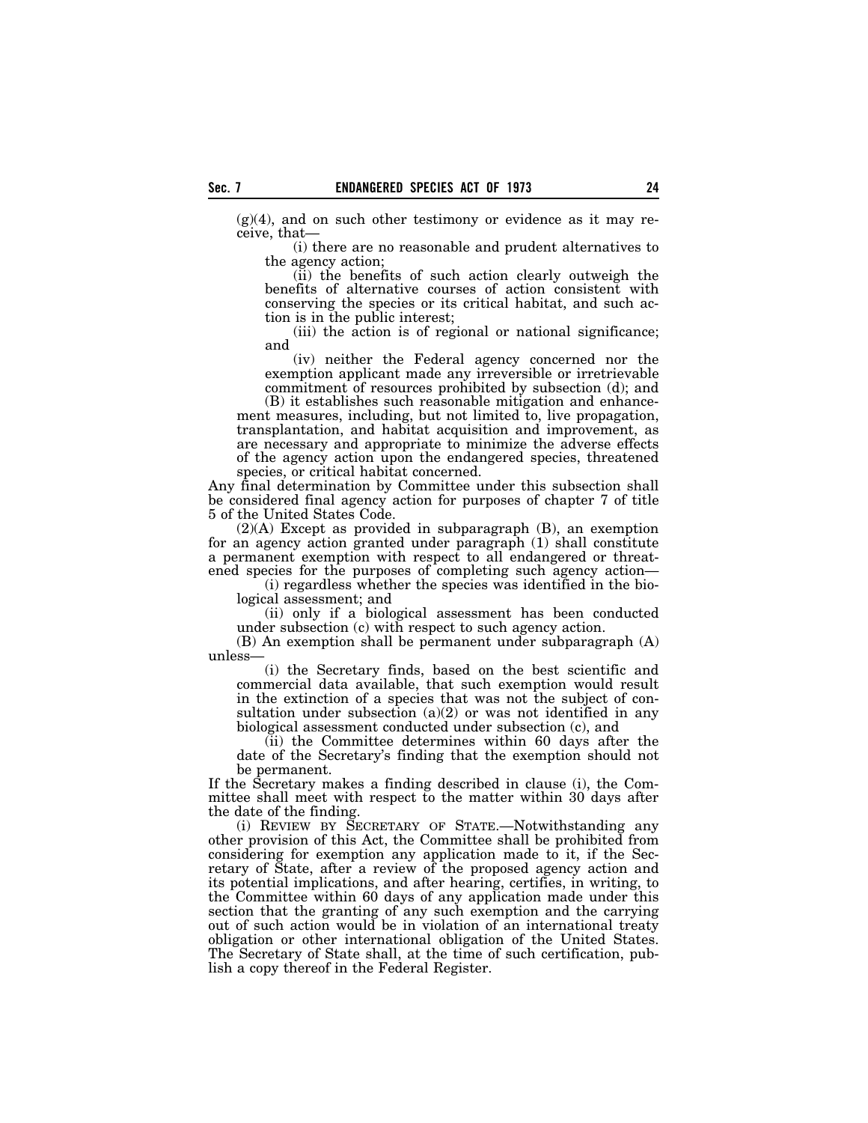$(g)(4)$ , and on such other testimony or evidence as it may receive, that—

(i) there are no reasonable and prudent alternatives to the agency action;

(ii) the benefits of such action clearly outweigh the benefits of alternative courses of action consistent with conserving the species or its critical habitat, and such action is in the public interest;

(iii) the action is of regional or national significance; and

(iv) neither the Federal agency concerned nor the exemption applicant made any irreversible or irretrievable commitment of resources prohibited by subsection (d); and

(B) it establishes such reasonable mitigation and enhancement measures, including, but not limited to, live propagation, transplantation, and habitat acquisition and improvement, as are necessary and appropriate to minimize the adverse effects of the agency action upon the endangered species, threatened species, or critical habitat concerned.

Any final determination by Committee under this subsection shall be considered final agency action for purposes of chapter 7 of title 5 of the United States Code.

(2)(A) Except as provided in subparagraph (B), an exemption for an agency action granted under paragraph (1) shall constitute a permanent exemption with respect to all endangered or threatened species for the purposes of completing such agency action—

(i) regardless whether the species was identified in the biological assessment; and

(ii) only if a biological assessment has been conducted under subsection (c) with respect to such agency action.

(B) An exemption shall be permanent under subparagraph (A) unless—

(i) the Secretary finds, based on the best scientific and commercial data available, that such exemption would result in the extinction of a species that was not the subject of consultation under subsection (a)(2) or was not identified in any biological assessment conducted under subsection (c), and

(ii) the Committee determines within 60 days after the date of the Secretary's finding that the exemption should not be permanent.

If the Secretary makes a finding described in clause (i), the Committee shall meet with respect to the matter within 30 days after the date of the finding. (i) REVIEW BY SECRETARY OF STATE.—Notwithstanding any

other provision of this Act, the Committee shall be prohibited from considering for exemption any application made to it, if the Secretary of State, after a review of the proposed agency action and its potential implications, and after hearing, certifies, in writing, to the Committee within 60 days of any application made under this section that the granting of any such exemption and the carrying out of such action would be in violation of an international treaty obligation or other international obligation of the United States. The Secretary of State shall, at the time of such certification, publish a copy thereof in the Federal Register.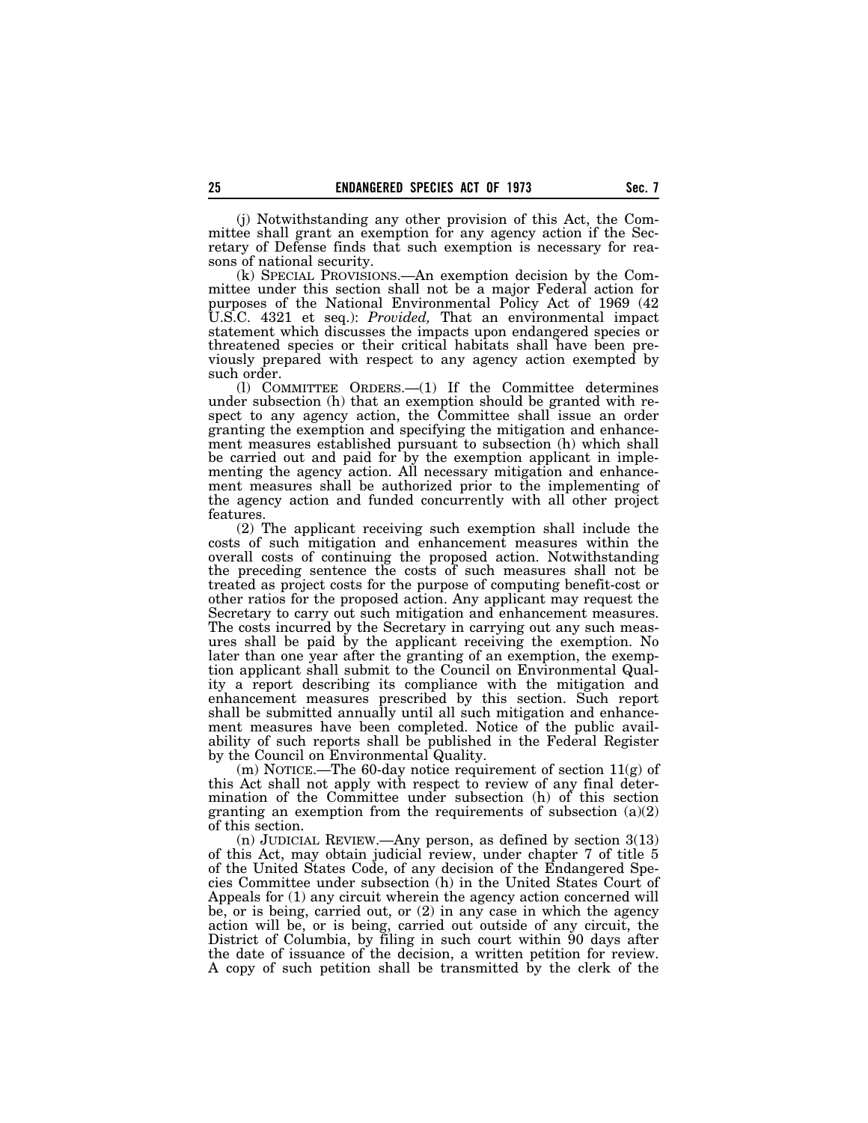(j) Notwithstanding any other provision of this Act, the Committee shall grant an exemption for any agency action if the Secretary of Defense finds that such exemption is necessary for reasons of national security.

(k) SPECIAL PROVISIONS.—An exemption decision by the Committee under this section shall not be a major Federal action for purposes of the National Environmental Policy Act of 1969 (42 U.S.C. 4321 et seq.): *Provided*, That an environmental impact statement which discusses the impacts upon endangered species or threatened species or their critical habitats shall have been previously prepared with respect to any agency action exempted by such order.

(l) COMMITTEE ORDERS.—(1) If the Committee determines under subsection (h) that an exemption should be granted with respect to any agency action, the Committee shall issue an order granting the exemption and specifying the mitigation and enhancement measures established pursuant to subsection (h) which shall be carried out and paid for by the exemption applicant in implementing the agency action. All necessary mitigation and enhance- ment measures shall be authorized prior to the implementing of the agency action and funded concurrently with all other project features.

(2) The applicant receiving such exemption shall include the costs of such mitigation and enhancement measures within the overall costs of continuing the proposed action. Notwithstanding the preceding sentence the costs of such measures shall not be treated as project costs for the purpose of computing benefit-cost or other ratios for the proposed action. Any applicant may request the Secretary to carry out such mitigation and enhancement measures. The costs incurred by the Secretary in carrying out any such measures shall be paid by the applicant receiving the exemption. No later than one year after the granting of an exemption, the exemption applicant shall submit to the Council on Environmental Quality a report describing its compliance with the mitigation and enhancement measures prescribed by this section. Such report shall be submitted annually until all such mitigation and enhancement measures have been completed. Notice of the public availability of such reports shall be published in the Federal Register by the Council on Environmental Quality.

(m) NOTICE.—The 60-day notice requirement of section 11(g) of this Act shall not apply with respect to review of any final determination of the Committee under subsection (h) of this section granting an exemption from the requirements of subsection  $(a)(2)$ of this section.

(n) JUDICIAL REVIEW.—Any person, as defined by section 3(13) of this Act, may obtain judicial review, under chapter 7 of title 5 of the United States Code, of any decision of the Endangered Species Committee under subsection (h) in the United States Court of Appeals for (1) any circuit wherein the agency action concerned will be, or is being, carried out, or (2) in any case in which the agency action will be, or is being, carried out outside of any circuit, the District of Columbia, by filing in such court within 90 days after the date of issuance of the decision, a written petition for review. A copy of such petition shall be transmitted by the clerk of the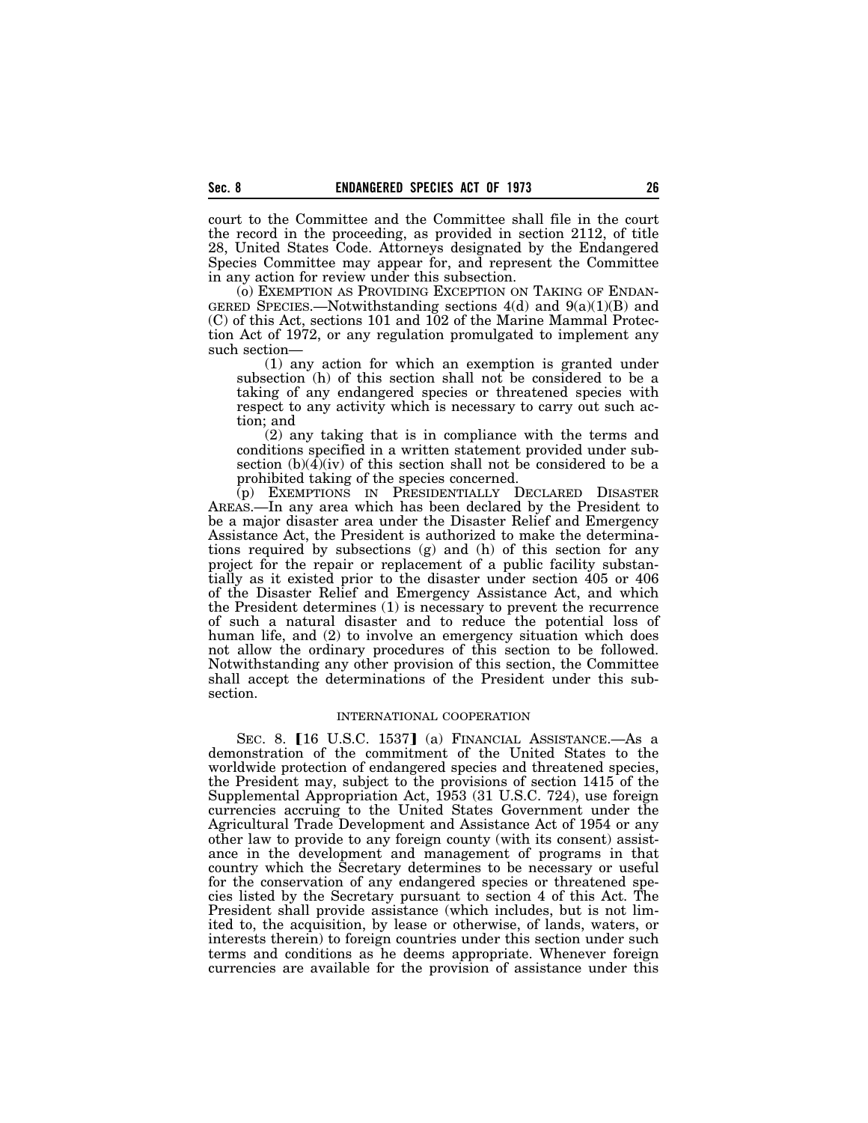court to the Committee and the Committee shall file in the court the record in the proceeding, as provided in section 2112, of title 28, United States Code. Attorneys designated by the Endangered Species Committee may appear for, and represent the Committee in any action for review under this subsection.

(o) EXEMPTION AS PROVIDING EXCEPTION ON TAKING OF ENDAN-GERED SPECIES.—Notwithstanding sections  $4(d)$  and  $9(a)(1)(B)$  and  $(C)$  of this Act, sections 101 and  $102$  of the Marine Mammal Protection Act of 1972, or any regulation promulgated to implement any such section—

(1) any action for which an exemption is granted under subsection (h) of this section shall not be considered to be a taking of any endangered species or threatened species with respect to any activity which is necessary to carry out such action; and

(2) any taking that is in compliance with the terms and conditions specified in a written statement provided under subsection (b)(4)(iv) of this section shall not be considered to be a prohibited taking of the species concerned.

(p) EXEMPTIONS IN PRESIDENTIALLY DECLARED DISASTER AREAS.—In any area which has been declared by the President to be a major disaster area under the Disaster Relief and Emergency Assistance Act, the President is authorized to make the determinations required by subsections (g) and (h) of this section for any project for the repair or replacement of a public facility substantially as it existed prior to the disaster under section 405 or 406 of the Disaster Relief and Emergency Assistance Act, and which the President determines (1) is necessary to prevent the recurrence of such a natural disaster and to reduce the potential loss of human life, and (2) to involve an emergency situation which does not allow the ordinary procedures of this section to be followed. Notwithstanding any other provision of this section, the Committee shall accept the determinations of the President under this subsection.

# INTERNATIONAL COOPERATION

SEC. 8. [16 U.S.C. 1537] (a) FINANCIAL ASSISTANCE.—As a demonstration of the commitment of the United States to the worldwide protection of endangered species and threatened species, the President may, subject to the provisions of section 1415 of the Supplemental Appropriation Act, 1953 (31 U.S.C. 724), use foreign currencies accruing to the United States Government under the Agricultural Trade Development and Assistance Act of 1954 or any other law to provide to any foreign county (with its consent) assistance in the development and management of programs in that country which the Secretary determines to be necessary or useful for the conservation of any endangered species or threatened species listed by the Secretary pursuant to section 4 of this Act. The President shall provide assistance (which includes, but is not limited to, the acquisition, by lease or otherwise, of lands, waters, or interests therein) to foreign countries under this section under such terms and conditions as he deems appropriate. Whenever foreign currencies are available for the provision of assistance under this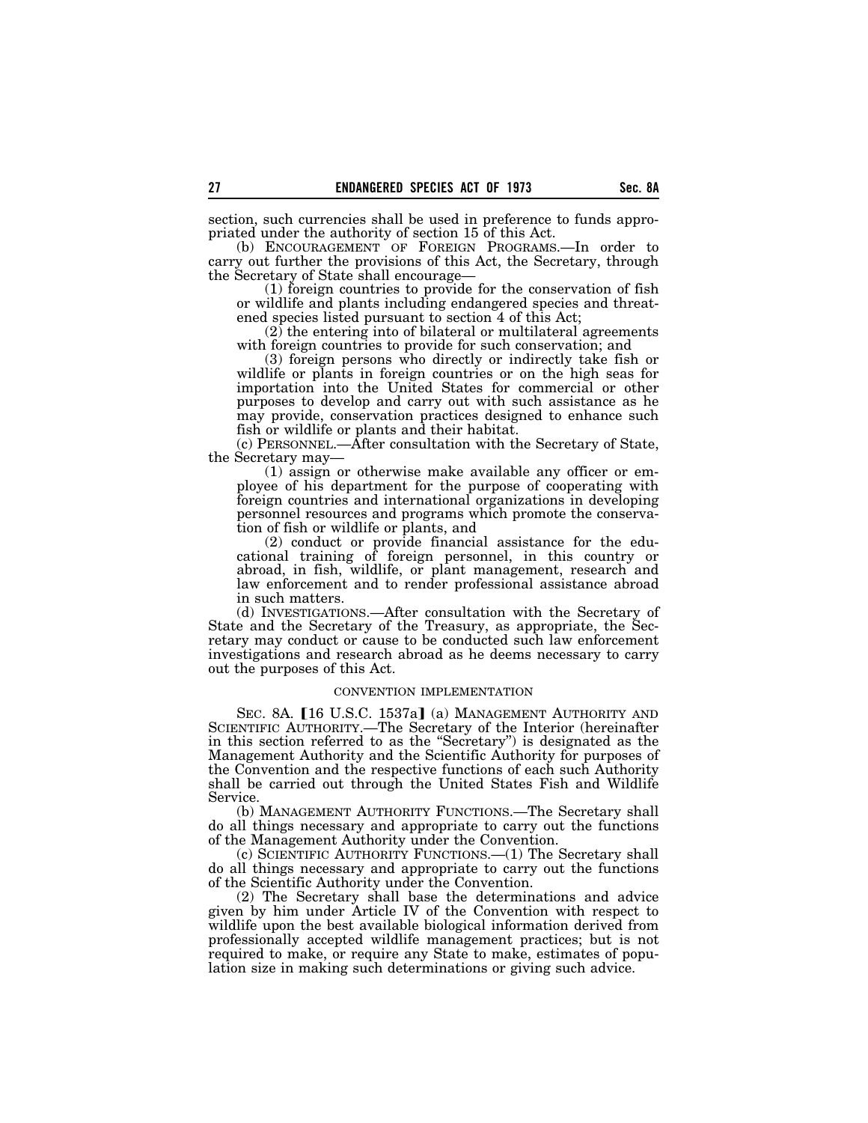section, such currencies shall be used in preference to funds appropriated under the authority of section 15 of this Act.

(b) ENCOURAGEMENT OF FOREIGN PROGRAMS.—In order to carry out further the provisions of this Act, the Secretary, through the Secretary of State shall encourage—

(1) foreign countries to provide for the conservation of fish or wildlife and plants including endangered species and threatened species listed pursuant to section 4 of this Act;

(2) the entering into of bilateral or multilateral agreements with foreign countries to provide for such conservation; and

(3) foreign persons who directly or indirectly take fish or wildlife or plants in foreign countries or on the high seas for importation into the United States for commercial or other purposes to develop and carry out with such assistance as he may provide, conservation practices designed to enhance such fish or wildlife or plants and their habitat.

(c) PERSONNEL.—After consultation with the Secretary of State, the Secretary may—

(1) assign or otherwise make available any officer or employee of his department for the purpose of cooperating with foreign countries and international organizations in developing personnel resources and programs which promote the conservation of fish or wildlife or plants, and

(2) conduct or provide financial assistance for the educational training of foreign personnel, in this country or abroad, in fish, wildlife, or plant management, research and law enforcement and to render professional assistance abroad in such matters.

(d) INVESTIGATIONS.—After consultation with the Secretary of State and the Secretary of the Treasury, as appropriate, the Secretary may conduct or cause to be conducted such law enforcement investigations and research abroad as he deems necessary to carry out the purposes of this Act.

## CONVENTION IMPLEMENTATION

SEC. 8A. [16 U.S.C. 1537a] (a) MANAGEMENT AUTHORITY AND SCIENTIFIC AUTHORITY.—The Secretary of the Interior (hereinafter in this section referred to as the ''Secretary'') is designated as the Management Authority and the Scientific Authority for purposes of the Convention and the respective functions of each such Authority shall be carried out through the United States Fish and Wildlife Service.

(b) MANAGEMENT AUTHORITY FUNCTIONS.—The Secretary shall do all things necessary and appropriate to carry out the functions of the Management Authority under the Convention.

(c) SCIENTIFIC AUTHORITY FUNCTIONS.—(1) The Secretary shall do all things necessary and appropriate to carry out the functions of the Scientific Authority under the Convention.

(2) The Secretary shall base the determinations and advice given by him under Article IV of the Convention with respect to wildlife upon the best available biological information derived from professionally accepted wildlife management practices; but is not required to make, or require any State to make, estimates of population size in making such determinations or giving such advice.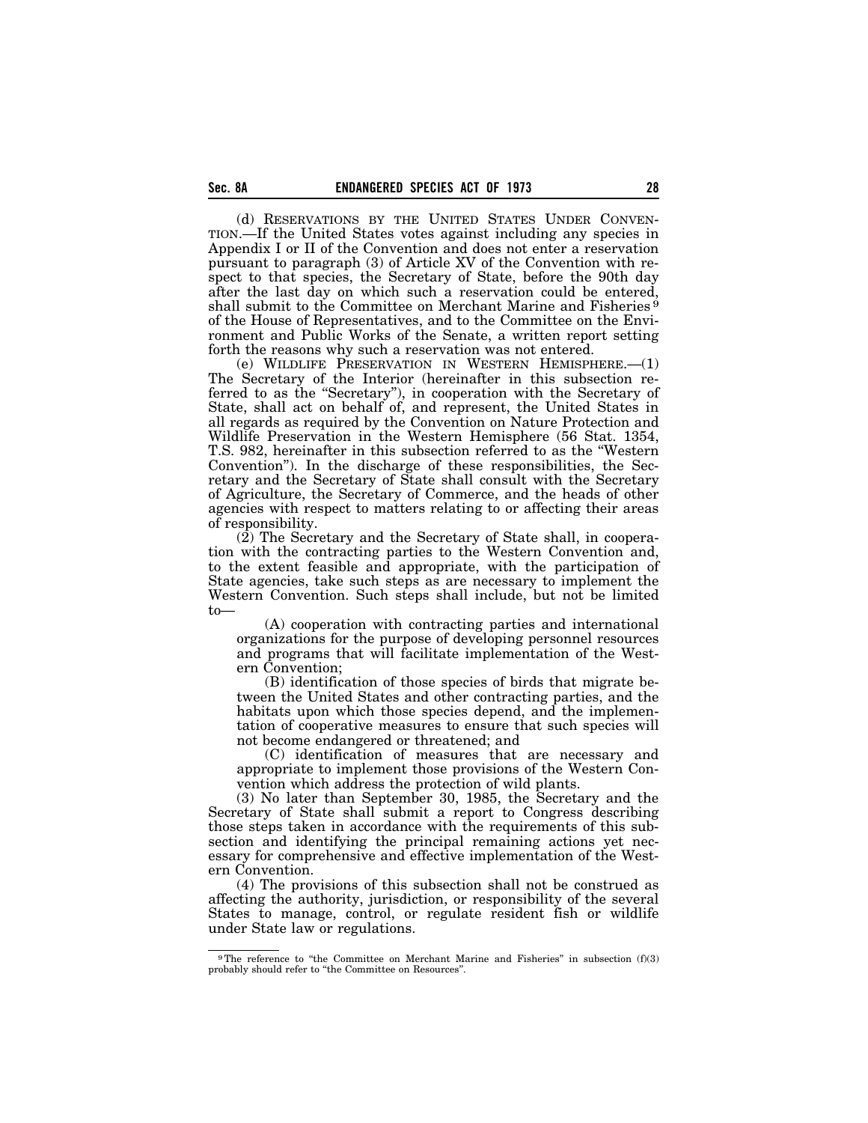(d) RESERVATIONS BY THE UNITED STATES UNDER CONVEN-TION.—If the United States votes against including any species in Appendix I or II of the Convention and does not enter a reservation pursuant to paragraph (3) of Article XV of the Convention with respect to that species, the Secretary of State, before the 90th day after the last day on which such a reservation could be entered, shall submit to the Committee on Merchant Marine and Fisheries<sup>9</sup> of the House of Representatives, and to the Committee on the Environment and Public Works of the Senate, a written report setting forth the reasons why such a reservation was not entered.

(e) WILDLIFE PRESERVATION IN WESTERN HEMISPHERE.—(1) The Secretary of the Interior (hereinafter in this subsection referred to as the "Secretary"), in cooperation with the Secretary of State, shall act on behalf of, and represent, the United States in all regards as required by the Convention on Nature Protection and Wildlife Preservation in the Western Hemisphere (56 Stat. 1354, T.S. 982, hereinafter in this subsection referred to as the ''Western Convention''). In the discharge of these responsibilities, the Secretary and the Secretary of State shall consult with the Secretary of Agriculture, the Secretary of Commerce, and the heads of other agencies with respect to matters relating to or affecting their areas of responsibility.

(2) The Secretary and the Secretary of State shall, in cooperation with the contracting parties to the Western Convention and, to the extent feasible and appropriate, with the participation of State agencies, take such steps as are necessary to implement the Western Convention. Such steps shall include, but not be limited to—

(A) cooperation with contracting parties and international organizations for the purpose of developing personnel resources and programs that will facilitate implementation of the Western Convention;

(B) identification of those species of birds that migrate between the United States and other contracting parties, and the habitats upon which those species depend, and the implementation of cooperative measures to ensure that such species will not become endangered or threatened; and

(C) identification of measures that are necessary and appropriate to implement those provisions of the Western Convention which address the protection of wild plants.

(3) No later than September 30, 1985, the Secretary and the Secretary of State shall submit a report to Congress describing those steps taken in accordance with the requirements of this subsection and identifying the principal remaining actions yet necessary for comprehensive and effective implementation of the Western Convention.

(4) The provisions of this subsection shall not be construed as affecting the authority, jurisdiction, or responsibility of the several States to manage, control, or regulate resident fish or wildlife under State law or regulations.

<sup>&</sup>lt;sup>9</sup>The reference to "the Committee on Merchant Marine and Fisheries" in subsection  $(f)(3)$ probably should refer to ''the Committee on Resources''.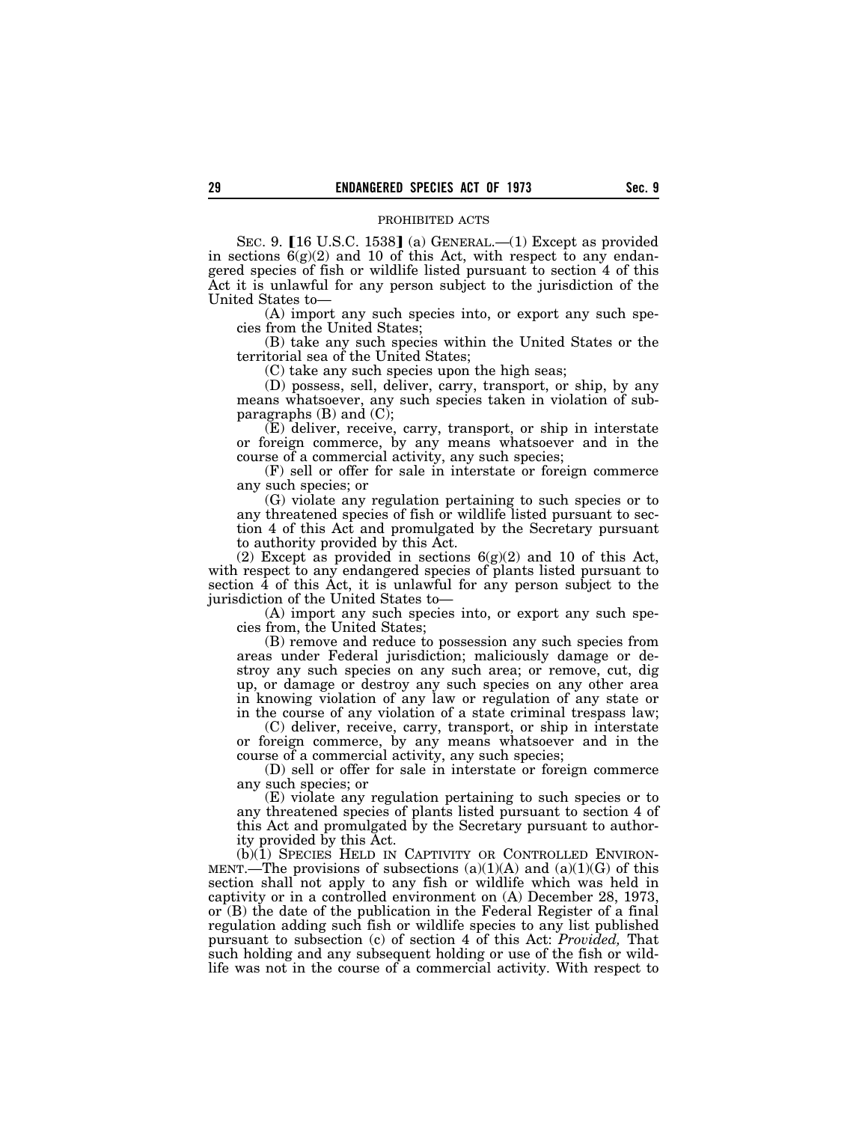#### PROHIBITED ACTS

SEC. 9.  $[16 \text{ U.S.C. } 1538]$  (a) GENERAL.—(1) Except as provided in sections  $6(g)(2)$  and 10 of this Act, with respect to any endangered species of fish or wildlife listed pursuant to section 4 of this Act it is unlawful for any person subject to the jurisdiction of the United States to—

(A) import any such species into, or export any such species from the United States;

(B) take any such species within the United States or the territorial sea of the United States;

(C) take any such species upon the high seas;

(D) possess, sell, deliver, carry, transport, or ship, by any means whatsoever, any such species taken in violation of subparagraphs (B) and (C);

(E) deliver, receive, carry, transport, or ship in interstate or foreign commerce, by any means whatsoever and in the course of a commercial activity, any such species;

(F) sell or offer for sale in interstate or foreign commerce any such species; or

(G) violate any regulation pertaining to such species or to any threatened species of fish or wildlife listed pursuant to section 4 of this Act and promulgated by the Secretary pursuant to authority provided by this Act.

(2) Except as provided in sections  $6(g)(2)$  and 10 of this Act, with respect to any endangered species of plants listed pursuant to section  $\overline{4}$  of this Act, it is unlawful for any person subject to the jurisdiction of the United States to—

(A) import any such species into, or export any such species from, the United States;

(B) remove and reduce to possession any such species from areas under Federal jurisdiction; maliciously damage or destroy any such species on any such area; or remove, cut, dig up, or damage or destroy any such species on any other area in knowing violation of any law or regulation of any state or in the course of any violation of a state criminal trespass law;

(C) deliver, receive, carry, transport, or ship in interstate or foreign commerce, by any means whatsoever and in the course of a commercial activity, any such species;

(D) sell or offer for sale in interstate or foreign commerce any such species; or

(E) violate any regulation pertaining to such species or to any threatened species of plants listed pursuant to section 4 of this Act and promulgated by the Secretary pursuant to author-

ity provided by this Act.<br>(b)(1) SPECIES HELD IN CAPTIVITY OR CONTROLLED ENVIRON-MENT.—The provisions of subsections  $(a)(1)(A)$  and  $(a)(1)(G)$  of this section shall not apply to any fish or wildlife which was held in captivity or in a controlled environment on (A) December 28, 1973, or (B) the date of the publication in the Federal Register of a final regulation adding such fish or wildlife species to any list published pursuant to subsection (c) of section 4 of this Act: Provided, That such holding and any subsequent holding or use of the fish or wildlife was not in the course of a commercial activity. With respect to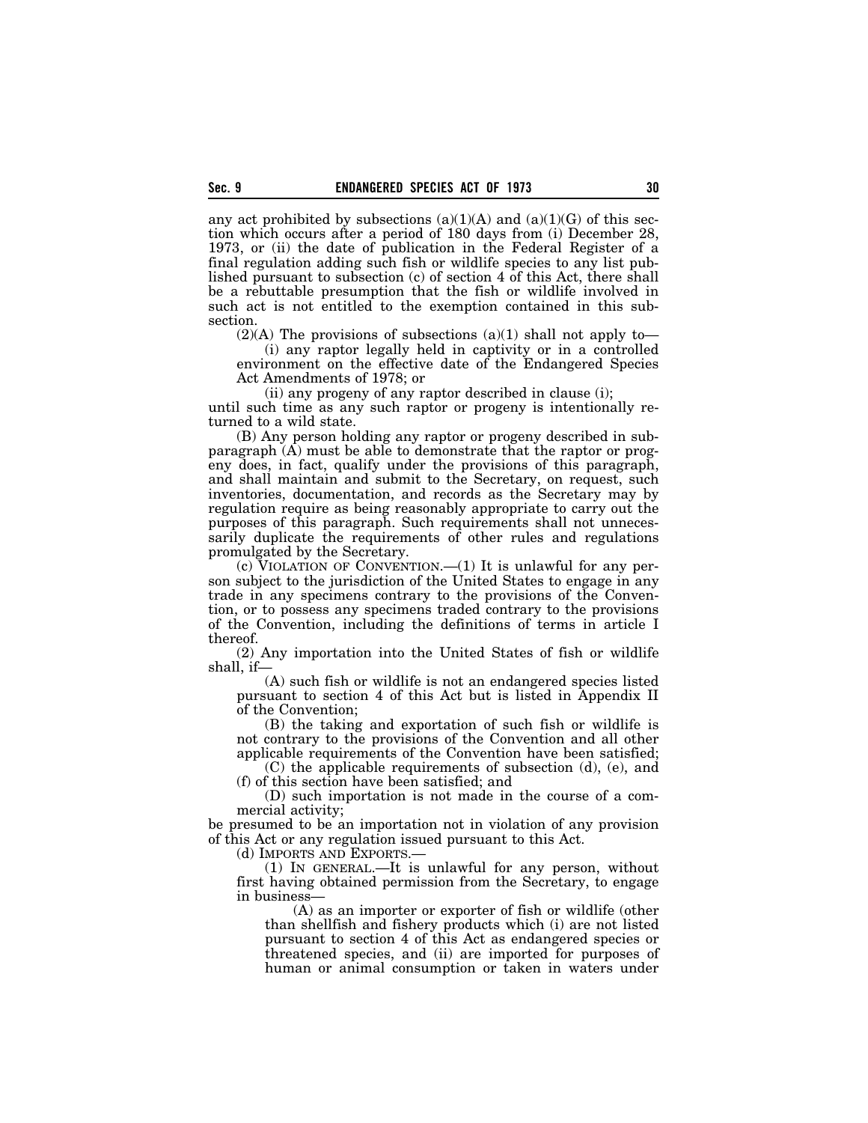any act prohibited by subsections  $(a)(1)(A)$  and  $(a)(1)(G)$  of this section which occurs after a period of 180 days from (i) December 28, 1973, or (ii) the date of publication in the Federal Register of a final regulation adding such fish or wildlife species to any list published pursuant to subsection (c) of section 4 of this Act, there shall be a rebuttable presumption that the fish or wildlife involved in such act is not entitled to the exemption contained in this subsection.

 $(2)(A)$  The provisions of subsections  $(a)(1)$  shall not apply to-

(i) any raptor legally held in captivity or in a controlled environment on the effective date of the Endangered Species Act Amendments of 1978; or

(ii) any progeny of any raptor described in clause (i);

until such time as any such raptor or progeny is intentionally returned to a wild state.

(B) Any person holding any raptor or progeny described in subparagraph (A) must be able to demonstrate that the raptor or progeny does, in fact, qualify under the provisions of this paragraph, and shall maintain and submit to the Secretary, on request, such inventories, documentation, and records as the Secretary may by regulation require as being reasonably appropriate to carry out the purposes of this paragraph. Such requirements shall not unnecessarily duplicate the requirements of other rules and regulations promulgated by the Secretary.

 $(c)$  VIOLATION OF CONVENTION.— $(1)$  It is unlawful for any person subject to the jurisdiction of the United States to engage in any trade in any specimens contrary to the provisions of the Convention, or to possess any specimens traded contrary to the provisions of the Convention, including the definitions of terms in article I thereof.

(2) Any importation into the United States of fish or wildlife shall, if—

(A) such fish or wildlife is not an endangered species listed pursuant to section 4 of this Act but is listed in Appendix II of the Convention;

(B) the taking and exportation of such fish or wildlife is not contrary to the provisions of the Convention and all other applicable requirements of the Convention have been satisfied;

(C) the applicable requirements of subsection (d), (e), and (f) of this section have been satisfied; and

(D) such importation is not made in the course of a commercial activity;

be presumed to be an importation not in violation of any provision of this Act or any regulation issued pursuant to this Act.

(d) IMPORTS AND EXPORTS.—

(1) IN GENERAL.—It is unlawful for any person, without first having obtained permission from the Secretary, to engage in business—

(A) as an importer or exporter of fish or wildlife (other than shellfish and fishery products which (i) are not listed pursuant to section 4 of this Act as endangered species or threatened species, and (ii) are imported for purposes of human or animal consumption or taken in waters under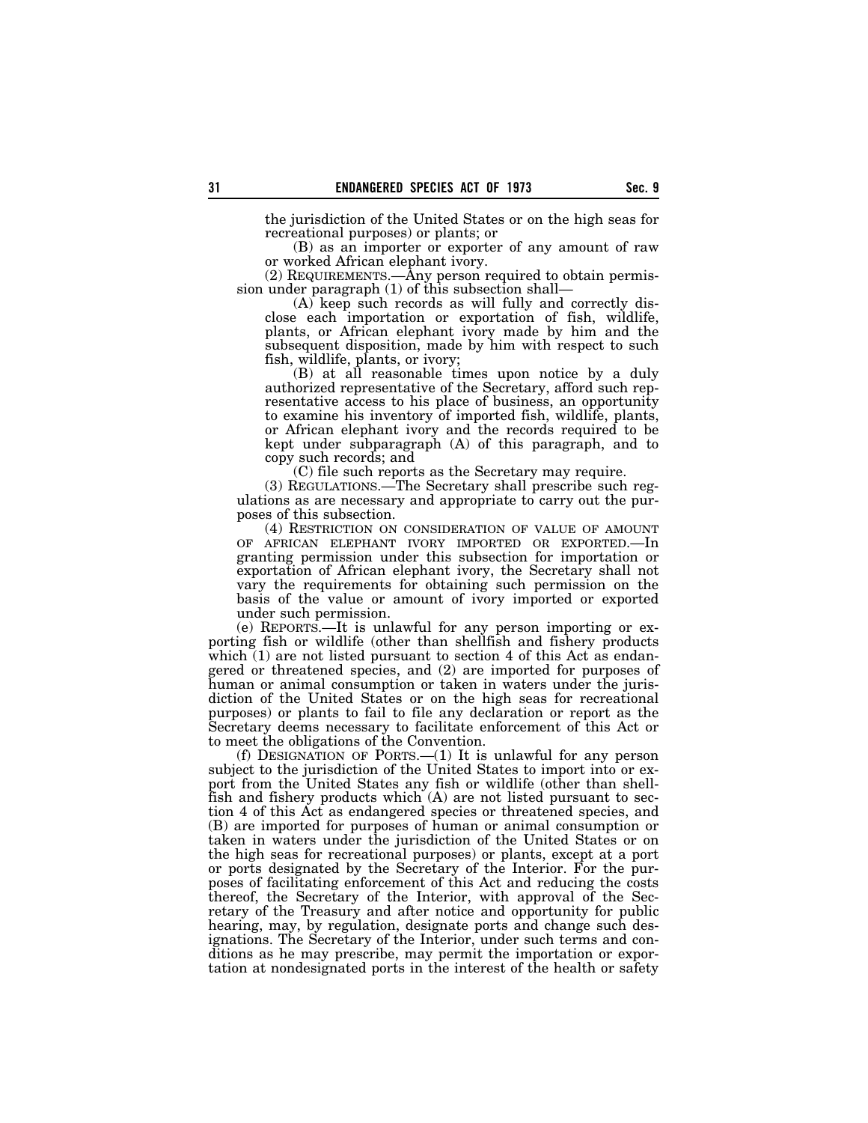the jurisdiction of the United States or on the high seas for recreational purposes) or plants; or

(B) as an importer or exporter of any amount of raw or worked African elephant ivory.

(2) REQUIREMENTS.—Any person required to obtain permission under paragraph (1) of this subsection shall—

(A) keep such records as will fully and correctly disclose each importation or exportation of fish, wildlife, plants, or African elephant ivory made by him and the subsequent disposition, made by him with respect to such fish, wildlife, plants, or ivory;

(B) at all reasonable times upon notice by a duly authorized representative of the Secretary, afford such representative access to his place of business, an opportunity to examine his inventory of imported fish, wildlife, plants, or African elephant ivory and the records required to be kept under subparagraph (A) of this paragraph, and to copy such records; and

(C) file such reports as the Secretary may require.

(3) REGULATIONS.—The Secretary shall prescribe such regulations as are necessary and appropriate to carry out the purposes of this subsection.

(4) RESTRICTION ON CONSIDERATION OF VALUE OF AMOUNT OF AFRICAN ELEPHANT IVORY IMPORTED OR EXPORTED.—In granting permission under this subsection for importation or exportation of African elephant ivory, the Secretary shall not vary the requirements for obtaining such permission on the basis of the value or amount of ivory imported or exported under such permission.

(e) REPORTS.—It is unlawful for any person importing or exporting fish or wildlife (other than shellfish and fishery products which  $(1)$  are not listed pursuant to section 4 of this Act as endangered or threatened species, and (2) are imported for purposes of human or animal consumption or taken in waters under the jurisdiction of the United States or on the high seas for recreational purposes) or plants to fail to file any declaration or report as the Secretary deems necessary to facilitate enforcement of this Act or to meet the obligations of the Convention.

(f) DESIGNATION OF PORTS.—(1) It is unlawful for any person subject to the jurisdiction of the United States to import into or export from the United States any fish or wildlife (other than shellfish and fishery products which (A) are not listed pursuant to section 4 of this Act as endangered species or threatened species, and (B) are imported for purposes of human or animal consumption or taken in waters under the jurisdiction of the United States or on the high seas for recreational purposes) or plants, except at a port or ports designated by the Secretary of the Interior. For the purposes of facilitating enforcement of this Act and reducing the costs thereof, the Secretary of the Interior, with approval of the Secretary of the Treasury and after notice and opportunity for public hearing, may, by regulation, designate ports and change such designations. The Secretary of the Interior, under such terms and conditions as he may prescribe, may permit the importation or exportation at nondesignated ports in the interest of the health or safety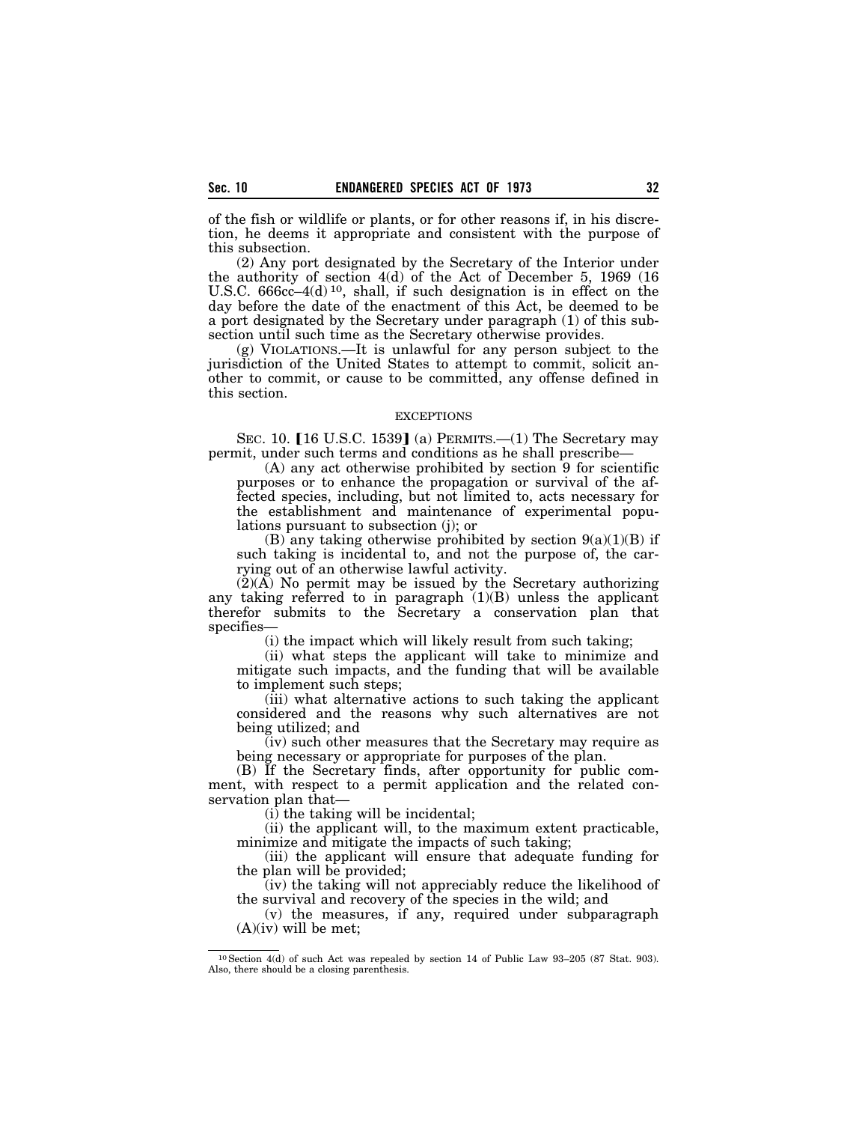of the fish or wildlife or plants, or for other reasons if, in his discretion, he deems it appropriate and consistent with the purpose of this subsection.

(2) Any port designated by the Secretary of the Interior under the authority of section 4(d) of the Act of December 5, 1969 (16 U.S.C.  $666cc-4(d)^{10}$ , shall, if such designation is in effect on the day before the date of the enactment of this Act, be deemed to be a port designated by the Secretary under paragraph (1) of this subsection until such time as the Secretary otherwise provides.

(g) VIOLATIONS.—It is unlawful for any person subject to the jurisdiction of the United States to attempt to commit, solicit another to commit, or cause to be committed, any offense defined in this section.

### EXCEPTIONS

SEC. 10.  $[16 \text{ U.S.C. } 1539]$  (a) PERMITS.—(1) The Secretary may permit, under such terms and conditions as he shall prescribe—

(A) any act otherwise prohibited by section 9 for scientific purposes or to enhance the propagation or survival of the affected species, including, but not limited to, acts necessary for the establishment and maintenance of experimental populations pursuant to subsection (j); or

(B) any taking otherwise prohibited by section  $9(a)(1)(B)$  if such taking is incidental to, and not the purpose of, the carrying out of an otherwise lawful activity.

 $(2)(\overline{A})$  No permit may be issued by the Secretary authorizing any taking referred to in paragraph (1)(B) unless the applicant therefor submits to the Secretary a conservation plan that specifies—

(i) the impact which will likely result from such taking;

(ii) what steps the applicant will take to minimize and mitigate such impacts, and the funding that will be available to implement such steps;

(iii) what alternative actions to such taking the applicant considered and the reasons why such alternatives are not being utilized; and

(iv) such other measures that the Secretary may require as being necessary or appropriate for purposes of the plan.

(B) If the Secretary finds, after opportunity for public comment, with respect to a permit application and the related conservation plan that—

(i) the taking will be incidental;

(ii) the applicant will, to the maximum extent practicable, minimize and mitigate the impacts of such taking;

(iii) the applicant will ensure that adequate funding for the plan will be provided;

(iv) the taking will not appreciably reduce the likelihood of the survival and recovery of the species in the wild; and

(v) the measures, if any, required under subparagraph  $(A)(iv)$  will be met;

<sup>10</sup>Section 4(d) of such Act was repealed by section 14 of Public Law 93–205 (87 Stat. 903). Also, there should be a closing parenthesis.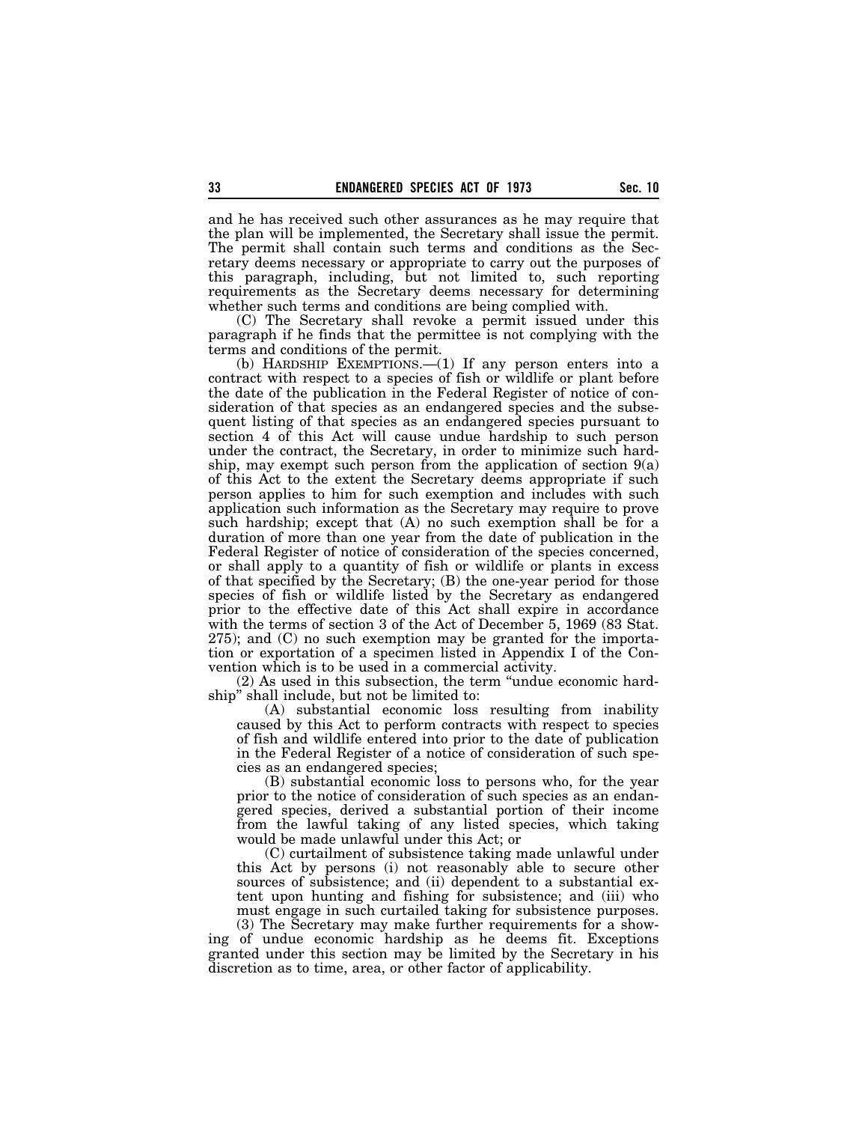and he has received such other assurances as he may require that the plan will be implemented, the Secretary shall issue the permit. The permit shall contain such terms and conditions as the Secretary deems necessary or appropriate to carry out the purposes of this paragraph, including, but not limited to, such reporting requirements as the Secretary deems necessary for determining whether such terms and conditions are being complied with.

(C) The Secretary shall revoke a permit issued under this paragraph if he finds that the permittee is not complying with the terms and conditions of the permit.

(b) HARDSHIP EXEMPTIONS.—(1) If any person enters into a contract with respect to a species of fish or wildlife or plant before the date of the publication in the Federal Register of notice of consideration of that species as an endangered species and the subsequent listing of that species as an endangered species pursuant to section 4 of this Act will cause undue hardship to such person under the contract, the Secretary, in order to minimize such hardship, may exempt such person from the application of section  $9(a)$ of this Act to the extent the Secretary deems appropriate if such person applies to him for such exemption and includes with such application such information as the Secretary may require to prove such hardship; except that (A) no such exemption shall be for a duration of more than one year from the date of publication in the Federal Register of notice of consideration of the species concerned, or shall apply to a quantity of fish or wildlife or plants in excess of that specified by the Secretary; (B) the one-year period for those species of fish or wildlife listed by the Secretary as endangered prior to the effective date of this Act shall expire in accordance with the terms of section 3 of the Act of December 5, 1969 (83 Stat. 275); and (C) no such exemption may be granted for the importation or exportation of a specimen listed in Appendix I of the Convention which is to be used in a commercial activity.

(2) As used in this subsection, the term ''undue economic hardship'' shall include, but not be limited to:

(A) substantial economic loss resulting from inability caused by this Act to perform contracts with respect to species of fish and wildlife entered into prior to the date of publication in the Federal Register of a notice of consideration of such species as an endangered species;

(B) substantial economic loss to persons who, for the year prior to the notice of consideration of such species as an endangered species, derived a substantial portion of their income from the lawful taking of any listed species, which taking would be made unlawful under this Act; or

(C) curtailment of subsistence taking made unlawful under this Act by persons (i) not reasonably able to secure other sources of subsistence; and (ii) dependent to a substantial extent upon hunting and fishing for subsistence; and (iii) who must engage in such curtailed taking for subsistence purposes.

(3) The Secretary may make further requirements for a showing of undue economic hardship as he deems fit. Exceptions granted under this section may be limited by the Secretary in his discretion as to time, area, or other factor of applicability.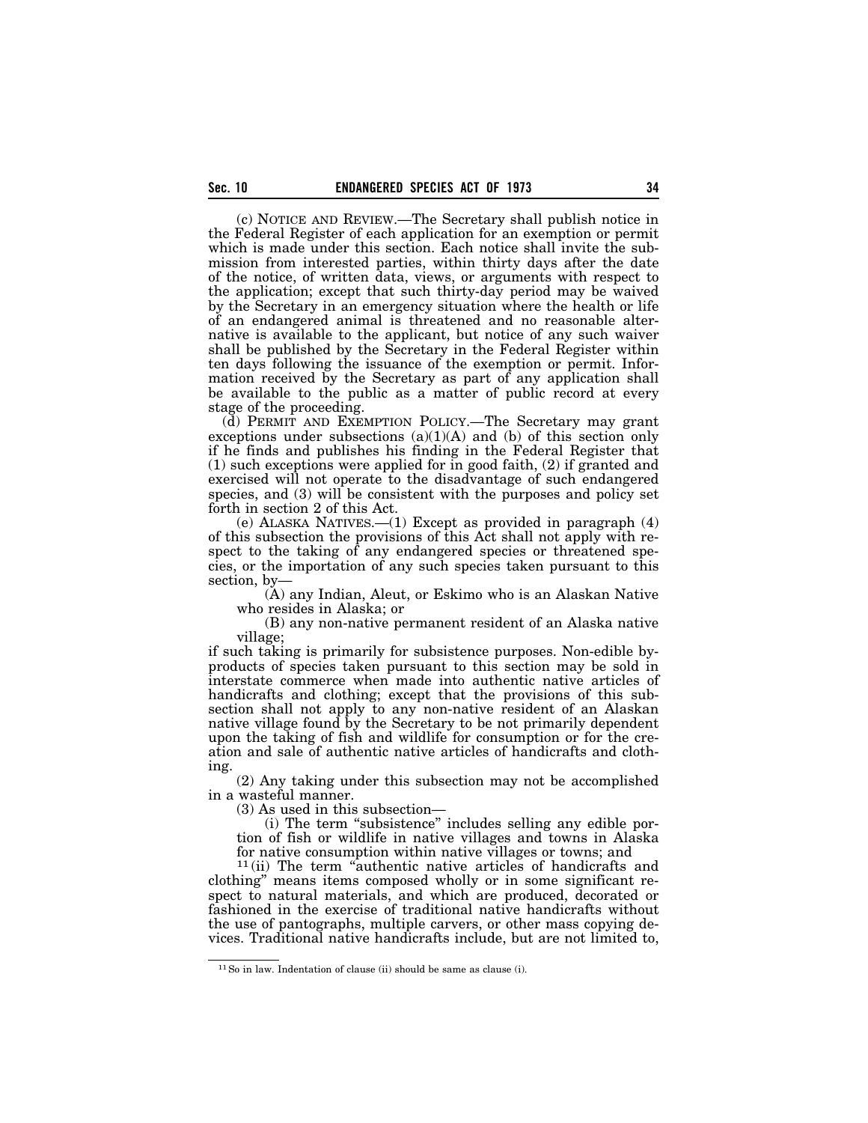(c) NOTICE AND REVIEW.—The Secretary shall publish notice in the Federal Register of each application for an exemption or permit which is made under this section. Each notice shall invite the submission from interested parties, within thirty days after the date of the notice, of written data, views, or arguments with respect to the application; except that such thirty-day period may be waived by the Secretary in an emergency situation where the health or life of an endangered animal is threatened and no reasonable alternative is available to the applicant, but notice of any such waiver shall be published by the Secretary in the Federal Register within ten days following the issuance of the exemption or permit. Information received by the Secretary as part of any application shall be available to the public as a matter of public record at every stage of the proceeding.

(d) PERMIT AND EXEMPTION POLICY.—The Secretary may grant exceptions under subsections  $(a)(1)(A)$  and  $(b)$  of this section only if he finds and publishes his finding in the Federal Register that (1) such exceptions were applied for in good faith, (2) if granted and exercised will not operate to the disadvantage of such endangered species, and (3) will be consistent with the purposes and policy set forth in section 2 of this Act.

(e) ALASKA NATIVES.—(1) Except as provided in paragraph (4) of this subsection the provisions of this Act shall not apply with respect to the taking of any endangered species or threatened species, or the importation of any such species taken pursuant to this section, by—

(A) any Indian, Aleut, or Eskimo who is an Alaskan Native who resides in Alaska; or

(B) any non-native permanent resident of an Alaska native village;

if such taking is primarily for subsistence purposes. Non-edible byproducts of species taken pursuant to this section may be sold in interstate commerce when made into authentic native articles of handicrafts and clothing; except that the provisions of this subsection shall not apply to any non-native resident of an Alaskan native village found by the Secretary to be not primarily dependent upon the taking of fish and wildlife for consumption or for the creation and sale of authentic native articles of handicrafts and clothing.

(2) Any taking under this subsection may not be accomplished in a wasteful manner.

(3) As used in this subsection—

(i) The term ''subsistence'' includes selling any edible portion of fish or wildlife in native villages and towns in Alaska for native consumption within native villages or towns; and

 $11$ (ii) The term "authentic native articles of handicrafts and clothing'' means items composed wholly or in some significant respect to natural materials, and which are produced, decorated or fashioned in the exercise of traditional native handicrafts without the use of pantographs, multiple carvers, or other mass copying devices. Traditional native handicrafts include, but are not limited to,

<sup>11</sup>So in law. Indentation of clause (ii) should be same as clause (i).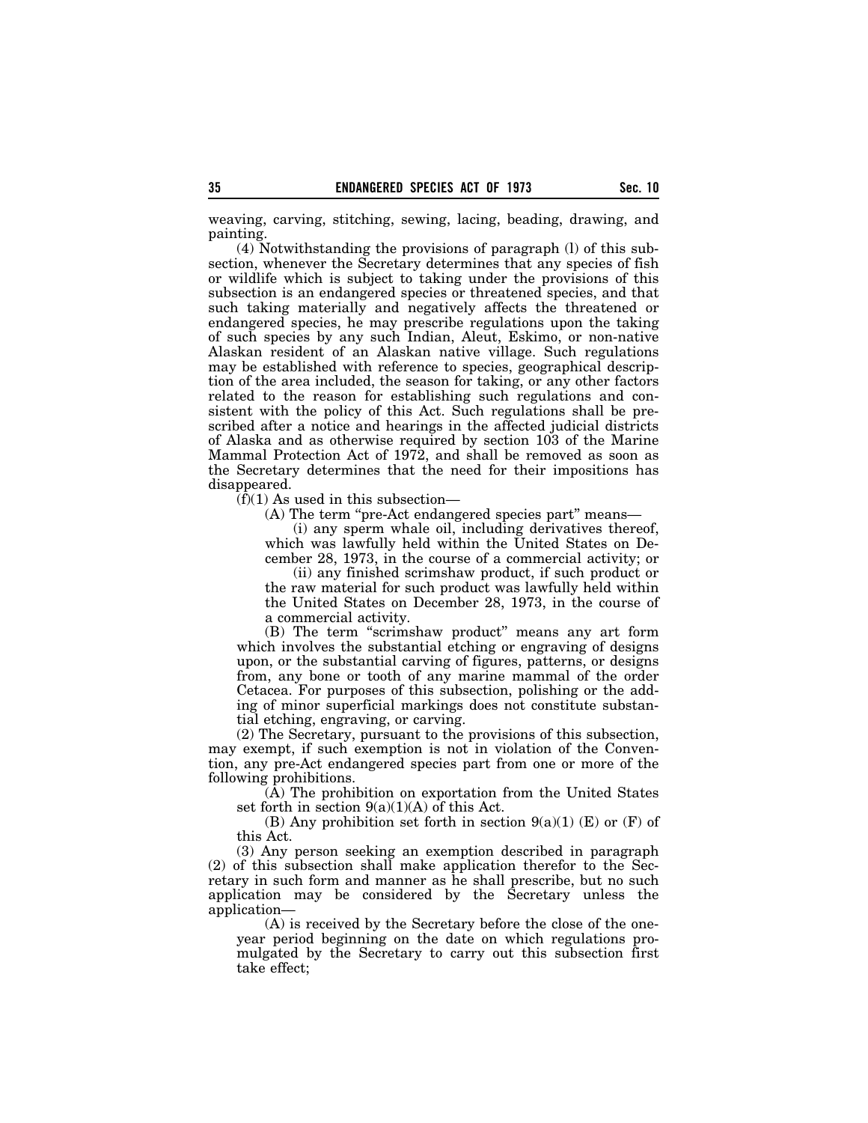weaving, carving, stitching, sewing, lacing, beading, drawing, and painting.

(4) Notwithstanding the provisions of paragraph (l) of this subsection, whenever the Secretary determines that any species of fish or wildlife which is subject to taking under the provisions of this subsection is an endangered species or threatened species, and that such taking materially and negatively affects the threatened or endangered species, he may prescribe regulations upon the taking of such species by any such Indian, Aleut, Eskimo, or non-native Alaskan resident of an Alaskan native village. Such regulations may be established with reference to species, geographical description of the area included, the season for taking, or any other factors related to the reason for establishing such regulations and consistent with the policy of this Act. Such regulations shall be prescribed after a notice and hearings in the affected judicial districts of Alaska and as otherwise required by section 103 of the Marine Mammal Protection Act of 1972, and shall be removed as soon as the Secretary determines that the need for their impositions has disappeared.

 $(f)(1)$  As used in this subsection—

(A) The term "pre-Act endangered species part" means—

(i) any sperm whale oil, including derivatives thereof, which was lawfully held within the United States on December 28, 1973, in the course of a commercial activity; or

(ii) any finished scrimshaw product, if such product or the raw material for such product was lawfully held within the United States on December 28, 1973, in the course of a commercial activity.

(B) The term ''scrimshaw product'' means any art form which involves the substantial etching or engraving of designs upon, or the substantial carving of figures, patterns, or designs from, any bone or tooth of any marine mammal of the order Cetacea. For purposes of this subsection, polishing or the adding of minor superficial markings does not constitute substantial etching, engraving, or carving.

(2) The Secretary, pursuant to the provisions of this subsection, may exempt, if such exemption is not in violation of the Convention, any pre-Act endangered species part from one or more of the following prohibitions.

(A) The prohibition on exportation from the United States set forth in section  $9(a)(1)(A)$  of this Act.

(B) Any prohibition set forth in section  $9(a)(1)$  (E) or (F) of this Act.

(3) Any person seeking an exemption described in paragraph (2) of this subsection shall make application therefor to the Secretary in such form and manner as he shall prescribe, but no such application may be considered by the Secretary unless the application—

(A) is received by the Secretary before the close of the oneyear period beginning on the date on which regulations promulgated by the Secretary to carry out this subsection first take effect;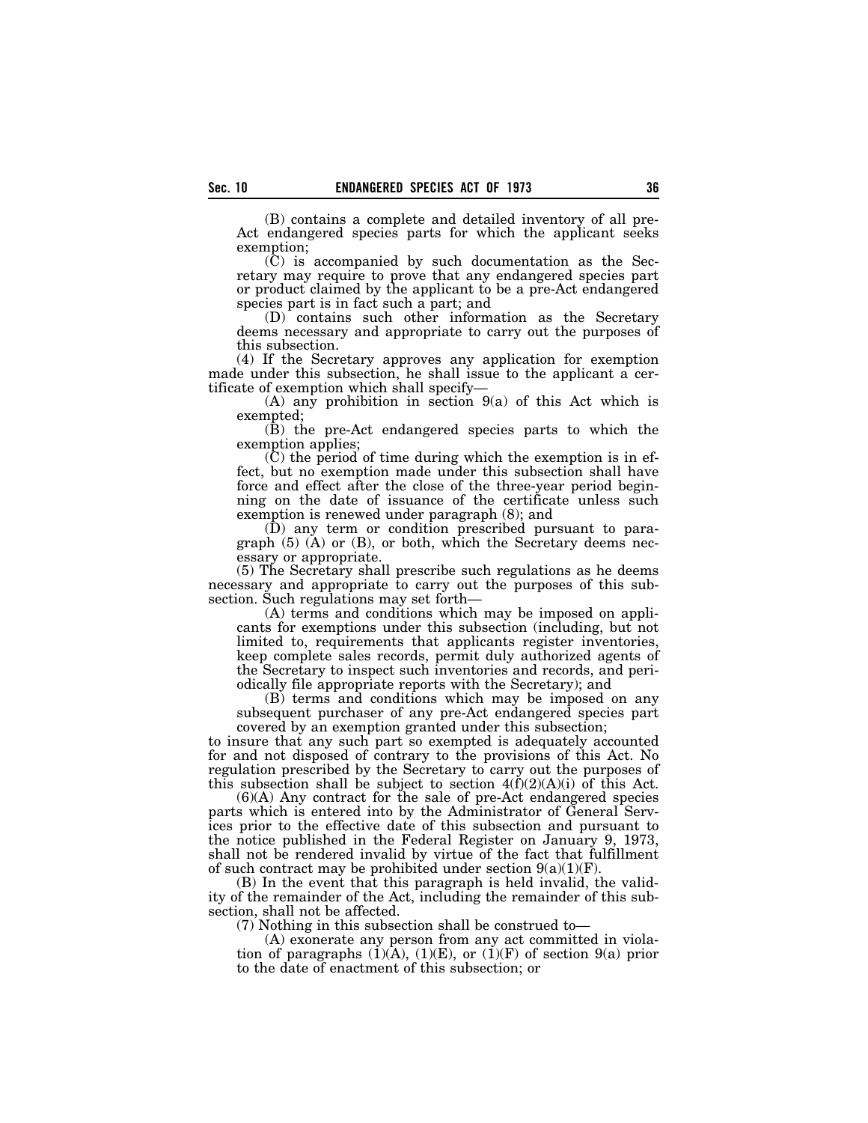(B) contains a complete and detailed inventory of all pre-Act endangered species parts for which the applicant seeks exemption;

(C) is accompanied by such documentation as the Secretary may require to prove that any endangered species part or product claimed by the applicant to be a pre-Act endangered species part is in fact such a part; and

(D) contains such other information as the Secretary deems necessary and appropriate to carry out the purposes of this subsection.

(4) If the Secretary approves any application for exemption made under this subsection, he shall issue to the applicant a certificate of exemption which shall specify—

(A) any prohibition in section 9(a) of this Act which is exempted;

(B) the pre-Act endangered species parts to which the exemption applies;

(C) the period of time during which the exemption is in effect, but no exemption made under this subsection shall have force and effect after the close of the three-year period beginning on the date of issuance of the certificate unless such exemption is renewed under paragraph (8); and

(D) any term or condition prescribed pursuant to paragraph (5) (A) or (B), or both, which the Secretary deems necessary or appropriate.

(5) The Secretary shall prescribe such regulations as he deems necessary and appropriate to carry out the purposes of this subsection. Such regulations may set forth—

(A) terms and conditions which may be imposed on applicants for exemptions under this subsection (including, but not limited to, requirements that applicants register inventories, keep complete sales records, permit duly authorized agents of the Secretary to inspect such inventories and records, and periodically file appropriate reports with the Secretary); and

(B) terms and conditions which may be imposed on any subsequent purchaser of any pre-Act endangered species part covered by an exemption granted under this subsection;

to insure that any such part so exempted is adequately accounted for and not disposed of contrary to the provisions of this Act. No regulation prescribed by the Secretary to carry out the purposes of this subsection shall be subject to section  $4(f)(2)(A)(i)$  of this Act.

(6)(A) Any contract for the sale of pre-Act endangered species parts which is entered into by the Administrator of General Services prior to the effective date of this subsection and pursuant to the notice published in the Federal Register on January 9, 1973, shall not be rendered invalid by virtue of the fact that fulfillment of such contract may be prohibited under section  $9(a)(1)(F)$ .

(B) In the event that this paragraph is held invalid, the validity of the remainder of the Act, including the remainder of this subsection, shall not be affected.

(7) Nothing in this subsection shall be construed to—

(A) exonerate any person from any act committed in violation of paragraphs  $(1)(A)$ ,  $(1)(E)$ , or  $(1)(F)$  of section 9(a) prior to the date of enactment of this subsection; or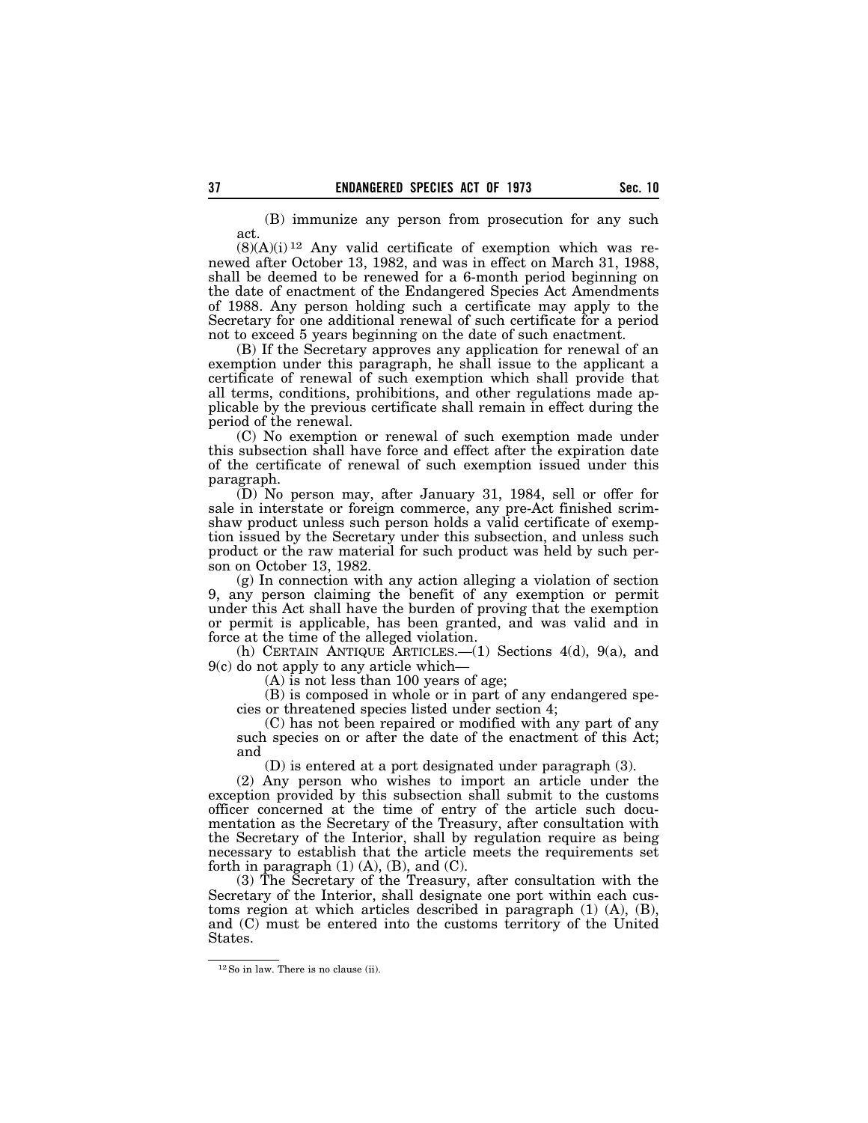(B) immunize any person from prosecution for any such act.

 $(8)(A)(i)$ <sup>12</sup> Any valid certificate of exemption which was renewed after October 13, 1982, and was in effect on March 31, 1988, shall be deemed to be renewed for a 6-month period beginning on the date of enactment of the Endangered Species Act Amendments of 1988. Any person holding such a certificate may apply to the Secretary for one additional renewal of such certificate for a period not to exceed 5 years beginning on the date of such enactment.

(B) If the Secretary approves any application for renewal of an exemption under this paragraph, he shall issue to the applicant a certificate of renewal of such exemption which shall provide that all terms, conditions, prohibitions, and other regulations made applicable by the previous certificate shall remain in effect during the period of the renewal.

(C) No exemption or renewal of such exemption made under this subsection shall have force and effect after the expiration date of the certificate of renewal of such exemption issued under this paragraph.

(D) No person may, after January 31, 1984, sell or offer for sale in interstate or foreign commerce, any pre-Act finished scrimshaw product unless such person holds a valid certificate of exemption issued by the Secretary under this subsection, and unless such product or the raw material for such product was held by such person on October 13, 1982.

(g) In connection with any action alleging a violation of section 9, any person claiming the benefit of any exemption or permit under this Act shall have the burden of proving that the exemption or permit is applicable, has been granted, and was valid and in force at the time of the alleged violation.

(h) CERTAIN ANTIQUE ARTICLES.—(1) Sections 4(d), 9(a), and 9(c) do not apply to any article which—

(A) is not less than 100 years of age;

(B) is composed in whole or in part of any endangered species or threatened species listed under section 4;

(C) has not been repaired or modified with any part of any such species on or after the date of the enactment of this Act; and

(D) is entered at a port designated under paragraph (3).

(2) Any person who wishes to import an article under the exception provided by this subsection shall submit to the customs officer concerned at the time of entry of the article such documentation as the Secretary of the Treasury, after consultation with the Secretary of the Interior, shall by regulation require as being necessary to establish that the article meets the requirements set forth in paragraph  $(1)$   $(A)$ ,  $(B)$ , and  $(C)$ .

(3) The Secretary of the Treasury, after consultation with the Secretary of the Interior, shall designate one port within each customs region at which articles described in paragraph (1) (A), (B), and (C) must be entered into the customs territory of the United States.

<sup>12</sup>So in law. There is no clause (ii).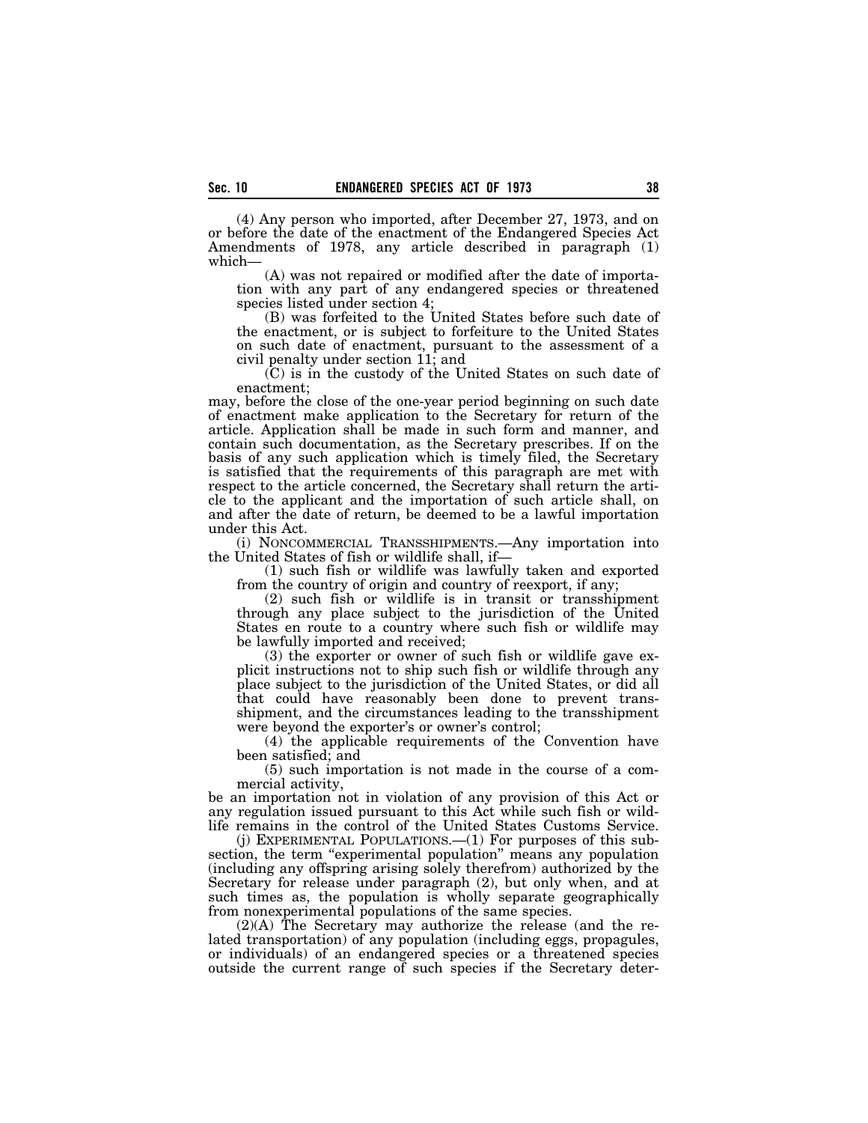(4) Any person who imported, after December 27, 1973, and on or before the date of the enactment of the Endangered Species Act Amendments of 1978, any article described in paragraph (1) which—

(A) was not repaired or modified after the date of importation with any part of any endangered species or threatened species listed under section 4;

(B) was forfeited to the United States before such date of the enactment, or is subject to forfeiture to the United States on such date of enactment, pursuant to the assessment of a civil penalty under section 11; and

(C) is in the custody of the United States on such date of enactment;

may, before the close of the one-year period beginning on such date of enactment make application to the Secretary for return of the article. Application shall be made in such form and manner, and contain such documentation, as the Secretary prescribes. If on the basis of any such application which is timely filed, the Secretary is satisfied that the requirements of this paragraph are met with respect to the article concerned, the Secretary shall return the article to the applicant and the importation of such article shall, on and after the date of return, be deemed to be a lawful importation under this Act.

(i) NONCOMMERCIAL TRANSSHIPMENTS.—Any importation into the United States of fish or wildlife shall, if—

(1) such fish or wildlife was lawfully taken and exported from the country of origin and country of reexport, if any;

(2) such fish or wildlife is in transit or transshipment through any place subject to the jurisdiction of the United States en route to a country where such fish or wildlife may be lawfully imported and received;

(3) the exporter or owner of such fish or wildlife gave explicit instructions not to ship such fish or wildlife through any place subject to the jurisdiction of the United States, or did all that could have reasonably been done to prevent transshipment, and the circumstances leading to the transshipment were beyond the exporter's or owner's control;

(4) the applicable requirements of the Convention have been satisfied; and

(5) such importation is not made in the course of a commercial activity,

be an importation not in violation of any provision of this Act or any regulation issued pursuant to this Act while such fish or wildlife remains in the control of the United States Customs Service.

(j) EXPERIMENTAL POPULATIONS.—(1) For purposes of this subsection, the term "experimental population" means any population (including any offspring arising solely therefrom) authorized by the Secretary for release under paragraph (2), but only when, and at such times as, the population is wholly separate geographically from nonexperimental populations of the same species.

(2)(A) The Secretary may authorize the release (and the related transportation) of any population (including eggs, propagules, or individuals) of an endangered species or a threatened species outside the current range of such species if the Secretary deter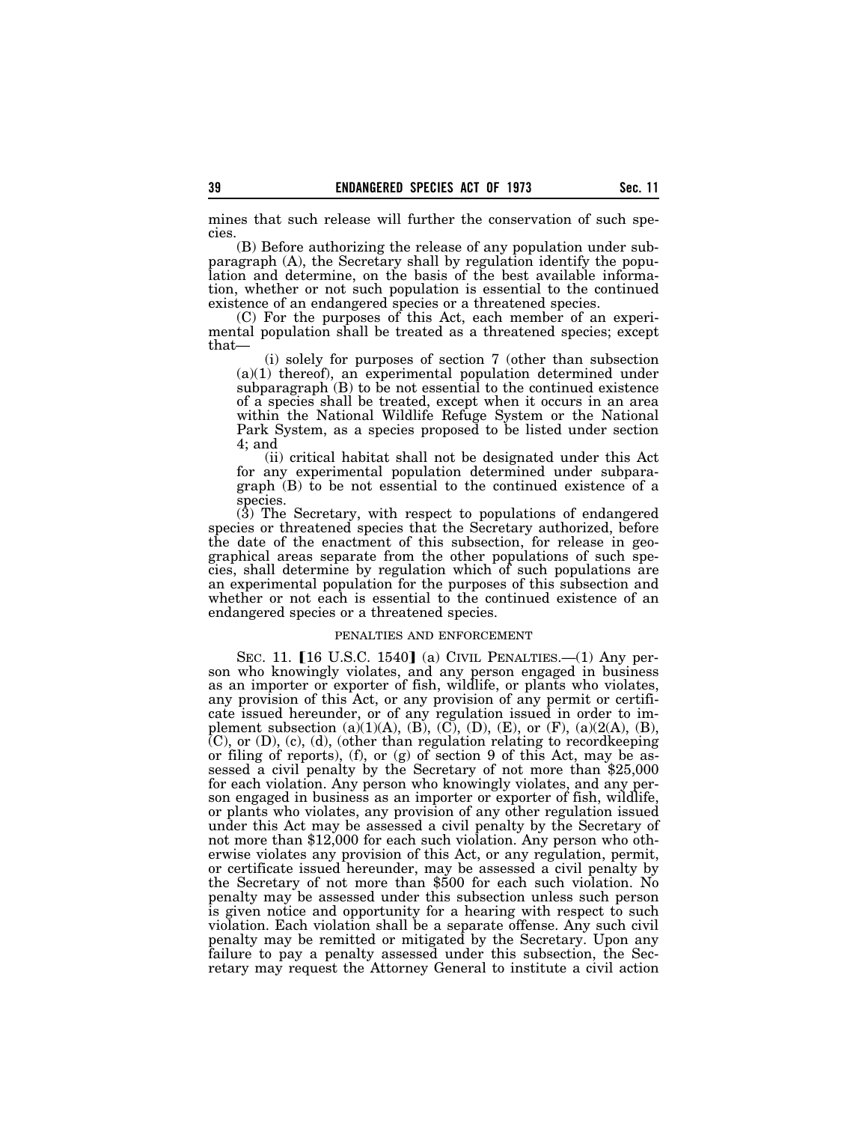mines that such release will further the conservation of such species.

(B) Before authorizing the release of any population under subparagraph (A), the Secretary shall by regulation identify the population and determine, on the basis of the best available information, whether or not such population is essential to the continued existence of an endangered species or a threatened species.

(C) For the purposes of this Act, each member of an experimental population shall be treated as a threatened species; except that—

(i) solely for purposes of section 7 (other than subsection (a)(1) thereof), an experimental population determined under subparagraph (B) to be not essential to the continued existence of a species shall be treated, except when it occurs in an area within the National Wildlife Refuge System or the National Park System, as a species proposed to be listed under section 4; and

(ii) critical habitat shall not be designated under this Act for any experimental population determined under subparagraph (B) to be not essential to the continued existence of a species.

(3) The Secretary, with respect to populations of endangered species or threatened species that the Secretary authorized, before the date of the enactment of this subsection, for release in geographical areas separate from the other populations of such species, shall determine by regulation which of such populations are an experimental population for the purposes of this subsection and whether or not each is essential to the continued existence of an endangered species or a threatened species.

## PENALTIES AND ENFORCEMENT

SEC. 11.  $[16 \text{ U.S.C. } 1540]$  (a) CIVIL PENALTIES.—(1) Any person who knowingly violates, and any person engaged in business as an importer or exporter of fish, wildlife, or plants who violates, any provision of this Act, or any provision of any permit or certificate issued hereunder, or of any regulation issued in order to implement subsection (a)(1)(A), (B), (C), (D), (E), or (F), (a)(2(A), (B),  $(C)$ , or  $(D)$ ,  $(c)$ ,  $(d)$ ,  $(\text{other than regulation relating to recording})$ or filing of reports), (f), or (g) of section 9 of this Act, may be assessed a civil penalty by the Secretary of not more than \$25,000 for each violation. Any person who knowingly violates, and any person engaged in business as an importer or exporter of fish, wildlife, or plants who violates, any provision of any other regulation issued under this Act may be assessed a civil penalty by the Secretary of not more than \$12,000 for each such violation. Any person who otherwise violates any provision of this Act, or any regulation, permit, or certificate issued hereunder, may be assessed a civil penalty by the Secretary of not more than \$500 for each such violation. No penalty may be assessed under this subsection unless such person is given notice and opportunity for a hearing with respect to such violation. Each violation shall be a separate offense. Any such civil penalty may be remitted or mitigated by the Secretary. Upon any failure to pay a penalty assessed under this subsection, the Secretary may request the Attorney General to institute a civil action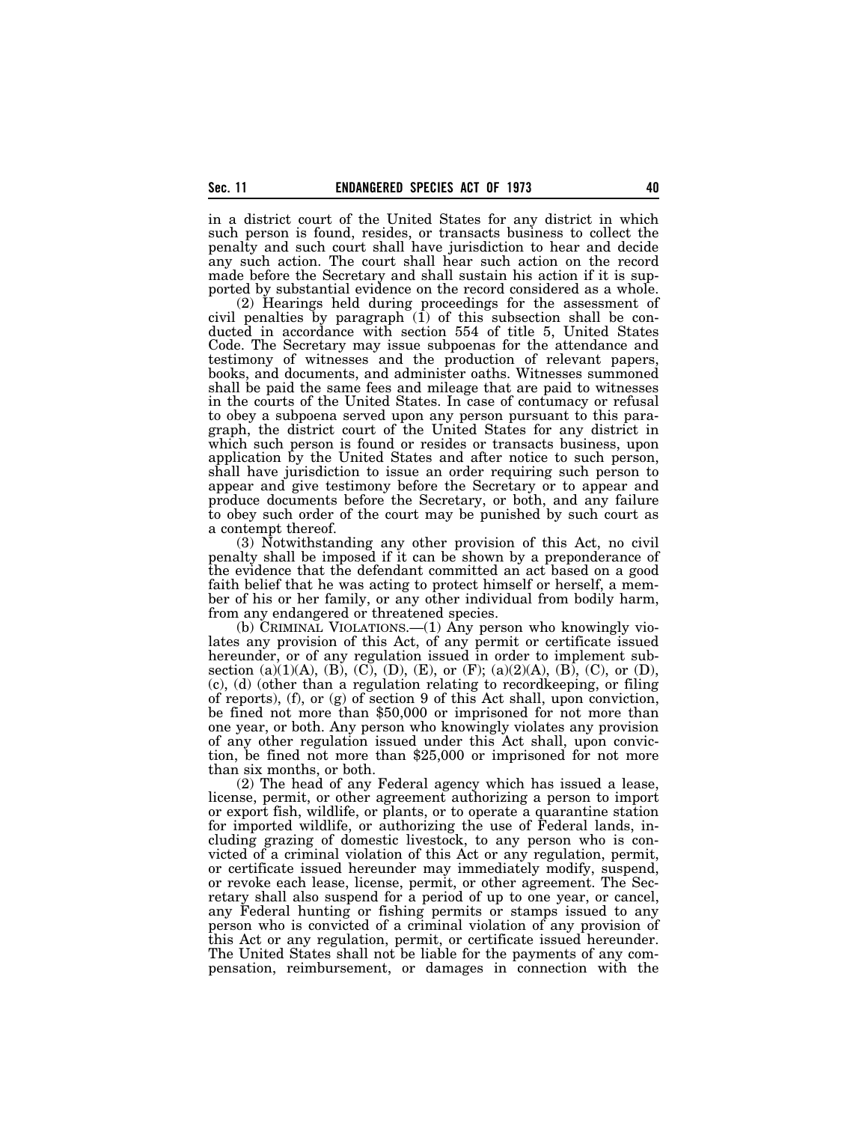in a district court of the United States for any district in which such person is found, resides, or transacts business to collect the penalty and such court shall have jurisdiction to hear and decide any such action. The court shall hear such action on the record made before the Secretary and shall sustain his action if it is supported by substantial evidence on the record considered as a whole.

(2) Hearings held during proceedings for the assessment of civil penalties by paragraph  $(1)$  of this subsection shall be conducted in accordance with section 554 of title 5, United States Code. The Secretary may issue subpoenas for the attendance and testimony of witnesses and the production of relevant papers, books, and documents, and administer oaths. Witnesses summoned shall be paid the same fees and mileage that are paid to witnesses in the courts of the United States. In case of contumacy or refusal to obey a subpoena served upon any person pursuant to this paragraph, the district court of the United States for any district in which such person is found or resides or transacts business, upon application by the United States and after notice to such person, shall have jurisdiction to issue an order requiring such person to appear and give testimony before the Secretary or to appear and produce documents before the Secretary, or both, and any failure to obey such order of the court may be punished by such court as a contempt thereof.

(3) Notwithstanding any other provision of this Act, no civil penalty shall be imposed if it can be shown by a preponderance of the evidence that the defendant committed an act based on a good faith belief that he was acting to protect himself or herself, a member of his or her family, or any other individual from bodily harm, from any endangered or threatened species.

(b) CRIMINAL VIOLATIONS.—(1) Any person who knowingly violates any provision of this Act, of any permit or certificate issued hereunder, or of any regulation issued in order to implement subsection (a)(1)(A), (B), (C), (D), (E), or (F); (a)(2)(A), (B), (C), or (D), (c), (d) (other than a regulation relating to recordkeeping, or filing of reports), (f), or (g) of section 9 of this Act shall, upon conviction, be fined not more than \$50,000 or imprisoned for not more than one year, or both. Any person who knowingly violates any provision of any other regulation issued under this Act shall, upon conviction, be fined not more than \$25,000 or imprisoned for not more than six months, or both.

(2) The head of any Federal agency which has issued a lease, license, permit, or other agreement authorizing a person to import or export fish, wildlife, or plants, or to operate a quarantine station for imported wildlife, or authorizing the use of Federal lands, including grazing of domestic livestock, to any person who is convicted of a criminal violation of this Act or any regulation, permit, or certificate issued hereunder may immediately modify, suspend, or revoke each lease, license, permit, or other agreement. The Secretary shall also suspend for a period of up to one year, or cancel, any Federal hunting or fishing permits or stamps issued to any person who is convicted of a criminal violation of any provision of this Act or any regulation, permit, or certificate issued hereunder. The United States shall not be liable for the payments of any compensation, reimbursement, or damages in connection with the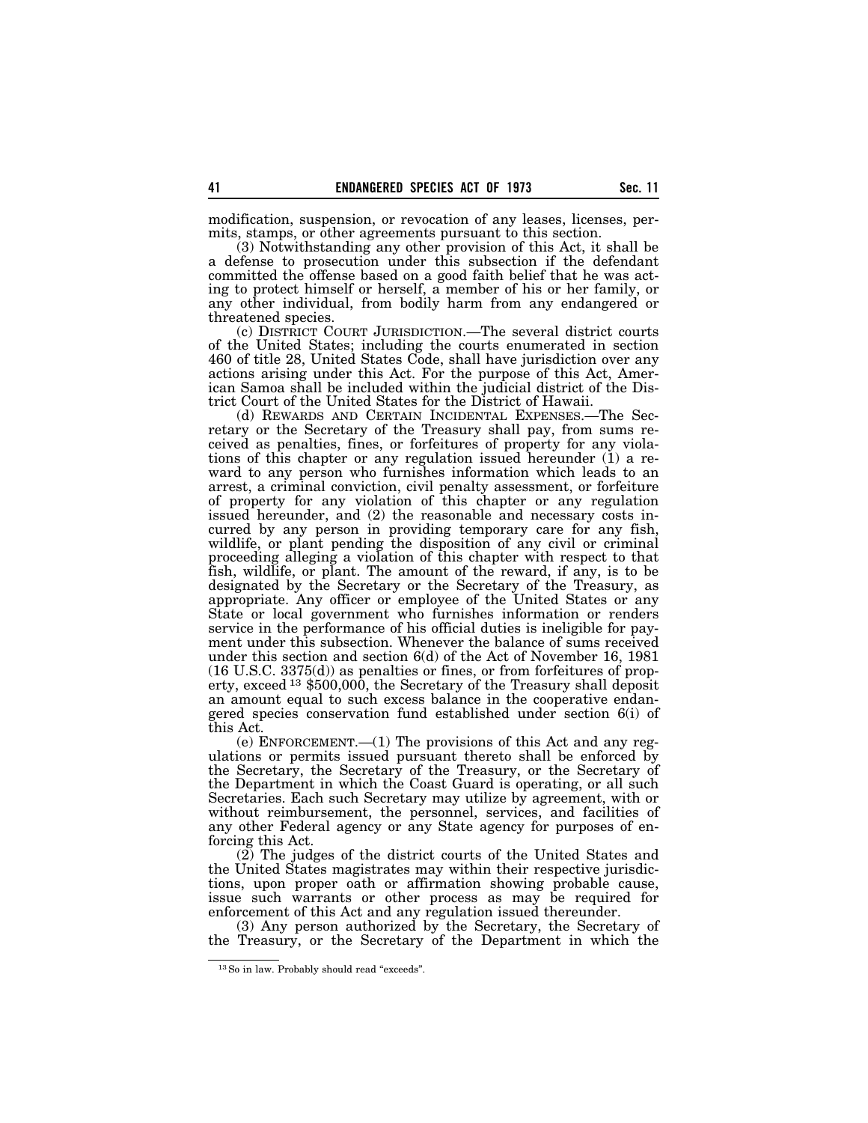modification, suspension, or revocation of any leases, licenses, permits, stamps, or other agreements pursuant to this section.

(3) Notwithstanding any other provision of this Act, it shall be a defense to prosecution under this subsection if the defendant committed the offense based on a good faith belief that he was acting to protect himself or herself, a member of his or her family, or any other individual, from bodily harm from any endangered or threatened species.

(c) DISTRICT COURT JURISDICTION.—The several district courts of the United States; including the courts enumerated in section 460 of title 28, United States Code, shall have jurisdiction over any actions arising under this Act. For the purpose of this Act, American Samoa shall be included within the judicial district of the District Court of the United States for the District of Hawaii.

(d) REWARDS AND CERTAIN INCIDENTAL EXPENSES.—The Secretary or the Secretary of the Treasury shall pay, from sums received as penalties, fines, or forfeitures of property for any violations of this chapter or any regulation issued hereunder (1) a reward to any person who furnishes information which leads to an arrest, a criminal conviction, civil penalty assessment, or forfeiture of property for any violation of this chapter or any regulation issued hereunder, and (2) the reasonable and necessary costs incurred by any person in providing temporary care for any fish, wildlife, or plant pending the disposition of any civil or criminal proceeding alleging a violation of this chapter with respect to that fish, wildlife, or plant. The amount of the reward, if any, is to be designated by the Secretary or the Secretary of the Treasury, as appropriate. Any officer or employee of the United States or any State or local government who furnishes information or renders service in the performance of his official duties is ineligible for payment under this subsection. Whenever the balance of sums received under this section and section 6(d) of the Act of November 16, 1981 (16 U.S.C. 3375(d)) as penalties or fines, or from forfeitures of property, exceed 13 \$500,000, the Secretary of the Treasury shall deposit an amount equal to such excess balance in the cooperative endangered species conservation fund established under section 6(i) of this Act.

(e) ENFORCEMENT.—(1) The provisions of this Act and any regulations or permits issued pursuant thereto shall be enforced by the Secretary, the Secretary of the Treasury, or the Secretary of the Department in which the Coast Guard is operating, or all such Secretaries. Each such Secretary may utilize by agreement, with or without reimbursement, the personnel, services, and facilities of any other Federal agency or any State agency for purposes of enforcing this Act.

(2) The judges of the district courts of the United States and the United States magistrates may within their respective jurisdictions, upon proper oath or affirmation showing probable cause, issue such warrants or other process as may be required for enforcement of this Act and any regulation issued thereunder.

(3) Any person authorized by the Secretary, the Secretary of the Treasury, or the Secretary of the Department in which the

<sup>13</sup>So in law. Probably should read ''exceeds''.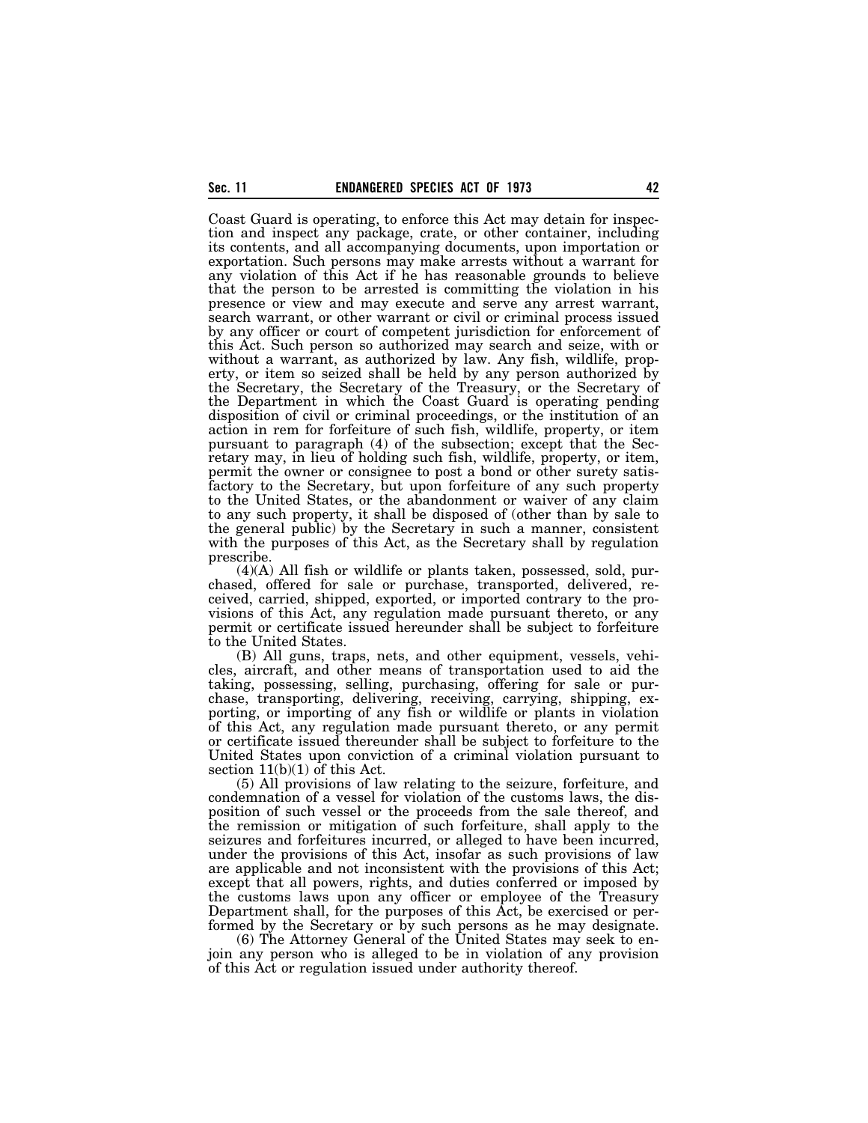Coast Guard is operating, to enforce this Act may detain for inspection and inspect any package, crate, or other container, including its contents, and all accompanying documents, upon importation or exportation. Such persons may make arrests without a warrant for any violation of this Act if he has reasonable grounds to believe that the person to be arrested is committing the violation in his presence or view and may execute and serve any arrest warrant, search warrant, or other warrant or civil or criminal process issued by any officer or court of competent jurisdiction for enforcement of this Act. Such person so authorized may search and seize, with or without a warrant, as authorized by law. Any fish, wildlife, property, or item so seized shall be held by any person authorized by the Secretary, the Secretary of the Treasury, or the Secretary of the Department in which the Coast Guard is operating pending disposition of civil or criminal proceedings, or the institution of an action in rem for forfeiture of such fish, wildlife, property, or item pursuant to paragraph (4) of the subsection; except that the Secretary may, in lieu of holding such fish, wildlife, property, or item, permit the owner or consignee to post a bond or other surety satisfactory to the Secretary, but upon forfeiture of any such property to the United States, or the abandonment or waiver of any claim to any such property, it shall be disposed of (other than by sale to the general public) by the Secretary in such a manner, consistent with the purposes of this Act, as the Secretary shall by regulation prescribe.

(4)(A) All fish or wildlife or plants taken, possessed, sold, purchased, offered for sale or purchase, transported, delivered, received, carried, shipped, exported, or imported contrary to the provisions of this Act, any regulation made pursuant thereto, or any permit or certificate issued hereunder shall be subject to forfeiture to the United States.

(B) All guns, traps, nets, and other equipment, vessels, vehicles, aircraft, and other means of transportation used to aid the taking, possessing, selling, purchasing, offering for sale or purchase, transporting, delivering, receiving, carrying, shipping, exporting, or importing of any fish or wildlife or plants in violation of this Act, any regulation made pursuant thereto, or any permit or certificate issued thereunder shall be subject to forfeiture to the United States upon conviction of a criminal violation pursuant to section 11(b)(1) of this Act.

(5) All provisions of law relating to the seizure, forfeiture, and condemnation of a vessel for violation of the customs laws, the disposition of such vessel or the proceeds from the sale thereof, and the remission or mitigation of such forfeiture, shall apply to the seizures and forfeitures incurred, or alleged to have been incurred, under the provisions of this Act, insofar as such provisions of law are applicable and not inconsistent with the provisions of this Act; except that all powers, rights, and duties conferred or imposed by the customs laws upon any officer or employee of the Treasury Department shall, for the purposes of this Act, be exercised or performed by the Secretary or by such persons as he may designate.

(6) The Attorney General of the United States may seek to enjoin any person who is alleged to be in violation of any provision of this Act or regulation issued under authority thereof.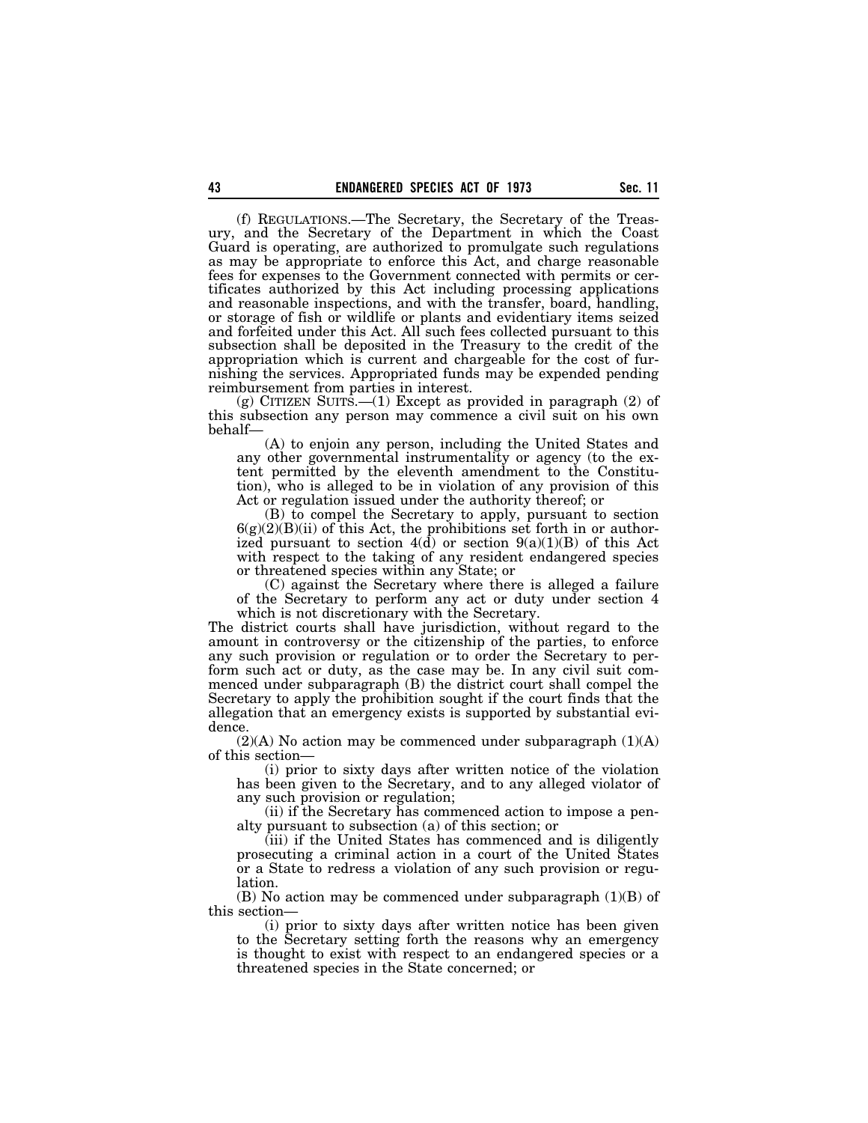(f) REGULATIONS.—The Secretary, the Secretary of the Treasury, and the Secretary of the Department in which the Coast Guard is operating, are authorized to promulgate such regulations as may be appropriate to enforce this Act, and charge reasonable fees for expenses to the Government connected with permits or certificates authorized by this Act including processing applications and reasonable inspections, and with the transfer, board, handling, or storage of fish or wildlife or plants and evidentiary items seized and forfeited under this Act. All such fees collected pursuant to this subsection shall be deposited in the Treasury to the credit of the appropriation which is current and chargeable for the cost of furnishing the services. Appropriated funds may be expended pending reimbursement from parties in interest.

(g) CITIZEN SUITS.—(1) Except as provided in paragraph  $(2)$  of this subsection any person may commence a civil suit on his own behalf—

(A) to enjoin any person, including the United States and any other governmental instrumentality or agency (to the extent permitted by the eleventh amendment to the Constitution), who is alleged to be in violation of any provision of this Act or regulation issued under the authority thereof; or

(B) to compel the Secretary to apply, pursuant to section  $6(g)(2)(B)(ii)$  of this Act, the prohibitions set forth in or authorized pursuant to section  $4(d)$  or section  $9(a)(1)(B)$  of this Act with respect to the taking of any resident endangered species or threatened species within any State; or

(C) against the Secretary where there is alleged a failure of the Secretary to perform any act or duty under section 4 which is not discretionary with the Secretary.

The district courts shall have jurisdiction, without regard to the amount in controversy or the citizenship of the parties, to enforce any such provision or regulation or to order the Secretary to perform such act or duty, as the case may be. In any civil suit commenced under subparagraph (B) the district court shall compel the Secretary to apply the prohibition sought if the court finds that the allegation that an emergency exists is supported by substantial evidence.

 $(2)(A)$  No action may be commenced under subparagraph  $(1)(A)$ of this section—

(i) prior to sixty days after written notice of the violation has been given to the Secretary, and to any alleged violator of any such provision or regulation;

(ii) if the Secretary has commenced action to impose a penalty pursuant to subsection (a) of this section; or

(iii) if the United States has commenced and is diligently prosecuting a criminal action in a court of the United States or a State to redress a violation of any such provision or regulation.

(B) No action may be commenced under subparagraph (1)(B) of this section—

(i) prior to sixty days after written notice has been given to the Secretary setting forth the reasons why an emergency is thought to exist with respect to an endangered species or a threatened species in the State concerned; or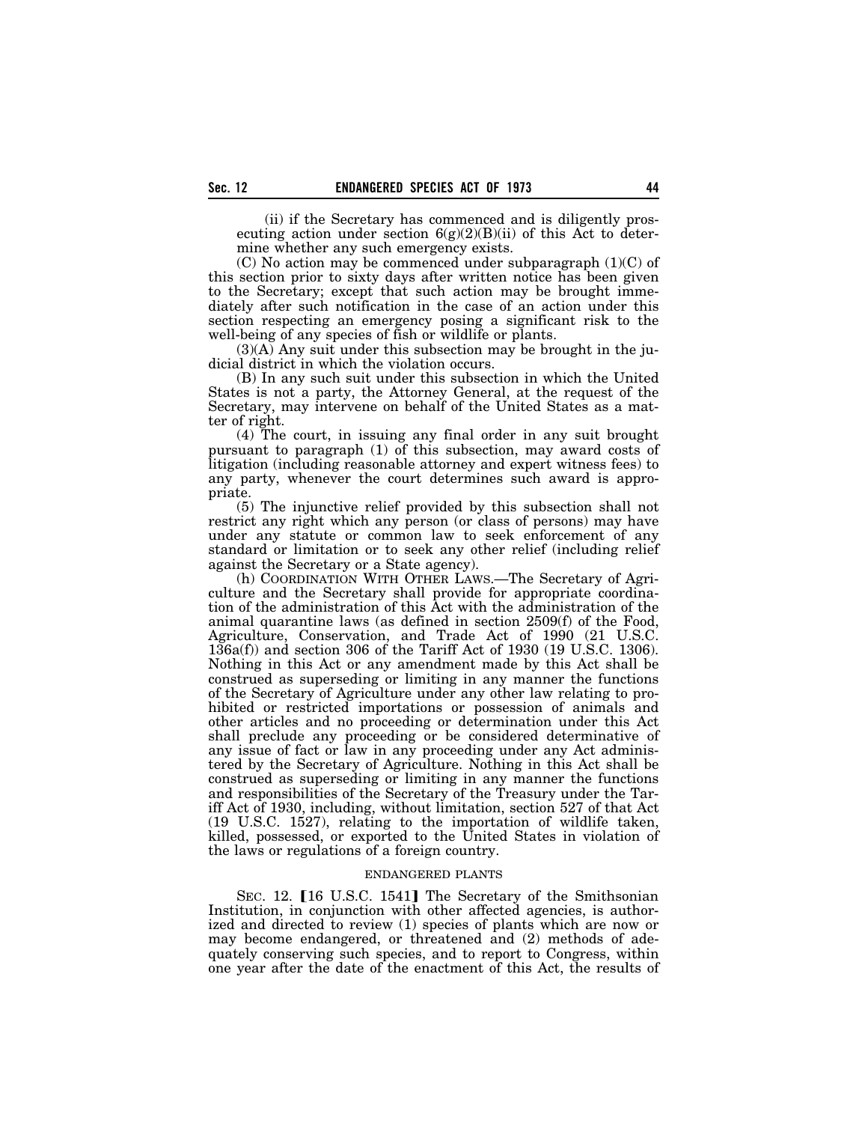(ii) if the Secretary has commenced and is diligently prosecuting action under section  $6(g)(2)(B)(ii)$  of this Act to determine whether any such emergency exists.

 $(C)$  No action may be commenced under subparagraph  $(1)(C)$  of this section prior to sixty days after written notice has been given to the Secretary; except that such action may be brought immediately after such notification in the case of an action under this section respecting an emergency posing a significant risk to the well-being of any species of fish or wildlife or plants.

(3)(A) Any suit under this subsection may be brought in the judicial district in which the violation occurs.

(B) In any such suit under this subsection in which the United States is not a party, the Attorney General, at the request of the Secretary, may intervene on behalf of the United States as a matter of right.

(4) The court, in issuing any final order in any suit brought pursuant to paragraph (1) of this subsection, may award costs of litigation (including reasonable attorney and expert witness fees) to any party, whenever the court determines such award is appropriate.

(5) The injunctive relief provided by this subsection shall not restrict any right which any person (or class of persons) may have under any statute or common law to seek enforcement of any standard or limitation or to seek any other relief (including relief against the Secretary or a State agency).

(h) COORDINATION WITH OTHER LAWS.—The Secretary of Agriculture and the Secretary shall provide for appropriate coordination of the administration of this Act with the administration of the animal quarantine laws (as defined in section 2509(f) of the Food, Agriculture, Conservation, and Trade Act of 1990 (21 U.S.C. 136a(f)) and section 306 of the Tariff Act of 1930 (19 U.S.C. 1306). Nothing in this Act or any amendment made by this Act shall be construed as superseding or limiting in any manner the functions of the Secretary of Agriculture under any other law relating to prohibited or restricted importations or possession of animals and other articles and no proceeding or determination under this Act shall preclude any proceeding or be considered determinative of any issue of fact or law in any proceeding under any Act administered by the Secretary of Agriculture. Nothing in this Act shall be construed as superseding or limiting in any manner the functions and responsibilities of the Secretary of the Treasury under the Tariff Act of 1930, including, without limitation, section 527 of that Act (19 U.S.C. 1527), relating to the importation of wildlife taken, killed, possessed, or exported to the United States in violation of the laws or regulations of a foreign country.

### ENDANGERED PLANTS

SEC. 12. [16 U.S.C. 1541] The Secretary of the Smithsonian Institution, in conjunction with other affected agencies, is authorized and directed to review (1) species of plants which are now or may become endangered, or threatened and (2) methods of adequately conserving such species, and to report to Congress, within one year after the date of the enactment of this Act, the results of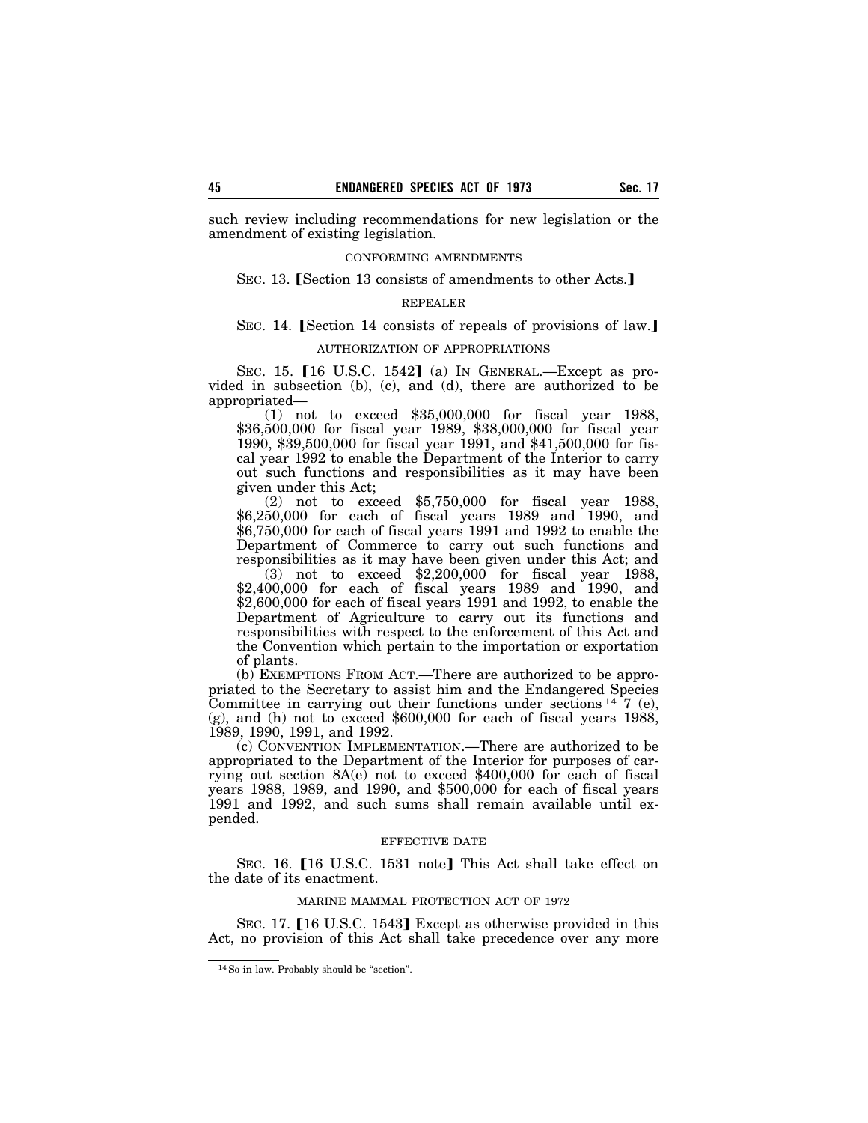such review including recommendations for new legislation or the amendment of existing legislation.

## CONFORMING AMENDMENTS

# SEC. 13. [Section 13 consists of amendments to other Acts.]

# REPEALER

# SEC. 14. [Section 14 consists of repeals of provisions of law.]

# AUTHORIZATION OF APPROPRIATIONS

SEC. 15.  $[16 \text{ U.S.C. } 1542]$  (a) In GENERAL.—Except as provided in subsection (b), (c), and (d), there are authorized to be appropriated—

(1) not to exceed \$35,000,000 for fiscal year 1988, \$36,500,000 for fiscal year 1989, \$38,000,000 for fiscal year 1990, \$39,500,000 for fiscal year 1991, and \$41,500,000 for fiscal year 1992 to enable the Department of the Interior to carry out such functions and responsibilities as it may have been given under this Act;

(2) not to exceed \$5,750,000 for fiscal year 1988, \$6,250,000 for each of fiscal years 1989 and 1990, and \$6,750,000 for each of fiscal years 1991 and 1992 to enable the Department of Commerce to carry out such functions and responsibilities as it may have been given under this Act; and

(3) not to exceed \$2,200,000 for fiscal year 1988, \$2,400,000 for each of fiscal years 1989 and 1990, and \$2,600,000 for each of fiscal years 1991 and 1992, to enable the Department of Agriculture to carry out its functions and responsibilities with respect to the enforcement of this Act and the Convention which pertain to the importation or exportation of plants.

(b) EXEMPTIONS FROM ACT.—There are authorized to be appropriated to the Secretary to assist him and the Endangered Species Committee in carrying out their functions under sections  $14\overline{7}$  (e), (g), and (h) not to exceed \$600,000 for each of fiscal years 1988, 1989, 1990, 1991, and 1992.

(c) CONVENTION IMPLEMENTATION.—There are authorized to be appropriated to the Department of the Interior for purposes of carrying out section 8A(e) not to exceed \$400,000 for each of fiscal years 1988, 1989, and 1990, and \$500,000 for each of fiscal years 1991 and 1992, and such sums shall remain available until expended.

### EFFECTIVE DATE

SEC. 16. [16 U.S.C. 1531 note] This Act shall take effect on the date of its enactment.

## MARINE MAMMAL PROTECTION ACT OF 1972

SEC. 17. **[16 U.S.C. 1543] Except as otherwise provided in this** Act, no provision of this Act shall take precedence over any more

<sup>&</sup>lt;sup>14</sup> So in law. Probably should be "section".